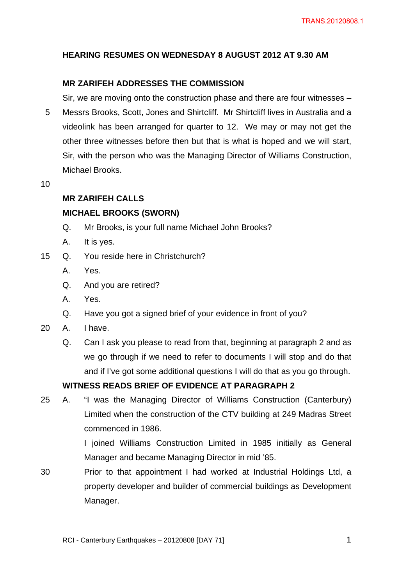# **HEARING RESUMES ON WEDNESDAY 8 AUGUST 2012 AT 9.30 AM**

# **MR ZARIFEH ADDRESSES THE COMMISSION**

Sir, we are moving onto the construction phase and there are four witnesses – 5 Messrs Brooks, Scott, Jones and Shirtcliff. Mr Shirtcliff lives in Australia and a videolink has been arranged for quarter to 12. We may or may not get the other three witnesses before then but that is what is hoped and we will start, Sir, with the person who was the Managing Director of Williams Construction, Michael Brooks.

10

## **MR ZARIFEH CALLS**

# **MICHAEL BROOKS (SWORN)**

- Q. Mr Brooks, is your full name Michael John Brooks?
- A. It is yes.
- 15 Q. You reside here in Christchurch?
	- A. Yes.
	- Q. And you are retired?
	- A. Yes.
	- Q. Have you got a signed brief of your evidence in front of you?
- 20 A. I have.
	- Q. Can I ask you please to read from that, beginning at paragraph 2 and as we go through if we need to refer to documents I will stop and do that and if I've got some additional questions I will do that as you go through.

# **WITNESS READS BRIEF OF EVIDENCE AT PARAGRAPH 2**

25 A. "I was the Managing Director of Williams Construction (Canterbury) Limited when the construction of the CTV building at 249 Madras Street commenced in 1986.

> I joined Williams Construction Limited in 1985 initially as General Manager and became Managing Director in mid '85.

30 Prior to that appointment I had worked at Industrial Holdings Ltd, a property developer and builder of commercial buildings as Development Manager.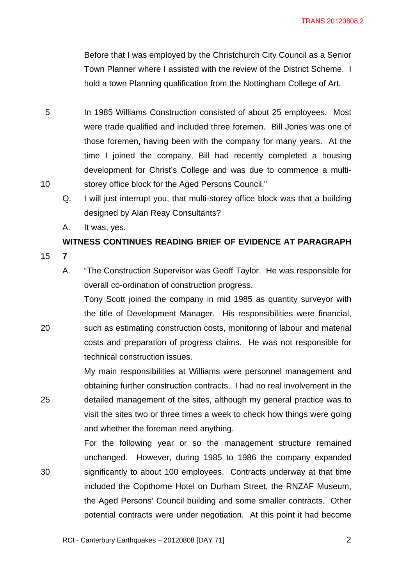Before that I was employed by the Christchurch City Council as a Senior Town Planner where I assisted with the review of the District Scheme. I hold a town Planning qualification from the Nottingham College of Art.

- 5 In 1985 Williams Construction consisted of about 25 employees. Most were trade qualified and included three foremen. Bill Jones was one of those foremen, having been with the company for many years. At the time I joined the company, Bill had recently completed a housing development for Christ's College and was due to commence a multi-10 storey office block for the Aged Persons Council."
	- Q. I will just interrupt you, that multi-storey office block was that a building designed by Alan Reay Consultants?
	- A. It was, yes.

# **WITNESS CONTINUES READING BRIEF OF EVIDENCE AT PARAGRAPH**

- 15 **7** 
	- A. "The Construction Supervisor was Geoff Taylor. He was responsible for overall co-ordination of construction progress.

Tony Scott joined the company in mid 1985 as quantity surveyor with the title of Development Manager. His responsibilities were financial, 20 such as estimating construction costs, monitoring of labour and material costs and preparation of progress claims. He was not responsible for technical construction issues.

My main responsibilities at Williams were personnel management and obtaining further construction contracts. I had no real involvement in the 25 detailed management of the sites, although my general practice was to visit the sites two or three times a week to check how things were going and whether the foreman need anything.

For the following year or so the management structure remained unchanged. However, during 1985 to 1986 the company expanded 30 significantly to about 100 employees. Contracts underway at that time included the Copthorne Hotel on Durham Street, the RNZAF Museum, the Aged Persons' Council building and some smaller contracts. Other potential contracts were under negotiation. At this point it had become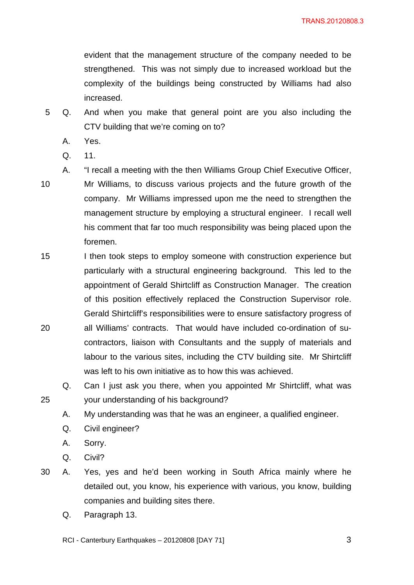evident that the management structure of the company needed to be strengthened. This was not simply due to increased workload but the complexity of the buildings being constructed by Williams had also increased.

- 5 Q. And when you make that general point are you also including the CTV building that we're coming on to?
	- A. Yes.
	- Q. 11.
- 
- 10 Mr Williams, to discuss various projects and the future growth of the company. Mr Williams impressed upon me the need to strengthen the management structure by employing a structural engineer. I recall well his comment that far too much responsibility was being placed upon the foremen.

A. "I recall a meeting with the then Williams Group Chief Executive Officer,

- 15 I then took steps to employ someone with construction experience but particularly with a structural engineering background. This led to the appointment of Gerald Shirtcliff as Construction Manager. The creation of this position effectively replaced the Construction Supervisor role. Gerald Shirtcliff's responsibilities were to ensure satisfactory progress of 20 all Williams' contracts. That would have included co-ordination of sucontractors, liaison with Consultants and the supply of materials and labour to the various sites, including the CTV building site. Mr Shirtcliff was left to his own initiative as to how this was achieved.
- Q. Can I just ask you there, when you appointed Mr Shirtcliff, what was 25 your understanding of his background?
	- A. My understanding was that he was an engineer, a qualified engineer.
	- Q. Civil engineer?
	- A. Sorry.
	- Q. Civil?
- 30 A. Yes, yes and he'd been working in South Africa mainly where he detailed out, you know, his experience with various, you know, building companies and building sites there.
	- Q. Paragraph 13.

RCI - Canterbury Earthquakes – 20120808 [DAY 71] 3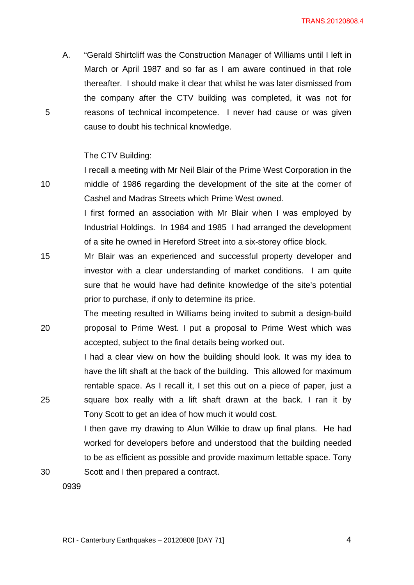TRANS.20120808.4

A. "Gerald Shirtcliff was the Construction Manager of Williams until I left in March or April 1987 and so far as I am aware continued in that role thereafter. I should make it clear that whilst he was later dismissed from the company after the CTV building was completed, it was not for 5 reasons of technical incompetence. I never had cause or was given cause to doubt his technical knowledge.

#### The CTV Building:

I recall a meeting with Mr Neil Blair of the Prime West Corporation in the 10 middle of 1986 regarding the development of the site at the corner of Cashel and Madras Streets which Prime West owned.

> I first formed an association with Mr Blair when I was employed by Industrial Holdings. In 1984 and 1985 I had arranged the development of a site he owned in Hereford Street into a six-storey office block.

- 15 Mr Blair was an experienced and successful property developer and investor with a clear understanding of market conditions. I am quite sure that he would have had definite knowledge of the site's potential prior to purchase, if only to determine its price.
- The meeting resulted in Williams being invited to submit a design-build 20 proposal to Prime West. I put a proposal to Prime West which was accepted, subject to the final details being worked out.

I had a clear view on how the building should look. It was my idea to have the lift shaft at the back of the building. This allowed for maximum rentable space. As I recall it, I set this out on a piece of paper, just a 25 square box really with a lift shaft drawn at the back. I ran it by Tony Scott to get an idea of how much it would cost.

I then gave my drawing to Alun Wilkie to draw up final plans. He had worked for developers before and understood that the building needed to be as efficient as possible and provide maximum lettable space. Tony 30 Scott and I then prepared a contract.

0939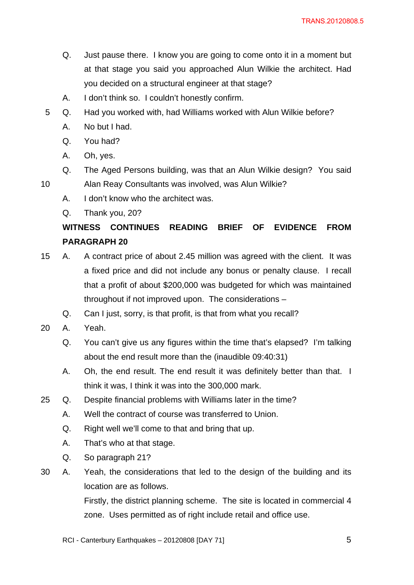- Q. Just pause there. I know you are going to come onto it in a moment but at that stage you said you approached Alun Wilkie the architect. Had you decided on a structural engineer at that stage?
- A. I don't think so. I couldn't honestly confirm.
- 5 Q. Had you worked with, had Williams worked with Alun Wilkie before?
	- A. No but I had.
	- Q. You had?
	- A. Oh, yes.
- Q. The Aged Persons building, was that an Alun Wilkie design? You said 10 Alan Reay Consultants was involved, was Alun Wilkie?
	- A. I don't know who the architect was.
	- Q. Thank you, 20?

# **WITNESS CONTINUES READING BRIEF OF EVIDENCE FROM PARAGRAPH 20**

- 15 A. A contract price of about 2.45 million was agreed with the client. It was a fixed price and did not include any bonus or penalty clause. I recall that a profit of about \$200,000 was budgeted for which was maintained throughout if not improved upon. The considerations –
	- Q. Can I just, sorry, is that profit, is that from what you recall?
- 20 A. Yeah.
	- Q. You can't give us any figures within the time that's elapsed? I'm talking about the end result more than the (inaudible 09:40:31)
	- A. Oh, the end result. The end result it was definitely better than that. I think it was, I think it was into the 300,000 mark.
- 25 Q. Despite financial problems with Williams later in the time?
	- A. Well the contract of course was transferred to Union.
	- Q. Right well we'll come to that and bring that up.
	- A. That's who at that stage.
	- Q. So paragraph 21?
- 30 A. Yeah, the considerations that led to the design of the building and its location are as follows.

Firstly, the district planning scheme. The site is located in commercial 4 zone. Uses permitted as of right include retail and office use.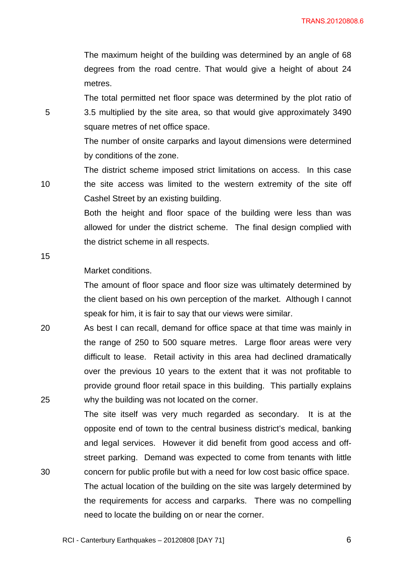The maximum height of the building was determined by an angle of 68 degrees from the road centre. That would give a height of about 24 metres.

The total permitted net floor space was determined by the plot ratio of 5 3.5 multiplied by the site area, so that would give approximately 3490 square metres of net office space.

> The number of onsite carparks and layout dimensions were determined by conditions of the zone.

The district scheme imposed strict limitations on access. In this case 10 the site access was limited to the western extremity of the site off Cashel Street by an existing building.

> Both the height and floor space of the building were less than was allowed for under the district scheme. The final design complied with the district scheme in all respects.

15

## Market conditions.

The amount of floor space and floor size was ultimately determined by the client based on his own perception of the market. Although I cannot speak for him, it is fair to say that our views were similar.

20 As best I can recall, demand for office space at that time was mainly in the range of 250 to 500 square metres. Large floor areas were very difficult to lease. Retail activity in this area had declined dramatically over the previous 10 years to the extent that it was not profitable to provide ground floor retail space in this building. This partially explains 25 why the building was not located on the corner.

The site itself was very much regarded as secondary. It is at the opposite end of town to the central business district's medical, banking and legal services. However it did benefit from good access and offstreet parking. Demand was expected to come from tenants with little 30 concern for public profile but with a need for low cost basic office space. The actual location of the building on the site was largely determined by

the requirements for access and carparks. There was no compelling need to locate the building on or near the corner.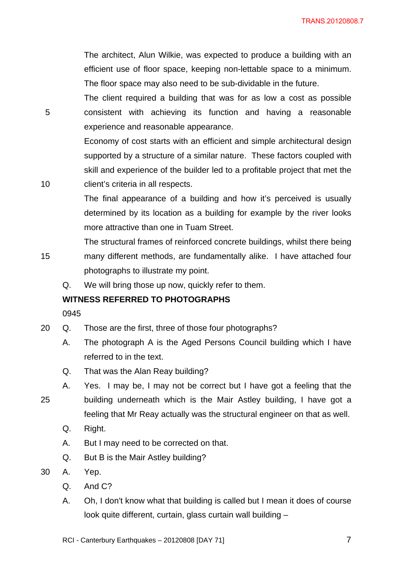The architect, Alun Wilkie, was expected to produce a building with an efficient use of floor space, keeping non-lettable space to a minimum. The floor space may also need to be sub-dividable in the future.

The client required a building that was for as low a cost as possible 5 consistent with achieving its function and having a reasonable experience and reasonable appearance.

Economy of cost starts with an efficient and simple architectural design supported by a structure of a similar nature. These factors coupled with skill and experience of the builder led to a profitable project that met the 10 client's criteria in all respects.

> The final appearance of a building and how it's perceived is usually determined by its location as a building for example by the river looks more attractive than one in Tuam Street.

The structural frames of reinforced concrete buildings, whilst there being 15 many different methods, are fundamentally alike. I have attached four photographs to illustrate my point.

Q. We will bring those up now, quickly refer to them.

# **WITNESS REFERRED TO PHOTOGRAPHS**

0945

- 20 Q. Those are the first, three of those four photographs?
	- A. The photograph A is the Aged Persons Council building which I have referred to in the text.
	- Q. That was the Alan Reay building?
- A. Yes. I may be, I may not be correct but I have got a feeling that the 25 building underneath which is the Mair Astley building, I have got a feeling that Mr Reay actually was the structural engineer on that as well.
	- Q. Right.
	- A. But I may need to be corrected on that.
	- Q. But B is the Mair Astley building?
- 30 A. Yep.
	- Q. And C?
	- A. Oh, I don't know what that building is called but I mean it does of course look quite different, curtain, glass curtain wall building –

RCI - Canterbury Earthquakes – 20120808 [DAY 71]  $\overline{7}$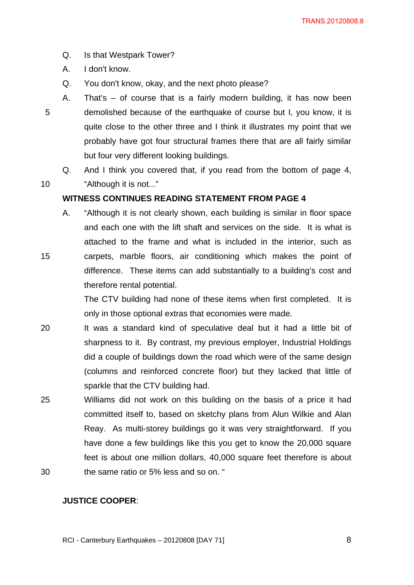- Q. Is that Westpark Tower?
- A. I don't know.
- Q. You don't know, okay, and the next photo please?
- 
- A. That's of course that is a fairly modern building, it has now been 5 demolished because of the earthquake of course but I, you know, it is quite close to the other three and I think it illustrates my point that we probably have got four structural frames there that are all fairly similar but four very different looking buildings.
- Q. And I think you covered that, if you read from the bottom of page 4, 10 "Although it is not..."

# **WITNESS CONTINUES READING STATEMENT FROM PAGE 4**

A. "Although it is not clearly shown, each building is similar in floor space and each one with the lift shaft and services on the side. It is what is attached to the frame and what is included in the interior, such as 15 carpets, marble floors, air conditioning which makes the point of difference. These items can add substantially to a building's cost and therefore rental potential.

> The CTV building had none of these items when first completed. It is only in those optional extras that economies were made.

- 20 It was a standard kind of speculative deal but it had a little bit of sharpness to it. By contrast, my previous employer, Industrial Holdings did a couple of buildings down the road which were of the same design (columns and reinforced concrete floor) but they lacked that little of sparkle that the CTV building had.
- 25 Williams did not work on this building on the basis of a price it had committed itself to, based on sketchy plans from Alun Wilkie and Alan Reay. As multi-storey buildings go it was very straightforward. If you have done a few buildings like this you get to know the 20,000 square feet is about one million dollars, 40,000 square feet therefore is about 30 the same ratio or 5% less and so on. "

### **JUSTICE COOPER**: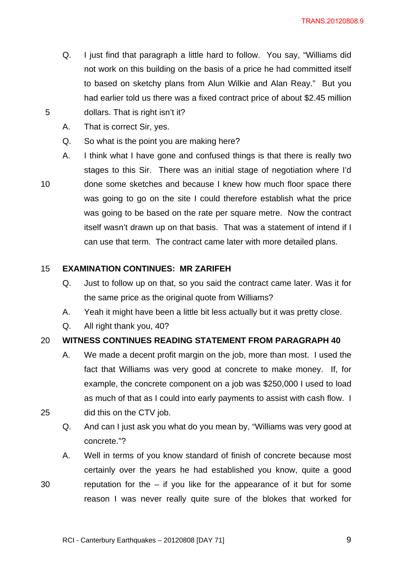- Q. I just find that paragraph a little hard to follow. You say, "Williams did not work on this building on the basis of a price he had committed itself to based on sketchy plans from Alun Wilkie and Alan Reay." But you had earlier told us there was a fixed contract price of about \$2.45 million 5 dollars. That is right isn't it?
	- A. That is correct Sir, yes.
	- Q. So what is the point you are making here?
- A. I think what I have gone and confused things is that there is really two stages to this Sir. There was an initial stage of negotiation where I'd 10 done some sketches and because I knew how much floor space there was going to go on the site I could therefore establish what the price was going to be based on the rate per square metre. Now the contract itself wasn't drawn up on that basis. That was a statement of intend if I can use that term. The contract came later with more detailed plans.

#### 15 **EXAMINATION CONTINUES: MR ZARIFEH**

- Q. Just to follow up on that, so you said the contract came later. Was it for the same price as the original quote from Williams?
- A. Yeah it might have been a little bit less actually but it was pretty close.
- Q. All right thank you, 40?

# 20 **WITNESS CONTINUES READING STATEMENT FROM PARAGRAPH 40**

- A. We made a decent profit margin on the job, more than most. I used the fact that Williams was very good at concrete to make money. If, for example, the concrete component on a job was \$250,000 I used to load as much of that as I could into early payments to assist with cash flow. I 25 did this on the CTV job.
- 
- Q. And can I just ask you what do you mean by, "Williams was very good at concrete."?
- A. Well in terms of you know standard of finish of concrete because most certainly over the years he had established you know, quite a good
- 30 reputation for the if you like for the appearance of it but for some reason I was never really quite sure of the blokes that worked for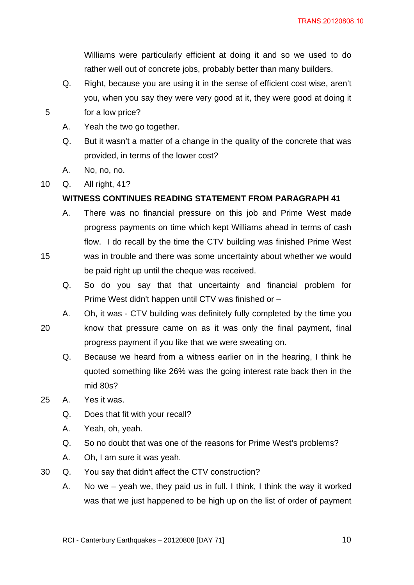Williams were particularly efficient at doing it and so we used to do rather well out of concrete jobs, probably better than many builders.

- Q. Right, because you are using it in the sense of efficient cost wise, aren't you, when you say they were very good at it, they were good at doing it
- 5 for a low price?
	- A. Yeah the two go together.
	- Q. But it wasn't a matter of a change in the quality of the concrete that was provided, in terms of the lower cost?
	- A. No, no, no.
- 10 Q. All right, 41?

# **WITNESS CONTINUES READING STATEMENT FROM PARAGRAPH 41**

- A. There was no financial pressure on this job and Prime West made progress payments on time which kept Williams ahead in terms of cash flow. I do recall by the time the CTV building was finished Prime West 15 was in trouble and there was some uncertainty about whether we would be paid right up until the cheque was received.
	- Q. So do you say that that uncertainty and financial problem for Prime West didn't happen until CTV was finished or –
	- A. Oh, it was CTV building was definitely fully completed by the time you
- 20 know that pressure came on as it was only the final payment, final progress payment if you like that we were sweating on.
	- Q. Because we heard from a witness earlier on in the hearing, I think he quoted something like 26% was the going interest rate back then in the mid 80s?
- 25 A. Yes it was.
	- Q. Does that fit with your recall?
	- A. Yeah, oh, yeah.
	- Q. So no doubt that was one of the reasons for Prime West's problems?
	- A. Oh, I am sure it was yeah.
- 30 Q. You say that didn't affect the CTV construction?
	- A. No we yeah we, they paid us in full. I think, I think the way it worked was that we just happened to be high up on the list of order of payment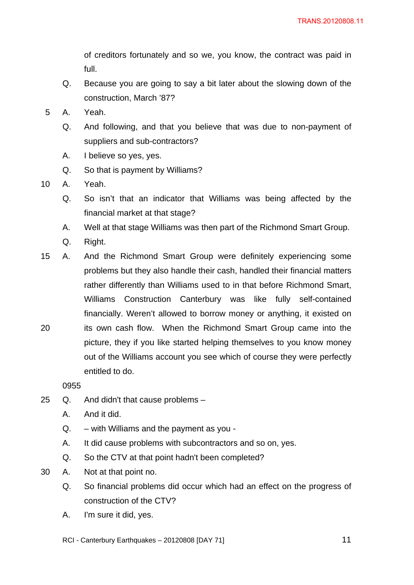of creditors fortunately and so we, you know, the contract was paid in full.

- Q. Because you are going to say a bit later about the slowing down of the construction, March '87?
- 5 A. Yeah.
	- Q. And following, and that you believe that was due to non-payment of suppliers and sub-contractors?
	- A. I believe so yes, yes.
	- Q. So that is payment by Williams?
- 10 A. Yeah.
	- Q. So isn't that an indicator that Williams was being affected by the financial market at that stage?
	- A. Well at that stage Williams was then part of the Richmond Smart Group.
	- Q. Right.
- 15 A. And the Richmond Smart Group were definitely experiencing some problems but they also handle their cash, handled their financial matters rather differently than Williams used to in that before Richmond Smart, Williams Construction Canterbury was like fully self-contained financially. Weren't allowed to borrow money or anything, it existed on 20 its own cash flow. When the Richmond Smart Group came into the picture, they if you like started helping themselves to you know money out of the Williams account you see which of course they were perfectly entitled to do.

0955

- 25 Q. And didn't that cause problems
	- A. And it did.
	- Q. with Williams and the payment as you -
	- A. It did cause problems with subcontractors and so on, yes.
	- Q. So the CTV at that point hadn't been completed?
- 30 A. Not at that point no.
	- Q. So financial problems did occur which had an effect on the progress of construction of the CTV?
	- A. I'm sure it did, yes.
	- RCI Canterbury Earthquakes  $-20120808$  [DAY 71]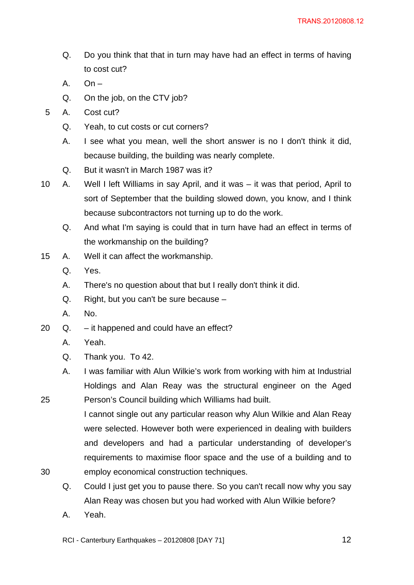- Q. Do you think that that in turn may have had an effect in terms of having to cost cut?
- $A.$  On  $-$
- Q. On the job, on the CTV job?
- 5 A. Cost cut?
	- Q. Yeah, to cut costs or cut corners?
	- A. I see what you mean, well the short answer is no I don't think it did, because building, the building was nearly complete.
	- Q. But it wasn't in March 1987 was it?
- 10 A. Well I left Williams in say April, and it was it was that period, April to sort of September that the building slowed down, you know, and I think because subcontractors not turning up to do the work.
	- Q. And what I'm saying is could that in turn have had an effect in terms of the workmanship on the building?
- 15 A. Well it can affect the workmanship.
	- Q. Yes.
	- A. There's no question about that but I really don't think it did.
	- Q. Right, but you can't be sure because –
	- A. No.
- 20 Q. it happened and could have an effect?
	- A. Yeah.
	- Q. Thank you. To 42.
- A. I was familiar with Alun Wilkie's work from working with him at Industrial Holdings and Alan Reay was the structural engineer on the Aged 25 Person's Council building which Williams had built.
- I cannot single out any particular reason why Alun Wilkie and Alan Reay were selected. However both were experienced in dealing with builders and developers and had a particular understanding of developer's requirements to maximise floor space and the use of a building and to 30 employ economical construction techniques.
	- Q. Could I just get you to pause there. So you can't recall now why you say Alan Reay was chosen but you had worked with Alun Wilkie before?
	- A. Yeah.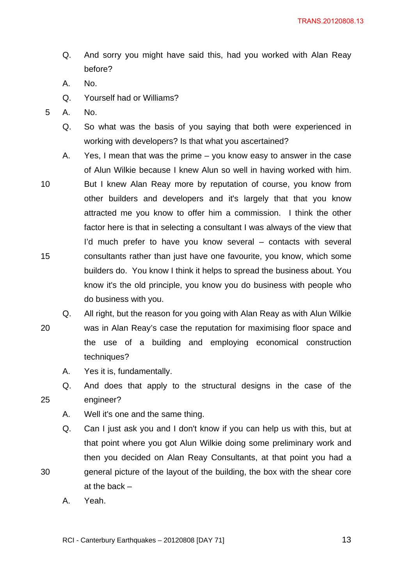- Q. And sorry you might have said this, had you worked with Alan Reay before?
- A. No.
- Q. Yourself had or Williams?
- 5 A. No.
	- Q. So what was the basis of you saying that both were experienced in working with developers? Is that what you ascertained?
- A. Yes, I mean that was the prime you know easy to answer in the case of Alun Wilkie because I knew Alun so well in having worked with him. 10 But I knew Alan Reay more by reputation of course, you know from other builders and developers and it's largely that that you know attracted me you know to offer him a commission. I think the other factor here is that in selecting a consultant I was always of the view that I'd much prefer to have you know several – contacts with several 15 consultants rather than just have one favourite, you know, which some builders do. You know I think it helps to spread the business about. You know it's the old principle, you know you do business with people who do business with you.

Q. All right, but the reason for you going with Alan Reay as with Alun Wilkie 20 was in Alan Reay's case the reputation for maximising floor space and the use of a building and employing economical construction techniques?

- A. Yes it is, fundamentally.
- Q. And does that apply to the structural designs in the case of the 25 engineer?
	- A. Well it's one and the same thing.
- Q. Can I just ask you and I don't know if you can help us with this, but at that point where you got Alun Wilkie doing some preliminary work and then you decided on Alan Reay Consultants, at that point you had a 30 general picture of the layout of the building, the box with the shear core at the back –
	- A. Yeah.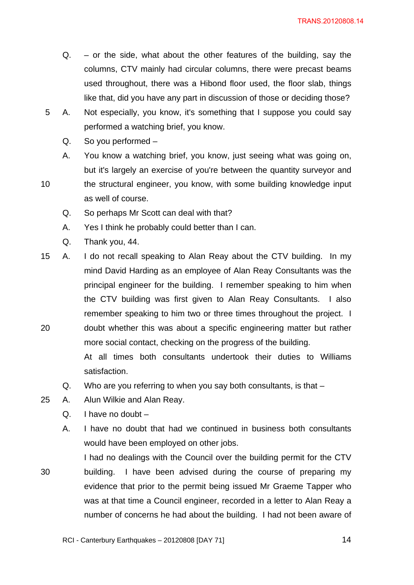- $Q_{\text{m}}$  or the side, what about the other features of the building, say the columns, CTV mainly had circular columns, there were precast beams used throughout, there was a Hibond floor used, the floor slab, things like that, did you have any part in discussion of those or deciding those?
- 5 A. Not especially, you know, it's something that I suppose you could say performed a watching brief, you know.
	- Q. So you performed –
	- A. You know a watching brief, you know, just seeing what was going on, but it's largely an exercise of you're between the quantity surveyor and
- 10 the structural engineer, you know, with some building knowledge input as well of course.
	- Q. So perhaps Mr Scott can deal with that?
	- A. Yes I think he probably could better than I can.
	- Q. Thank you, 44.
- 15 A. I do not recall speaking to Alan Reay about the CTV building. In my mind David Harding as an employee of Alan Reay Consultants was the principal engineer for the building. I remember speaking to him when the CTV building was first given to Alan Reay Consultants. I also remember speaking to him two or three times throughout the project. I 20 doubt whether this was about a specific engineering matter but rather
	- more social contact, checking on the progress of the building.

At all times both consultants undertook their duties to Williams satisfaction.

- Q. Who are you referring to when you say both consultants, is that –
- 25 A. Alun Wilkie and Alan Reay.
	- $Q.$  I have no doubt  $-$
	- A. I have no doubt that had we continued in business both consultants would have been employed on other jobs.
- I had no dealings with the Council over the building permit for the CTV 30 building. I have been advised during the course of preparing my evidence that prior to the permit being issued Mr Graeme Tapper who was at that time a Council engineer, recorded in a letter to Alan Reay a number of concerns he had about the building. I had not been aware of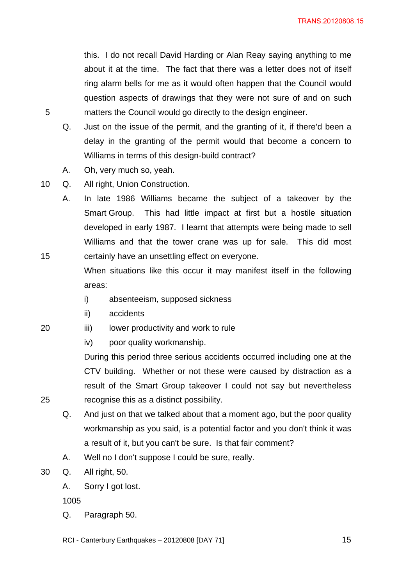this. I do not recall David Harding or Alan Reay saying anything to me about it at the time. The fact that there was a letter does not of itself ring alarm bells for me as it would often happen that the Council would question aspects of drawings that they were not sure of and on such 5 matters the Council would go directly to the design engineer.

- Q. Just on the issue of the permit, and the granting of it, if there'd been a delay in the granting of the permit would that become a concern to Williams in terms of this design-build contract?
- A. Oh, very much so, yeah.
- 10 Q. All right, Union Construction.
- A. In late 1986 Williams became the subject of a takeover by the Smart Group. This had little impact at first but a hostile situation developed in early 1987. I learnt that attempts were being made to sell Williams and that the tower crane was up for sale. This did most 15 certainly have an unsettling effect on everyone.
	- When situations like this occur it may manifest itself in the following areas:
		- i) absenteeism, supposed sickness
		- ii) accidents
- 20 iii) lower productivity and work to rule
	- iv) poor quality workmanship.

During this period three serious accidents occurred including one at the CTV building. Whether or not these were caused by distraction as a result of the Smart Group takeover I could not say but nevertheless 25 recognise this as a distinct possibility.

- Q. And just on that we talked about that a moment ago, but the poor quality workmanship as you said, is a potential factor and you don't think it was a result of it, but you can't be sure. Is that fair comment?
- A. Well no I don't suppose I could be sure, really.
- 30 Q. All right, 50.
	- A. Sorry I got lost.

1005

- Q. Paragraph 50.
- RCI Canterbury Earthquakes  $-20120808$  [DAY 71]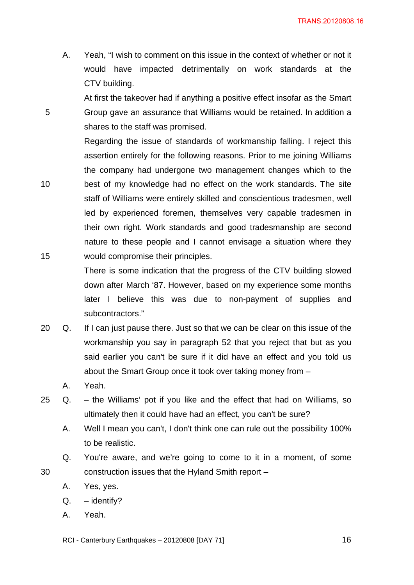A. Yeah, "I wish to comment on this issue in the context of whether or not it would have impacted detrimentally on work standards at the CTV building.

At first the takeover had if anything a positive effect insofar as the Smart 5 Group gave an assurance that Williams would be retained. In addition a shares to the staff was promised.

Regarding the issue of standards of workmanship falling. I reject this assertion entirely for the following reasons. Prior to me joining Williams the company had undergone two management changes which to the 10 best of my knowledge had no effect on the work standards. The site staff of Williams were entirely skilled and conscientious tradesmen, well led by experienced foremen, themselves very capable tradesmen in their own right. Work standards and good tradesmanship are second nature to these people and I cannot envisage a situation where they 15 would compromise their principles.

> There is some indication that the progress of the CTV building slowed down after March '87. However, based on my experience some months later I believe this was due to non-payment of supplies and subcontractors."

- 20 Q. If I can just pause there. Just so that we can be clear on this issue of the workmanship you say in paragraph 52 that you reject that but as you said earlier you can't be sure if it did have an effect and you told us about the Smart Group once it took over taking money from –
	- A. Yeah.
- 25 Q. the Williams' pot if you like and the effect that had on Williams, so ultimately then it could have had an effect, you can't be sure?
	- A. Well I mean you can't, I don't think one can rule out the possibility 100% to be realistic.
- Q. You're aware, and we're going to come to it in a moment, of some 30 construction issues that the Hyland Smith report –
	- A. Yes, yes.
	- $Q. identify?$
	- A. Yeah.
	- RCI Canterbury Earthquakes  $-$  20120808 [DAY 71]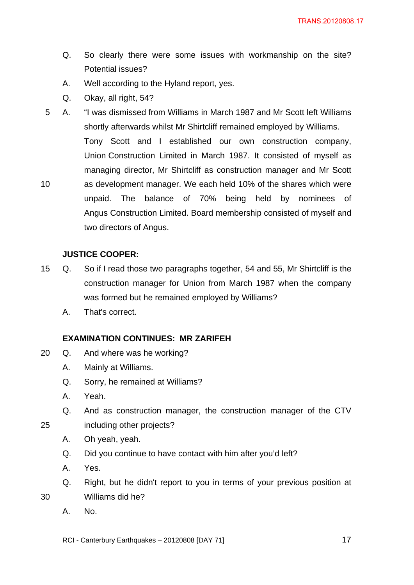- Q. So clearly there were some issues with workmanship on the site? Potential issues?
- A. Well according to the Hyland report, yes.
- Q. Okay, all right, 54?
- 5 A. "I was dismissed from Williams in March 1987 and Mr Scott left Williams shortly afterwards whilst Mr Shirtcliff remained employed by Williams. Tony Scott and I established our own construction company, Union Construction Limited in March 1987. It consisted of myself as managing director, Mr Shirtcliff as construction manager and Mr Scott 10 as development manager. We each held 10% of the shares which were unpaid. The balance of 70% being held by nominees of Angus Construction Limited. Board membership consisted of myself and two directors of Angus.

## **JUSTICE COOPER:**

- 15 Q. So if I read those two paragraphs together, 54 and 55, Mr Shirtcliff is the construction manager for Union from March 1987 when the company was formed but he remained employed by Williams?
	- A. That's correct.

# **EXAMINATION CONTINUES: MR ZARIFEH**

- 20 Q. And where was he working?
	- A. Mainly at Williams.
	- Q. Sorry, he remained at Williams?
	- A. Yeah.
- Q. And as construction manager, the construction manager of the CTV 25 including other projects?
	- A. Oh yeah, yeah.
	- Q. Did you continue to have contact with him after you'd left?
	- A. Yes.
- Q. Right, but he didn't report to you in terms of your previous position at 30 Williams did he?
	- A. No.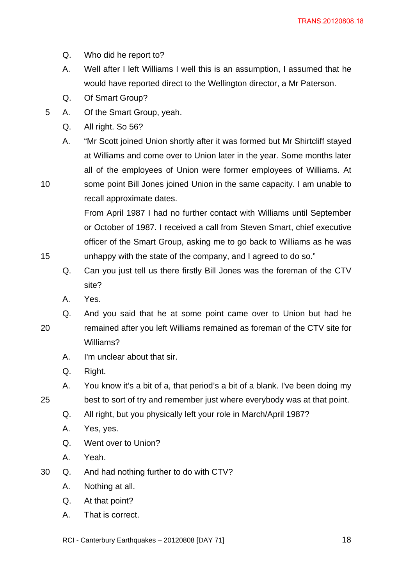- Q. Who did he report to?
- A. Well after I left Williams I well this is an assumption, I assumed that he would have reported direct to the Wellington director, a Mr Paterson.
- Q. Of Smart Group?
- 5 A. Of the Smart Group, yeah.

recall approximate dates.

Q. All right. So 56?

A. "Mr Scott joined Union shortly after it was formed but Mr Shirtcliff stayed at Williams and come over to Union later in the year. Some months later all of the employees of Union were former employees of Williams. At 10 some point Bill Jones joined Union in the same capacity. I am unable to

From April 1987 I had no further contact with Williams until September or October of 1987. I received a call from Steven Smart, chief executive officer of the Smart Group, asking me to go back to Williams as he was 15 unhappy with the state of the company, and I agreed to do so."

- Q. Can you just tell us there firstly Bill Jones was the foreman of the CTV site?
- A. Yes.
- Q. And you said that he at some point came over to Union but had he 20 remained after you left Williams remained as foreman of the CTV site for Williams?
	- A. I'm unclear about that sir.
	- Q. Right.
	- A. You know it's a bit of a, that period's a bit of a blank. I've been doing my
- 25 best to sort of try and remember just where everybody was at that point.
	- Q. All right, but you physically left your role in March/April 1987?
	- A. Yes, yes.
	- Q. Went over to Union?
	- A. Yeah.
- 30 Q. And had nothing further to do with CTV?
	- A. Nothing at all.
	- Q. At that point?
	- A. That is correct.

RCI - Canterbury Earthquakes  $-20120808$  [DAY 71]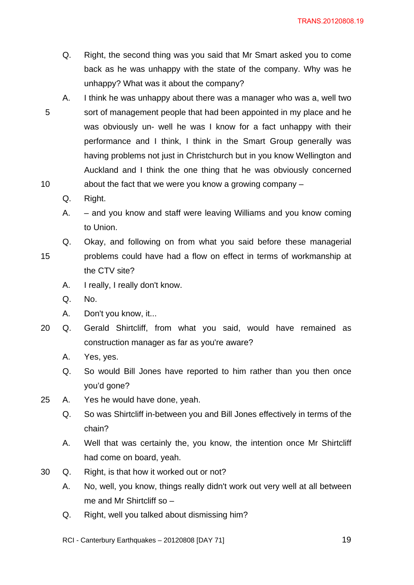TRANS.20120808.19

- Q. Right, the second thing was you said that Mr Smart asked you to come back as he was unhappy with the state of the company. Why was he unhappy? What was it about the company?
- A. I think he was unhappy about there was a manager who was a, well two 5 sort of management people that had been appointed in my place and he was obviously un- well he was I know for a fact unhappy with their performance and I think, I think in the Smart Group generally was having problems not just in Christchurch but in you know Wellington and Auckland and I think the one thing that he was obviously concerned 10 about the fact that we were you know a growing company –
	- Q. Right.
	- A. and you know and staff were leaving Williams and you know coming to Union.
	- Q. Okay, and following on from what you said before these managerial
- 15 problems could have had a flow on effect in terms of workmanship at the CTV site?
	- A. I really, I really don't know.
	- Q. No.
	- A. Don't you know, it...
- 20 Q. Gerald Shirtcliff, from what you said, would have remained as construction manager as far as you're aware?
	- A. Yes, yes.
	- Q. So would Bill Jones have reported to him rather than you then once you'd gone?
- 25 A. Yes he would have done, yeah.
	- Q. So was Shirtcliff in-between you and Bill Jones effectively in terms of the chain?
	- A. Well that was certainly the, you know, the intention once Mr Shirtcliff had come on board, yeah.
- 30 Q. Right, is that how it worked out or not?
	- A. No, well, you know, things really didn't work out very well at all between me and Mr Shirtcliff so –
	- Q. Right, well you talked about dismissing him?
	- RCI Canterbury Earthquakes  $-20120808$  [DAY 71]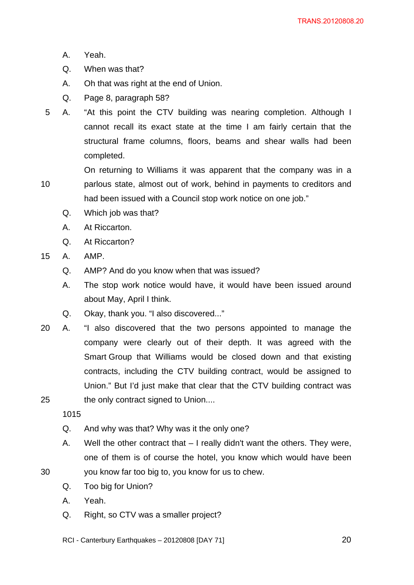- A. Yeah.
- Q. When was that?
- A. Oh that was right at the end of Union.
- Q. Page 8, paragraph 58?
- 5 A. "At this point the CTV building was nearing completion. Although I cannot recall its exact state at the time I am fairly certain that the structural frame columns, floors, beams and shear walls had been completed.

On returning to Williams it was apparent that the company was in a 10 parlous state, almost out of work, behind in payments to creditors and had been issued with a Council stop work notice on one job."

- Q. Which job was that?
- A. At Riccarton.
- Q. At Riccarton?
- 15 A. AMP.
	- Q. AMP? And do you know when that was issued?
	- A. The stop work notice would have, it would have been issued around about May, April I think.
	- Q. Okay, thank you. "I also discovered..."
- 20 A. "I also discovered that the two persons appointed to manage the company were clearly out of their depth. It was agreed with the Smart Group that Williams would be closed down and that existing contracts, including the CTV building contract, would be assigned to Union." But I'd just make that clear that the CTV building contract was 25 the only contract signed to Union....

1015

- Q. And why was that? Why was it the only one?
- A. Well the other contract that I really didn't want the others. They were, one of them is of course the hotel, you know which would have been 30 you know far too big to, you know for us to chew.
- 
- Q. Too big for Union?
- A. Yeah.
- Q. Right, so CTV was a smaller project?
- RCI Canterbury Earthquakes 20120808 [DAY 71]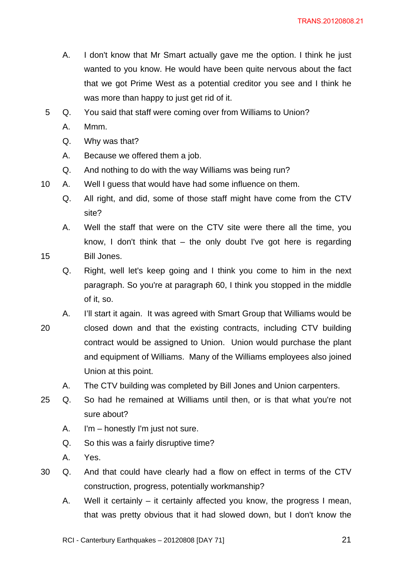- A. I don't know that Mr Smart actually gave me the option. I think he just wanted to you know. He would have been quite nervous about the fact that we got Prime West as a potential creditor you see and I think he was more than happy to just get rid of it.
- 5 Q. You said that staff were coming over from Williams to Union?
	- A. Mmm.
	- Q. Why was that?
	- A. Because we offered them a job.
	- Q. And nothing to do with the way Williams was being run?
- 10 A. Well I guess that would have had some influence on them.
	- Q. All right, and did, some of those staff might have come from the CTV site?

A. Well the staff that were on the CTV site were there all the time, you know, I don't think that – the only doubt I've got here is regarding 15 Bill Jones.

- Q. Right, well let's keep going and I think you come to him in the next paragraph. So you're at paragraph 60, I think you stopped in the middle of it, so.
- A. I'll start it again. It was agreed with Smart Group that Williams would be 20 closed down and that the existing contracts, including CTV building contract would be assigned to Union. Union would purchase the plant and equipment of Williams. Many of the Williams employees also joined Union at this point.
	- A. The CTV building was completed by Bill Jones and Union carpenters.
- 25 Q. So had he remained at Williams until then, or is that what you're not sure about?
	- A. I'm honestly I'm just not sure.
	- Q. So this was a fairly disruptive time?
	- A. Yes.
- 30 Q. And that could have clearly had a flow on effect in terms of the CTV construction, progress, potentially workmanship?
	- A. Well it certainly it certainly affected you know, the progress I mean, that was pretty obvious that it had slowed down, but I don't know the

RCI - Canterbury Earthquakes – 20120808 [DAY 71] 21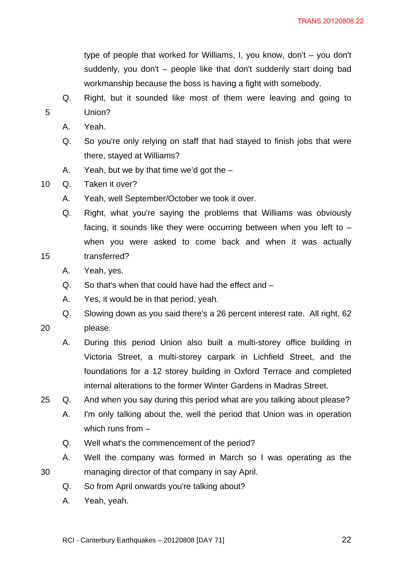type of people that worked for Williams, I, you know, don't – you don't suddenly, you don't – people like that don't suddenly start doing bad workmanship because the boss is having a fight with somebody.

- Q. Right, but it sounded like most of them were leaving and going to 5 Union?
	- A. Yeah.
	- Q. So you're only relying on staff that had stayed to finish jobs that were there, stayed at Williams?
	- A. Yeah, but we by that time we'd got the –
- 10 Q. Taken it over?
	- A. Yeah, well September/October we took it over.
- Q. Right, what you're saying the problems that Williams was obviously facing, it sounds like they were occurring between when you left to  $$ when you were asked to come back and when it was actually 15 transferred?
	- A. Yeah, yes.
	- Q. So that's when that could have had the effect and –
	- A. Yes, it would be in that period, yeah.
	- Q. Slowing down as you said there's a 26 percent interest rate. All right, 62
- 20 please.
	- A. During this period Union also built a multi-storey office building in Victoria Street, a multi-storey carpark in Lichfield Street, and the foundations for a 12 storey building in Oxford Terrace and completed internal alterations to the former Winter Gardens in Madras Street.
- 25 Q. And when you say during this period what are you talking about please?
	- A. I'm only talking about the, well the period that Union was in operation which runs from –
	- Q. Well what's the commencement of the period?
- A. Well the company was formed in March so I was operating as the 30 managing director of that company in say April.
	- Q. So from April onwards you're talking about?
	- A. Yeah, yeah.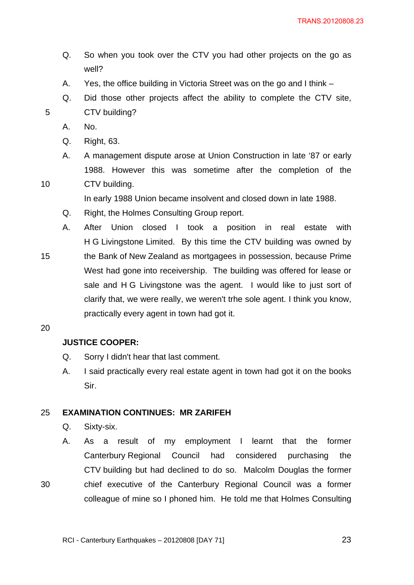- Q. So when you took over the CTV you had other projects on the go as well?
- A. Yes, the office building in Victoria Street was on the go and I think –
- Q. Did those other projects affect the ability to complete the CTV site, 5 CTV building?
	- A. No.
	- Q. Right, 63.
	- A. A management dispute arose at Union Construction in late '87 or early 1988. However this was sometime after the completion of the
- 10 CTV building.

In early 1988 Union became insolvent and closed down in late 1988.

- Q. Right, the Holmes Consulting Group report.
- A. After Union closed I took a position in real estate with H G Livingstone Limited. By this time the CTV building was owned by
- 15 the Bank of New Zealand as mortgagees in possession, because Prime West had gone into receivership. The building was offered for lease or sale and H G Livingstone was the agent. I would like to just sort of clarify that, we were really, we weren't trhe sole agent. I think you know, practically every agent in town had got it.

20

# **JUSTICE COOPER:**

- Q. Sorry I didn't hear that last comment.
- A. I said practically every real estate agent in town had got it on the books Sir.

### 25 **EXAMINATION CONTINUES: MR ZARIFEH**

- Q. Sixty-six.
- A. As a result of my employment I learnt that the former Canterbury Regional Council had considered purchasing the CTV building but had declined to do so. Malcolm Douglas the former 30 chief executive of the Canterbury Regional Council was a former

colleague of mine so I phoned him. He told me that Holmes Consulting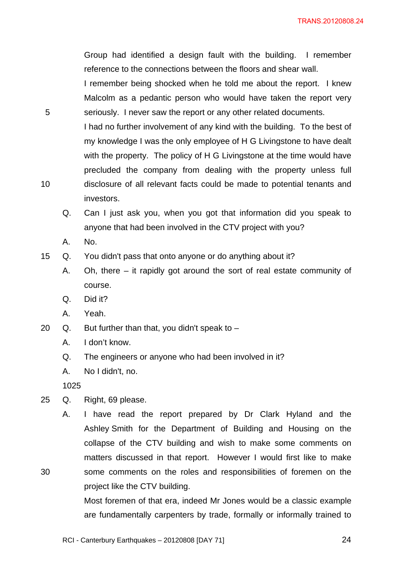Group had identified a design fault with the building. I remember reference to the connections between the floors and shear wall.

I remember being shocked when he told me about the report. I knew Malcolm as a pedantic person who would have taken the report very 5 seriously. I never saw the report or any other related documents.

I had no further involvement of any kind with the building. To the best of my knowledge I was the only employee of H G Livingstone to have dealt with the property. The policy of H G Livingstone at the time would have precluded the company from dealing with the property unless full 10 disclosure of all relevant facts could be made to potential tenants and investors.

- Q. Can I just ask you, when you got that information did you speak to anyone that had been involved in the CTV project with you?
- A. No.
- 15 Q. You didn't pass that onto anyone or do anything about it?
	- A. Oh, there it rapidly got around the sort of real estate community of course.
	- Q. Did it?
	- A. Yeah.
- 20 Q. But further than that, you didn't speak to  $-$ 
	- A. I don't know.
	- Q. The engineers or anyone who had been involved in it?
	- A. No I didn't, no.

1025

25 Q. Right, 69 please.

A. I have read the report prepared by Dr Clark Hyland and the Ashley Smith for the Department of Building and Housing on the collapse of the CTV building and wish to make some comments on matters discussed in that report. However I would first like to make 30 some comments on the roles and responsibilities of foremen on the project like the CTV building.

> Most foremen of that era, indeed Mr Jones would be a classic example are fundamentally carpenters by trade, formally or informally trained to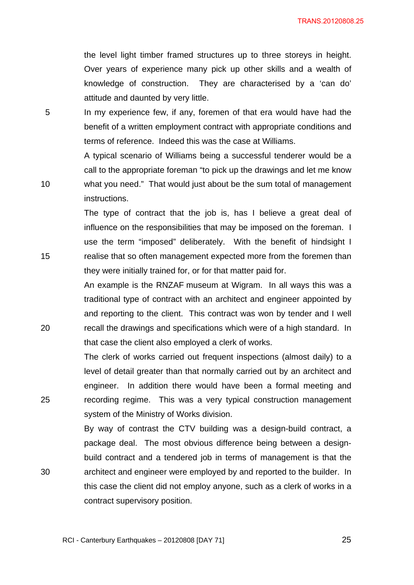the level light timber framed structures up to three storeys in height. Over years of experience many pick up other skills and a wealth of knowledge of construction. They are characterised by a 'can do' attitude and daunted by very little.

5 In my experience few, if any, foremen of that era would have had the benefit of a written employment contract with appropriate conditions and terms of reference. Indeed this was the case at Williams.

A typical scenario of Williams being a successful tenderer would be a call to the appropriate foreman "to pick up the drawings and let me know 10 what you need." That would just about be the sum total of management instructions.

The type of contract that the job is, has I believe a great deal of influence on the responsibilities that may be imposed on the foreman. I use the term "imposed" deliberately. With the benefit of hindsight I 15 realise that so often management expected more from the foremen than they were initially trained for, or for that matter paid for.

An example is the RNZAF museum at Wigram. In all ways this was a traditional type of contract with an architect and engineer appointed by and reporting to the client. This contract was won by tender and I well 20 recall the drawings and specifications which were of a high standard. In that case the client also employed a clerk of works.

The clerk of works carried out frequent inspections (almost daily) to a level of detail greater than that normally carried out by an architect and engineer. In addition there would have been a formal meeting and 25 recording regime. This was a very typical construction management system of the Ministry of Works division.

By way of contrast the CTV building was a design-build contract, a package deal. The most obvious difference being between a designbuild contract and a tendered job in terms of management is that the 30 architect and engineer were employed by and reported to the builder. In this case the client did not employ anyone, such as a clerk of works in a contract supervisory position.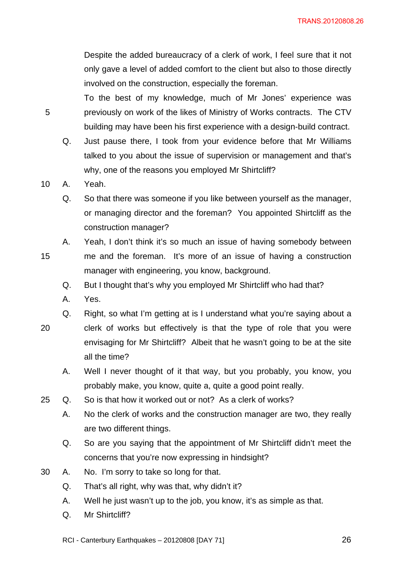Despite the added bureaucracy of a clerk of work, I feel sure that it not only gave a level of added comfort to the client but also to those directly involved on the construction, especially the foreman.

To the best of my knowledge, much of Mr Jones' experience was 5 previously on work of the likes of Ministry of Works contracts. The CTV building may have been his first experience with a design-build contract.

Q. Just pause there, I took from your evidence before that Mr Williams talked to you about the issue of supervision or management and that's why, one of the reasons you employed Mr Shirtcliff?

10 A. Yeah.

- Q. So that there was someone if you like between yourself as the manager, or managing director and the foreman? You appointed Shirtcliff as the construction manager?
- A. Yeah, I don't think it's so much an issue of having somebody between 15 me and the foreman. It's more of an issue of having a construction manager with engineering, you know, background.
	- Q. But I thought that's why you employed Mr Shirtcliff who had that?
	- A. Yes.

Q. Right, so what I'm getting at is I understand what you're saying about a

- 20 clerk of works but effectively is that the type of role that you were envisaging for Mr Shirtcliff? Albeit that he wasn't going to be at the site all the time?
	- A. Well I never thought of it that way, but you probably, you know, you probably make, you know, quite a, quite a good point really.
- 25 Q. So is that how it worked out or not? As a clerk of works?
	- A. No the clerk of works and the construction manager are two, they really are two different things.
	- Q. So are you saying that the appointment of Mr Shirtcliff didn't meet the concerns that you're now expressing in hindsight?
- 30 A. No. I'm sorry to take so long for that.
	- Q. That's all right, why was that, why didn't it?
	- A. Well he just wasn't up to the job, you know, it's as simple as that.
	- Q. Mr Shirtcliff?

RCI - Canterbury Earthquakes – 20120808 [DAY 71] 26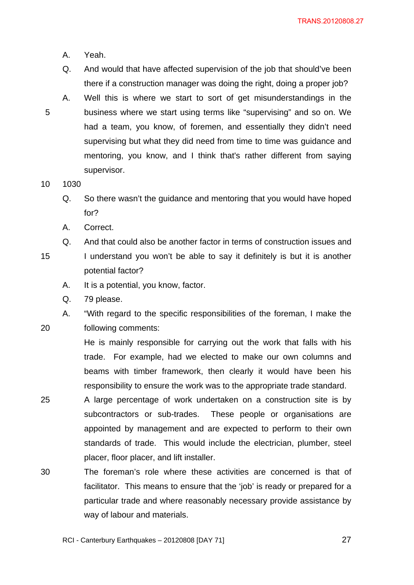A. Yeah.

- Q. And would that have affected supervision of the job that should've been there if a construction manager was doing the right, doing a proper job?
- 
- A. Well this is where we start to sort of get misunderstandings in the 5 business where we start using terms like "supervising" and so on. We had a team, you know, of foremen, and essentially they didn't need supervising but what they did need from time to time was guidance and mentoring, you know, and I think that's rather different from saying supervisor.
- 10 1030
	- Q. So there wasn't the guidance and mentoring that you would have hoped for?
	- A. Correct.
	- Q. And that could also be another factor in terms of construction issues and
- 15 I understand you won't be able to say it definitely is but it is another potential factor?
	- A. It is a potential, you know, factor.
	- Q. 79 please.

A. "With regard to the specific responsibilities of the foreman, I make the 20 following comments:

> He is mainly responsible for carrying out the work that falls with his trade. For example, had we elected to make our own columns and beams with timber framework, then clearly it would have been his responsibility to ensure the work was to the appropriate trade standard.

- 25 A large percentage of work undertaken on a construction site is by subcontractors or sub-trades. These people or organisations are appointed by management and are expected to perform to their own standards of trade. This would include the electrician, plumber, steel placer, floor placer, and lift installer.
- 30 The foreman's role where these activities are concerned is that of facilitator. This means to ensure that the 'job' is ready or prepared for a particular trade and where reasonably necessary provide assistance by way of labour and materials.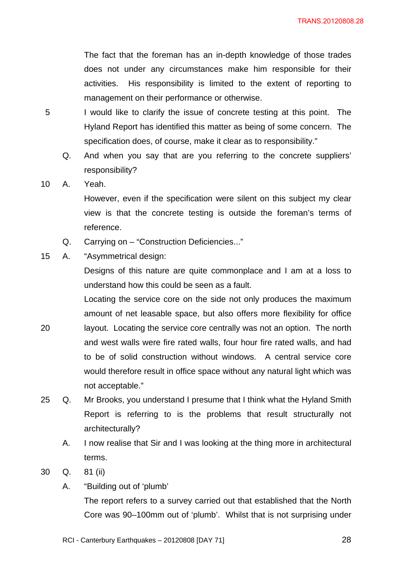The fact that the foreman has an in-depth knowledge of those trades does not under any circumstances make him responsible for their activities. His responsibility is limited to the extent of reporting to management on their performance or otherwise.

5 I would like to clarify the issue of concrete testing at this point. The Hyland Report has identified this matter as being of some concern. The specification does, of course, make it clear as to responsibility."

Q. And when you say that are you referring to the concrete suppliers' responsibility?

10 A. Yeah.

However, even if the specification were silent on this subject my clear view is that the concrete testing is outside the foreman's terms of reference.

- Q. Carrying on "Construction Deficiencies..."
- 15 A. "Asymmetrical design:

Designs of this nature are quite commonplace and I am at a loss to understand how this could be seen as a fault.

Locating the service core on the side not only produces the maximum amount of net leasable space, but also offers more flexibility for office 20 layout. Locating the service core centrally was not an option. The north and west walls were fire rated walls, four hour fire rated walls, and had to be of solid construction without windows. A central service core would therefore result in office space without any natural light which was not acceptable."

- 25 Q. Mr Brooks, you understand I presume that I think what the Hyland Smith Report is referring to is the problems that result structurally not architecturally?
	- A. I now realise that Sir and I was looking at the thing more in architectural terms.
- 30 Q. 81 (ii)
	- A. "Building out of 'plumb'

The report refers to a survey carried out that established that the North Core was 90–100mm out of 'plumb'. Whilst that is not surprising under

RCI - Canterbury Earthquakes – 20120808 [DAY 71] 28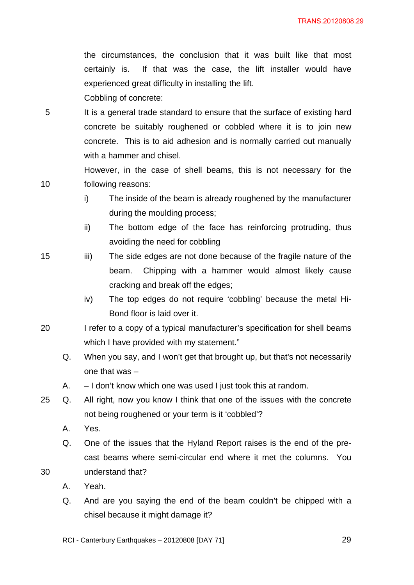the circumstances, the conclusion that it was built like that most certainly is. If that was the case, the lift installer would have experienced great difficulty in installing the lift.

Cobbling of concrete:

5 It is a general trade standard to ensure that the surface of existing hard concrete be suitably roughened or cobbled where it is to join new concrete. This is to aid adhesion and is normally carried out manually with a hammer and chisel.

However, in the case of shell beams, this is not necessary for the 10 following reasons:

- i) The inside of the beam is already roughened by the manufacturer during the moulding process;
- ii) The bottom edge of the face has reinforcing protruding, thus avoiding the need for cobbling
- 15 iii) The side edges are not done because of the fragile nature of the beam. Chipping with a hammer would almost likely cause cracking and break off the edges;
	- iv) The top edges do not require 'cobbling' because the metal Hi-Bond floor is laid over it.
- 20 I refer to a copy of a typical manufacturer's specification for shell beams which I have provided with my statement."
	- Q. When you say, and I won't get that brought up, but that's not necessarily one that was –
	- A. I don't know which one was used I just took this at random.
- 25 Q. All right, now you know I think that one of the issues with the concrete not being roughened or your term is it 'cobbled'?
	- A. Yes.
- Q. One of the issues that the Hyland Report raises is the end of the precast beams where semi-circular end where it met the columns. You 30 understand that?
	- A. Yeah.
	- Q. And are you saying the end of the beam couldn't be chipped with a chisel because it might damage it?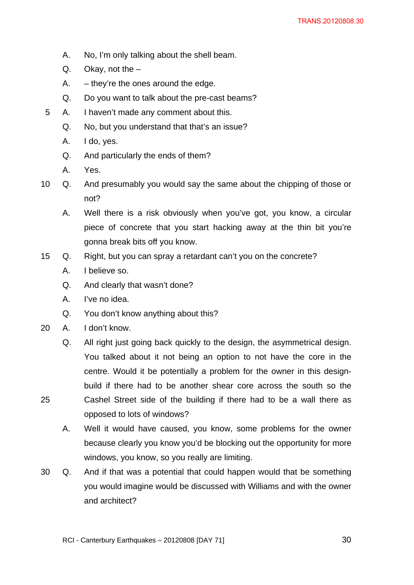- A. No, I'm only talking about the shell beam.
- Q. Okay, not the –
- $A. -$  they're the ones around the edge.
- Q. Do you want to talk about the pre-cast beams?
- 5 A. I haven't made any comment about this.
	- Q. No, but you understand that that's an issue?
	- A. I do, yes.
	- Q. And particularly the ends of them?
	- A. Yes.
- 10 Q. And presumably you would say the same about the chipping of those or not?
	- A. Well there is a risk obviously when you've got, you know, a circular piece of concrete that you start hacking away at the thin bit you're gonna break bits off you know.
- 15 Q. Right, but you can spray a retardant can't you on the concrete?
	- A. I believe so.
	- Q. And clearly that wasn't done?
	- A. I've no idea.
	- Q. You don't know anything about this?
- 20 A. I don't know.
- Q. All right just going back quickly to the design, the asymmetrical design. You talked about it not being an option to not have the core in the centre. Would it be potentially a problem for the owner in this designbuild if there had to be another shear core across the south so the 25 Cashel Street side of the building if there had to be a wall there as opposed to lots of windows?
	- A. Well it would have caused, you know, some problems for the owner because clearly you know you'd be blocking out the opportunity for more windows, you know, so you really are limiting.
- 30 Q. And if that was a potential that could happen would that be something you would imagine would be discussed with Williams and with the owner and architect?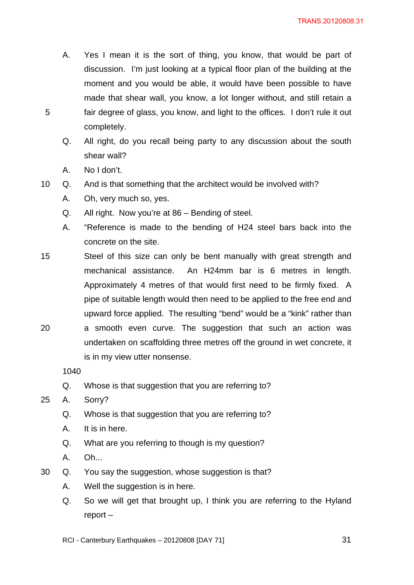- A. Yes I mean it is the sort of thing, you know, that would be part of discussion. I'm just looking at a typical floor plan of the building at the moment and you would be able, it would have been possible to have made that shear wall, you know, a lot longer without, and still retain a 5 fair degree of glass, you know, and light to the offices. I don't rule it out completely.
	- Q. All right, do you recall being party to any discussion about the south shear wall?
	- A. No I don't.
- 10 Q. And is that something that the architect would be involved with?
	- A. Oh, very much so, yes.
	- Q. All right. Now you're at 86 Bending of steel.
	- A. "Reference is made to the bending of H24 steel bars back into the concrete on the site.
- 15 Steel of this size can only be bent manually with great strength and mechanical assistance. An H24mm bar is 6 metres in length. Approximately 4 metres of that would first need to be firmly fixed. A pipe of suitable length would then need to be applied to the free end and upward force applied. The resulting "bend" would be a "kink" rather than 20 a smooth even curve. The suggestion that such an action was undertaken on scaffolding three metres off the ground in wet concrete, it

is in my view utter nonsense.

1040

- Q. Whose is that suggestion that you are referring to?
- 25 A. Sorry?
	- Q. Whose is that suggestion that you are referring to?
	- A. It is in here.
	- Q. What are you referring to though is my question?
	- A. Oh...
- 30 Q. You say the suggestion, whose suggestion is that?
	- A. Well the suggestion is in here.
	- Q. So we will get that brought up, I think you are referring to the Hyland report –

RCI - Canterbury Earthquakes – 20120808 [DAY 71] 31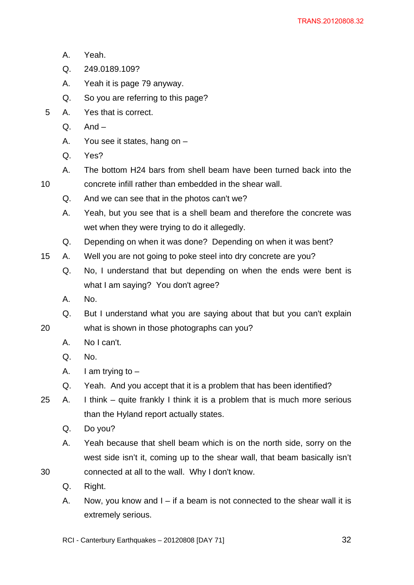- A. Yeah.
- Q. 249.0189.109?
- A. Yeah it is page 79 anyway.
- Q. So you are referring to this page?
- 5 A. Yes that is correct.
	- $Q$ . And  $-$
	- A. You see it states, hang on –
	- Q. Yes?
- A. The bottom H24 bars from shell beam have been turned back into the 10 concrete infill rather than embedded in the shear wall.
	- Q. And we can see that in the photos can't we?
	- A. Yeah, but you see that is a shell beam and therefore the concrete was wet when they were trying to do it allegedly.
	- Q. Depending on when it was done? Depending on when it was bent?
- 15 A. Well you are not going to poke steel into dry concrete are you?
	- Q. No, I understand that but depending on when the ends were bent is what I am saying? You don't agree?
	- A. No.
- Q. But I understand what you are saying about that but you can't explain 20 what is shown in those photographs can you?
	- A. No I can't.
	- Q. No.
	- A. I am trying to  $-$
	- Q. Yeah. And you accept that it is a problem that has been identified?
- 25 A. I think quite frankly I think it is a problem that is much more serious than the Hyland report actually states.
	- Q. Do you?
- A. Yeah because that shell beam which is on the north side, sorry on the west side isn't it, coming up to the shear wall, that beam basically isn't 30 connected at all to the wall. Why I don't know.
	- Q. Right.
	- A. Now, you know and  $I if a beam is not connected to the shear wall it is$ extremely serious.
	- RCI Canterbury Earthquakes 20120808 [DAY 71] 32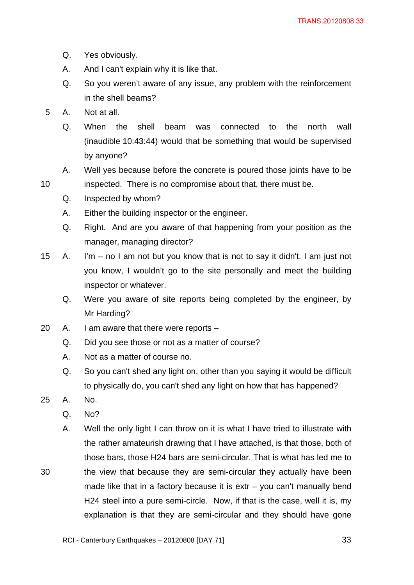- Q. Yes obviously.
- A. And I can't explain why it is like that.
- Q. So you weren't aware of any issue, any problem with the reinforcement in the shell beams?
- 5 A. Not at all.
	- Q. When the shell beam was connected to the north wall (inaudible 10:43:44) would that be something that would be supervised by anyone?
- A. Well yes because before the concrete is poured those joints have to be 10 inspected. There is no compromise about that, there must be.
	- Q. Inspected by whom?
	- A. Either the building inspector or the engineer.
	- Q. Right. And are you aware of that happening from your position as the manager, managing director?
- 15 A. I'm no I am not but you know that is not to say it didn't. I am just not you know, I wouldn't go to the site personally and meet the building inspector or whatever.
	- Q. Were you aware of site reports being completed by the engineer, by Mr Harding?
- 20 A. I am aware that there were reports
	- Q. Did you see those or not as a matter of course?
	- A. Not as a matter of course no.
	- Q. So you can't shed any light on, other than you saying it would be difficult to physically do, you can't shed any light on how that has happened?
- 25 A. No.
	- Q. No?
- A. Well the only light I can throw on it is what I have tried to illustrate with the rather amateurish drawing that I have attached, is that those, both of those bars, those H24 bars are semi-circular. That is what has led me to 30 the view that because they are semi-circular they actually have been made like that in a factory because it is  $ext{ext}$  – you can't manually bend H24 steel into a pure semi-circle. Now, if that is the case, well it is, my explanation is that they are semi-circular and they should have gone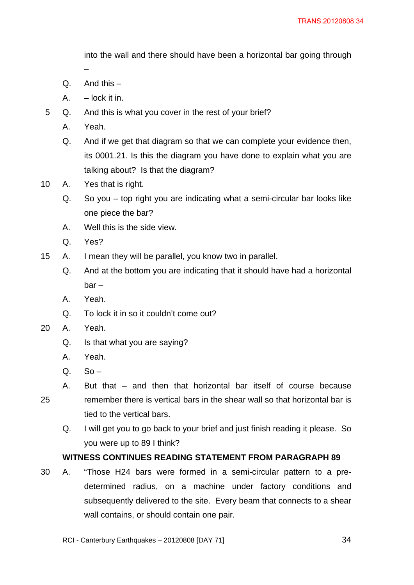into the wall and there should have been a horizontal bar going through

Q. And this –

–

- $A. lock it in.$
- 5 Q. And this is what you cover in the rest of your brief?
	- A. Yeah.
	- Q. And if we get that diagram so that we can complete your evidence then, its 0001.21. Is this the diagram you have done to explain what you are talking about? Is that the diagram?
- 10 A. Yes that is right.
	- Q. So you top right you are indicating what a semi-circular bar looks like one piece the bar?
	- A. Well this is the side view.
	- Q. Yes?
- 15 A. I mean they will be parallel, you know two in parallel.
	- Q. And at the bottom you are indicating that it should have had a horizontal bar –
	- A. Yeah.
	- Q. To lock it in so it couldn't come out?
- 20 A. Yeah.
	- Q. Is that what you are saying?
	- A. Yeah.
	- $Q.$  So –
- A. But that and then that horizontal bar itself of course because 25 remember there is vertical bars in the shear wall so that horizontal bar is tied to the vertical bars.
	- Q. I will get you to go back to your brief and just finish reading it please. So you were up to 89 I think?

# **WITNESS CONTINUES READING STATEMENT FROM PARAGRAPH 89**

30 A. "Those H24 bars were formed in a semi-circular pattern to a predetermined radius, on a machine under factory conditions and subsequently delivered to the site. Every beam that connects to a shear wall contains, or should contain one pair.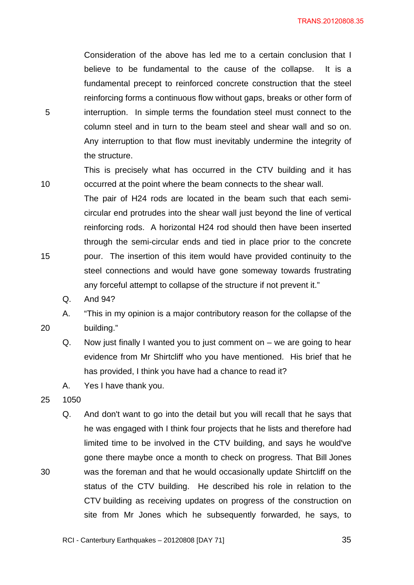Consideration of the above has led me to a certain conclusion that I believe to be fundamental to the cause of the collapse. It is a fundamental precept to reinforced concrete construction that the steel reinforcing forms a continuous flow without gaps, breaks or other form of 5 interruption. In simple terms the foundation steel must connect to the column steel and in turn to the beam steel and shear wall and so on. Any interruption to that flow must inevitably undermine the integrity of the structure.

This is precisely what has occurred in the CTV building and it has 10 occurred at the point where the beam connects to the shear wall.

The pair of H24 rods are located in the beam such that each semicircular end protrudes into the shear wall just beyond the line of vertical reinforcing rods. A horizontal H24 rod should then have been inserted through the semi-circular ends and tied in place prior to the concrete 15 pour. The insertion of this item would have provided continuity to the steel connections and would have gone someway towards frustrating any forceful attempt to collapse of the structure if not prevent it."

Q. And 94?

A. "This in my opinion is a major contributory reason for the collapse of the 20 building."

Q. Now just finally I wanted you to just comment on – we are going to hear evidence from Mr Shirtcliff who you have mentioned. His brief that he has provided, I think you have had a chance to read it?

A. Yes I have thank you.

25 1050

Q. And don't want to go into the detail but you will recall that he says that he was engaged with I think four projects that he lists and therefore had limited time to be involved in the CTV building, and says he would've gone there maybe once a month to check on progress. That Bill Jones 30 was the foreman and that he would occasionally update Shirtcliff on the status of the CTV building. He described his role in relation to the CTV building as receiving updates on progress of the construction on site from Mr Jones which he subsequently forwarded, he says, to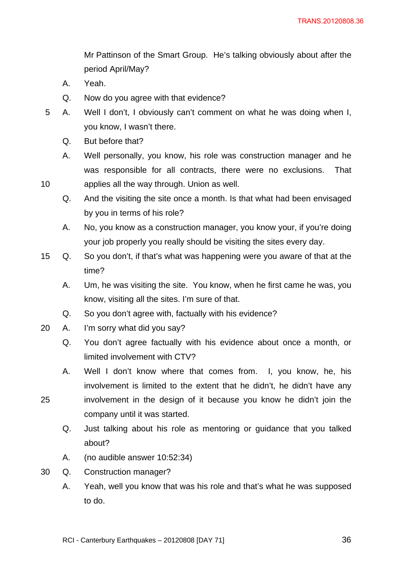Mr Pattinson of the Smart Group. He's talking obviously about after the period April/May?

- A. Yeah.
- Q. Now do you agree with that evidence?
- 5 A. Well I don't, I obviously can't comment on what he was doing when I, you know, I wasn't there.
	- Q. But before that?
- A. Well personally, you know, his role was construction manager and he was responsible for all contracts, there were no exclusions. That 10 applies all the way through. Union as well.
	- Q. And the visiting the site once a month. Is that what had been envisaged by you in terms of his role?
	- A. No, you know as a construction manager, you know your, if you're doing your job properly you really should be visiting the sites every day.
- 15 Q. So you don't, if that's what was happening were you aware of that at the time?
	- A. Um, he was visiting the site. You know, when he first came he was, you know, visiting all the sites. I'm sure of that.
	- Q. So you don't agree with, factually with his evidence?
- 20 A. I'm sorry what did you say?
	- Q. You don't agree factually with his evidence about once a month, or limited involvement with CTV?
	- A. Well I don't know where that comes from. I, you know, he, his involvement is limited to the extent that he didn't, he didn't have any
- 25 involvement in the design of it because you know he didn't join the company until it was started.
	- Q. Just talking about his role as mentoring or guidance that you talked about?
	- A. (no audible answer 10:52:34)
- 30 Q. Construction manager?
	- A. Yeah, well you know that was his role and that's what he was supposed to do.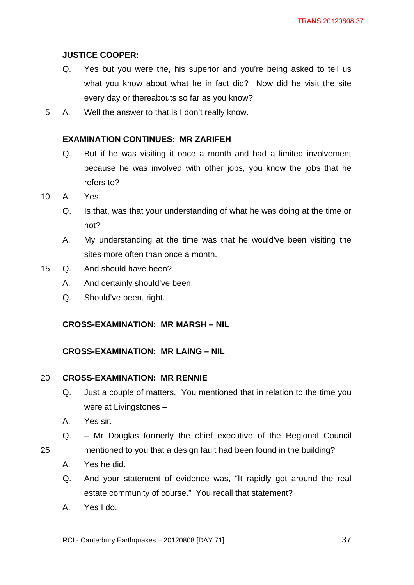## **JUSTICE COOPER:**

- Q. Yes but you were the, his superior and you're being asked to tell us what you know about what he in fact did? Now did he visit the site every day or thereabouts so far as you know?
- 5 A. Well the answer to that is I don't really know.

### **EXAMINATION CONTINUES: MR ZARIFEH**

- Q. But if he was visiting it once a month and had a limited involvement because he was involved with other jobs, you know the jobs that he refers to?
- 10 A. Yes.
	- Q. Is that, was that your understanding of what he was doing at the time or not?
	- A. My understanding at the time was that he would've been visiting the sites more often than once a month.
- 15 Q. And should have been?
	- A. And certainly should've been.
	- Q. Should've been, right.

### **CROSS-EXAMINATION: MR MARSH – NIL**

### **CROSS-EXAMINATION: MR LAING – NIL**

### 20 **CROSS-EXAMINATION: MR RENNIE**

- Q. Just a couple of matters. You mentioned that in relation to the time you were at Livingstones –
- A. Yes sir.
- Q. Mr Douglas formerly the chief executive of the Regional Council
- 25 mentioned to you that a design fault had been found in the building?
	- A. Yes he did.
	- Q. And your statement of evidence was, "It rapidly got around the real estate community of course." You recall that statement?
	- A. Yes I do.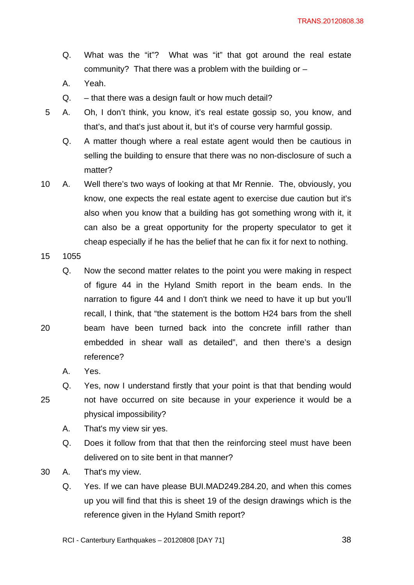- Q. What was the "it"? What was "it" that got around the real estate community? That there was a problem with the building or –
- A. Yeah.
- Q. that there was a design fault or how much detail?
- 5 A. Oh, I don't think, you know, it's real estate gossip so, you know, and that's, and that's just about it, but it's of course very harmful gossip.
	- Q. A matter though where a real estate agent would then be cautious in selling the building to ensure that there was no non-disclosure of such a matter?
- 10 A. Well there's two ways of looking at that Mr Rennie. The, obviously, you know, one expects the real estate agent to exercise due caution but it's also when you know that a building has got something wrong with it, it can also be a great opportunity for the property speculator to get it cheap especially if he has the belief that he can fix it for next to nothing.
- 15 1055

Q. Now the second matter relates to the point you were making in respect of figure 44 in the Hyland Smith report in the beam ends. In the narration to figure 44 and I don't think we need to have it up but you'll recall, I think, that "the statement is the bottom H24 bars from the shell 20 beam have been turned back into the concrete infill rather than embedded in shear wall as detailed", and then there's a design reference?

A. Yes.

Q. Yes, now I understand firstly that your point is that that bending would 25 not have occurred on site because in your experience it would be a physical impossibility?

- A. That's my view sir yes.
- Q. Does it follow from that that then the reinforcing steel must have been delivered on to site bent in that manner?
- 30 A. That's my view.
	- Q. Yes. If we can have please BUI.MAD249.284.20, and when this comes up you will find that this is sheet 19 of the design drawings which is the reference given in the Hyland Smith report?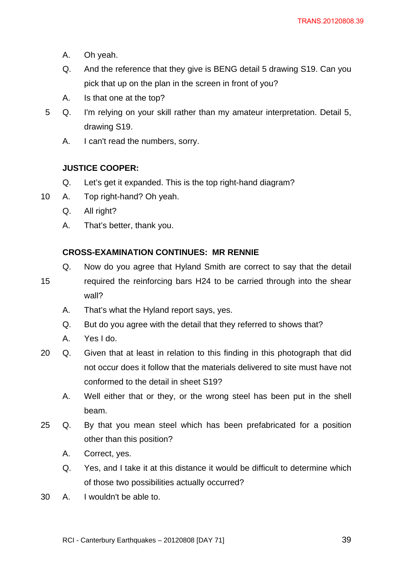- A. Oh yeah.
- Q. And the reference that they give is BENG detail 5 drawing S19. Can you pick that up on the plan in the screen in front of you?
- A. Is that one at the top?
- 5 Q. I'm relying on your skill rather than my amateur interpretation. Detail 5, drawing S19.
	- A. I can't read the numbers, sorry.

## **JUSTICE COOPER:**

- Q. Let's get it expanded. This is the top right-hand diagram?
- 10 A. Top right-hand? Oh yeah.
	- Q. All right?
	- A. That's better, thank you.

## **CROSS-EXAMINATION CONTINUES: MR RENNIE**

- Q. Now do you agree that Hyland Smith are correct to say that the detail
- 15 required the reinforcing bars H24 to be carried through into the shear wall?
	- A. That's what the Hyland report says, yes.
	- Q. But do you agree with the detail that they referred to shows that?
	- A. Yes I do.
- 20 Q. Given that at least in relation to this finding in this photograph that did not occur does it follow that the materials delivered to site must have not conformed to the detail in sheet S19?
	- A. Well either that or they, or the wrong steel has been put in the shell beam.
- 25 Q. By that you mean steel which has been prefabricated for a position other than this position?
	- A. Correct, yes.
	- Q. Yes, and I take it at this distance it would be difficult to determine which of those two possibilities actually occurred?
- 30 A. I wouldn't be able to.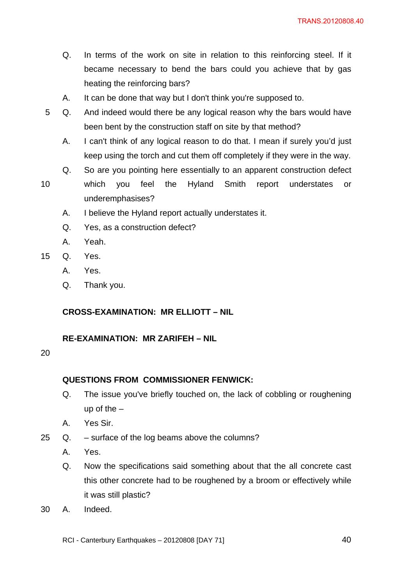- Q. In terms of the work on site in relation to this reinforcing steel. If it became necessary to bend the bars could you achieve that by gas heating the reinforcing bars?
- A. It can be done that way but I don't think you're supposed to.
- 5 Q. And indeed would there be any logical reason why the bars would have been bent by the construction staff on site by that method?
	- A. I can't think of any logical reason to do that. I mean if surely you'd just keep using the torch and cut them off completely if they were in the way.
	- Q. So are you pointing here essentially to an apparent construction defect
- 10 which you feel the Hyland Smith report understates or underemphasises?
	- A. I believe the Hyland report actually understates it.
	- Q. Yes, as a construction defect?
	- A. Yeah.
- 15 Q. Yes.
	- A. Yes.
	- Q. Thank you.

### **CROSS-EXAMINATION: MR ELLIOTT – NIL**

#### **RE-EXAMINATION: MR ZARIFEH – NIL**

#### 20

### **QUESTIONS FROM COMMISSIONER FENWICK:**

- Q. The issue you've briefly touched on, the lack of cobbling or roughening up of the –
- A. Yes Sir.
- 25 Q. surface of the log beams above the columns?
	- A. Yes.
	- Q. Now the specifications said something about that the all concrete cast this other concrete had to be roughened by a broom or effectively while it was still plastic?
- 30 A. Indeed.
	- RCI Canterbury Earthquakes 20120808 [DAY 71] 40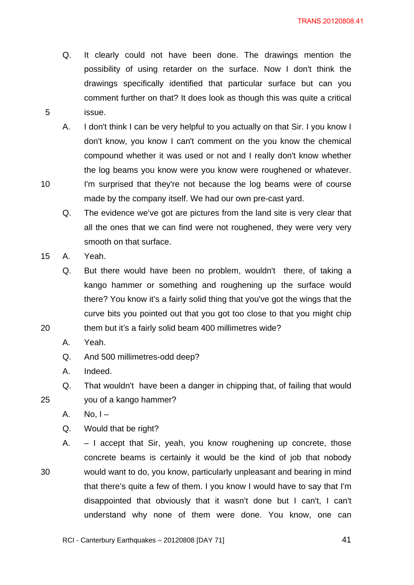- Q. It clearly could not have been done. The drawings mention the possibility of using retarder on the surface. Now I don't think the drawings specifically identified that particular surface but can you comment further on that? It does look as though this was quite a critical 5 issue.
	- A. I don't think I can be very helpful to you actually on that Sir. I you know I don't know, you know I can't comment on the you know the chemical compound whether it was used or not and I really don't know whether the log beams you know were you know were roughened or whatever.
- 10 I'm surprised that they're not because the log beams were of course made by the company itself. We had our own pre-cast yard.
	- Q. The evidence we've got are pictures from the land site is very clear that all the ones that we can find were not roughened, they were very very smooth on that surface.
- 15 A. Yeah.
- Q. But there would have been no problem, wouldn't there, of taking a kango hammer or something and roughening up the surface would there? You know it's a fairly solid thing that you've got the wings that the curve bits you pointed out that you got too close to that you might chip 20 them but it's a fairly solid beam 400 millimetres wide?
	- A. Yeah.
	- Q. And 500 millimetres-odd deep?
	- A. Indeed.
- Q. That wouldn't have been a danger in chipping that, of failing that would 25 you of a kango hammer?
	- A. No,  $I -$
	- Q. Would that be right?

A. – I accept that Sir, yeah, you know roughening up concrete, those concrete beams is certainly it would be the kind of job that nobody 30 would want to do, you know, particularly unpleasant and bearing in mind that there's quite a few of them. I you know I would have to say that I'm disappointed that obviously that it wasn't done but I can't, I can't understand why none of them were done. You know, one can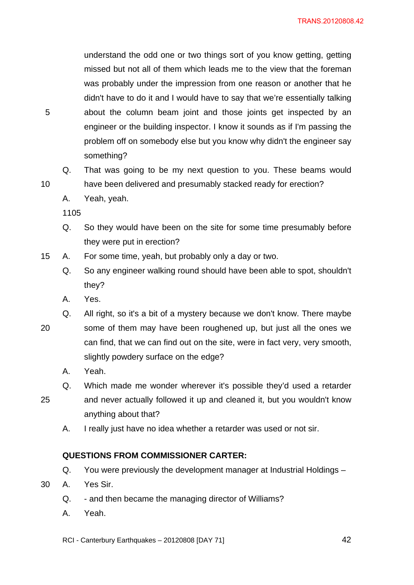understand the odd one or two things sort of you know getting, getting missed but not all of them which leads me to the view that the foreman was probably under the impression from one reason or another that he didn't have to do it and I would have to say that we're essentially talking 5 about the column beam joint and those joints get inspected by an engineer or the building inspector. I know it sounds as if I'm passing the problem off on somebody else but you know why didn't the engineer say something?

- Q. That was going to be my next question to you. These beams would 10 have been delivered and presumably stacked ready for erection?
	- A. Yeah, yeah.

1105

- Q. So they would have been on the site for some time presumably before they were put in erection?
- 15 A. For some time, yeah, but probably only a day or two.
	- Q. So any engineer walking round should have been able to spot, shouldn't they?
	- A. Yes.
	- Q. All right, so it's a bit of a mystery because we don't know. There maybe
- 20 some of them may have been roughened up, but just all the ones we can find, that we can find out on the site, were in fact very, very smooth, slightly powdery surface on the edge?
	- A. Yeah.
	- Q. Which made me wonder wherever it's possible they'd used a retarder
- 25 and never actually followed it up and cleaned it, but you wouldn't know anything about that?
	- A. I really just have no idea whether a retarder was used or not sir.

## **QUESTIONS FROM COMMISSIONER CARTER:**

- Q. You were previously the development manager at Industrial Holdings –
- 30 A. Yes Sir.
	- Q. and then became the managing director of Williams?
	- A. Yeah.
	- RCI Canterbury Earthquakes 20120808 [DAY 71] 42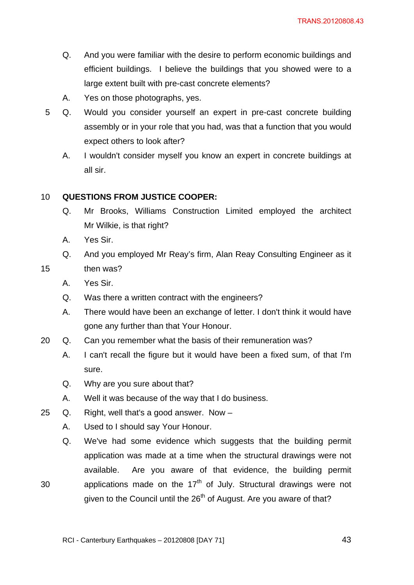- Q. And you were familiar with the desire to perform economic buildings and efficient buildings. I believe the buildings that you showed were to a large extent built with pre-cast concrete elements?
- A. Yes on those photographs, yes.
- 5 Q. Would you consider yourself an expert in pre-cast concrete building assembly or in your role that you had, was that a function that you would expect others to look after?
	- A. I wouldn't consider myself you know an expert in concrete buildings at all sir.

### 10 **QUESTIONS FROM JUSTICE COOPER:**

- Q. Mr Brooks, Williams Construction Limited employed the architect Mr Wilkie, is that right?
- A. Yes Sir.
- Q. And you employed Mr Reay's firm, Alan Reay Consulting Engineer as it 15 then was?
	- A. Yes Sir.
	- Q. Was there a written contract with the engineers?
	- A. There would have been an exchange of letter. I don't think it would have gone any further than that Your Honour.
- 20 Q. Can you remember what the basis of their remuneration was?
	- A. I can't recall the figure but it would have been a fixed sum, of that I'm sure.
	- Q. Why are you sure about that?
	- A. Well it was because of the way that I do business.
- 25 Q. Right, well that's a good answer. Now
	- A. Used to I should say Your Honour.
- Q. We've had some evidence which suggests that the building permit application was made at a time when the structural drawings were not available. Are you aware of that evidence, the building permit 30  $\mu$  applications made on the 17<sup>th</sup> of July. Structural drawings were not
	- given to the Council until the  $26<sup>th</sup>$  of August. Are you aware of that?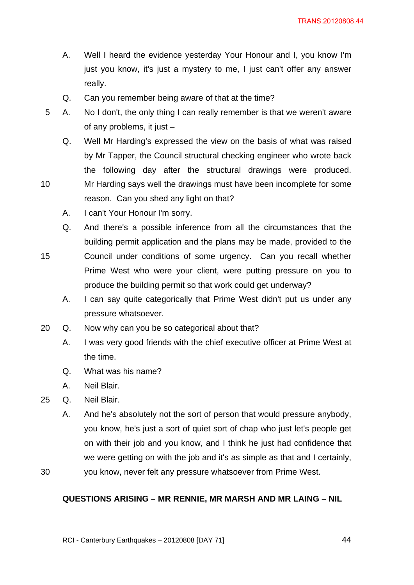- A. Well I heard the evidence yesterday Your Honour and I, you know I'm just you know, it's just a mystery to me, I just can't offer any answer really.
- Q. Can you remember being aware of that at the time?
- 5 A. No I don't, the only thing I can really remember is that we weren't aware of any problems, it just –
	- Q. Well Mr Harding's expressed the view on the basis of what was raised by Mr Tapper, the Council structural checking engineer who wrote back the following day after the structural drawings were produced.
- 10 Mr Harding says well the drawings must have been incomplete for some reason. Can you shed any light on that?
	- A. I can't Your Honour I'm sorry.
	- Q. And there's a possible inference from all the circumstances that the building permit application and the plans may be made, provided to the
- 15 Council under conditions of some urgency. Can you recall whether Prime West who were your client, were putting pressure on you to produce the building permit so that work could get underway?
	- A. I can say quite categorically that Prime West didn't put us under any pressure whatsoever.
- 20 Q. Now why can you be so categorical about that?
	- A. I was very good friends with the chief executive officer at Prime West at the time.
	- Q. What was his name?
	- A. Neil Blair.
- 25 Q. Neil Blair.
	- A. And he's absolutely not the sort of person that would pressure anybody, you know, he's just a sort of quiet sort of chap who just let's people get on with their job and you know, and I think he just had confidence that we were getting on with the job and it's as simple as that and I certainly,

30 you know, never felt any pressure whatsoever from Prime West.

### **QUESTIONS ARISING – MR RENNIE, MR MARSH AND MR LAING – NIL**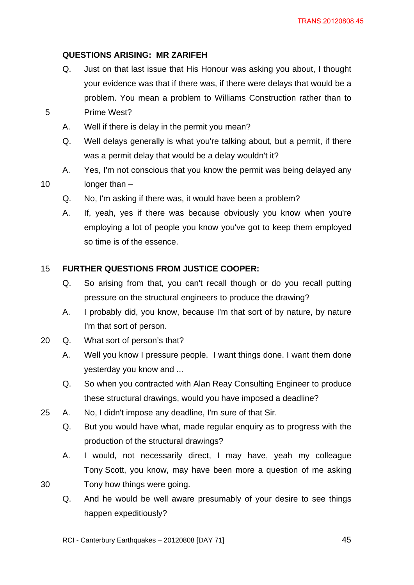### **QUESTIONS ARISING: MR ZARIFEH**

- Q. Just on that last issue that His Honour was asking you about, I thought your evidence was that if there was, if there were delays that would be a problem. You mean a problem to Williams Construction rather than to 5 Prime West?
	- A. Well if there is delay in the permit you mean?
	- Q. Well delays generally is what you're talking about, but a permit, if there was a permit delay that would be a delay wouldn't it?
- A. Yes, I'm not conscious that you know the permit was being delayed any 10 longer than –

Q. No, I'm asking if there was, it would have been a problem?

A. If, yeah, yes if there was because obviously you know when you're employing a lot of people you know you've got to keep them employed so time is of the essence.

### 15 **FURTHER QUESTIONS FROM JUSTICE COOPER:**

- Q. So arising from that, you can't recall though or do you recall putting pressure on the structural engineers to produce the drawing?
- A. I probably did, you know, because I'm that sort of by nature, by nature I'm that sort of person.
- 20 Q. What sort of person's that?
	- A. Well you know I pressure people. I want things done. I want them done yesterday you know and ...
	- Q. So when you contracted with Alan Reay Consulting Engineer to produce these structural drawings, would you have imposed a deadline?
- 25 A. No, I didn't impose any deadline, I'm sure of that Sir.
	- Q. But you would have what, made regular enquiry as to progress with the production of the structural drawings?
- A. I would, not necessarily direct, I may have, yeah my colleague Tony Scott, you know, may have been more a question of me asking 30 Tony how things were going.
	- Q. And he would be well aware presumably of your desire to see things happen expeditiously?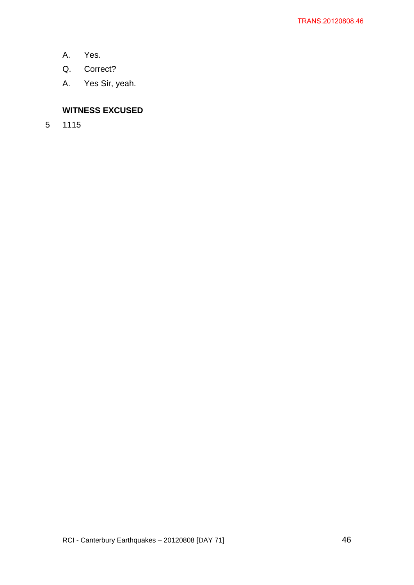- A. Yes.
- Q. Correct?
- A. Yes Sir, yeah.

### **WITNESS EXCUSED**

5 1115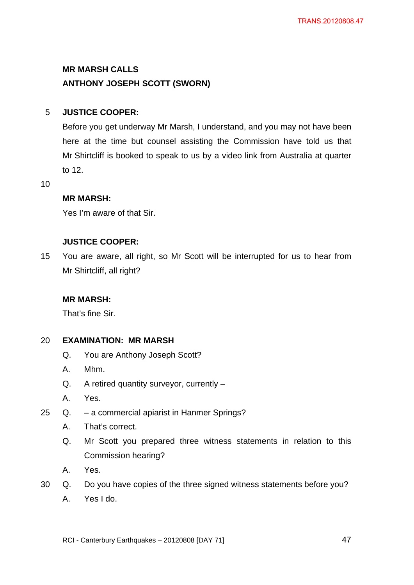## **MR MARSH CALLS**

## **ANTHONY JOSEPH SCOTT (SWORN)**

## 5 **JUSTICE COOPER:**

Before you get underway Mr Marsh, I understand, and you may not have been here at the time but counsel assisting the Commission have told us that Mr Shirtcliff is booked to speak to us by a video link from Australia at quarter to 12.

10

### **MR MARSH:**

Yes I'm aware of that Sir.

### **JUSTICE COOPER:**

15 You are aware, all right, so Mr Scott will be interrupted for us to hear from Mr Shirtcliff, all right?

## **MR MARSH:**

That's fine Sir.

### 20 **EXAMINATION: MR MARSH**

- Q. You are Anthony Joseph Scott?
- A. Mhm.
- Q. A retired quantity surveyor, currently –
- A. Yes.
- 25 Q. a commercial apiarist in Hanmer Springs?
	- A. That's correct.
	- Q. Mr Scott you prepared three witness statements in relation to this Commission hearing?
	- A. Yes.
- 30 Q. Do you have copies of the three signed witness statements before you?
	- A. Yes I do.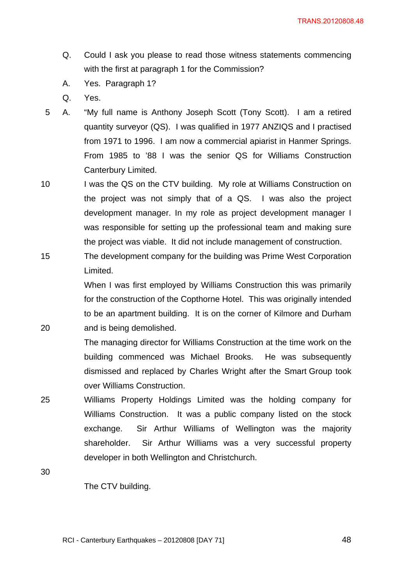- Q. Could I ask you please to read those witness statements commencing with the first at paragraph 1 for the Commission?
- A. Yes. Paragraph 1?
- Q. Yes.
- 5 A. "My full name is Anthony Joseph Scott (Tony Scott). I am a retired quantity surveyor (QS). I was qualified in 1977 ANZIQS and I practised from 1971 to 1996. I am now a commercial apiarist in Hanmer Springs. From 1985 to '88 I was the senior QS for Williams Construction Canterbury Limited.
- 10 I was the QS on the CTV building. My role at Williams Construction on the project was not simply that of a QS. I was also the project development manager. In my role as project development manager I was responsible for setting up the professional team and making sure the project was viable. It did not include management of construction.
- 15 The development company for the building was Prime West Corporation Limited.

When I was first employed by Williams Construction this was primarily for the construction of the Copthorne Hotel. This was originally intended to be an apartment building. It is on the corner of Kilmore and Durham 20 and is being demolished.

The managing director for Williams Construction at the time work on the building commenced was Michael Brooks. He was subsequently dismissed and replaced by Charles Wright after the Smart Group took over Williams Construction.

25 Williams Property Holdings Limited was the holding company for Williams Construction. It was a public company listed on the stock exchange. Sir Arthur Williams of Wellington was the majority shareholder. Sir Arthur Williams was a very successful property developer in both Wellington and Christchurch.

30

The CTV building.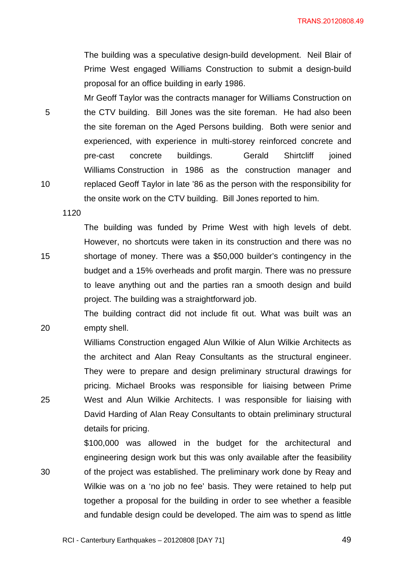The building was a speculative design-build development. Neil Blair of Prime West engaged Williams Construction to submit a design-build proposal for an office building in early 1986.

Mr Geoff Taylor was the contracts manager for Williams Construction on 5 the CTV building. Bill Jones was the site foreman. He had also been the site foreman on the Aged Persons building. Both were senior and experienced, with experience in multi-storey reinforced concrete and pre-cast concrete buildings. Gerald Shirtcliff joined Williams Construction in 1986 as the construction manager and 10 replaced Geoff Taylor in late '86 as the person with the responsibility for the onsite work on the CTV building. Bill Jones reported to him.

1120

The building was funded by Prime West with high levels of debt. However, no shortcuts were taken in its construction and there was no 15 shortage of money. There was a \$50,000 builder's contingency in the budget and a 15% overheads and profit margin. There was no pressure to leave anything out and the parties ran a smooth design and build project. The building was a straightforward job.

The building contract did not include fit out. What was built was an 20 empty shell.

Williams Construction engaged Alun Wilkie of Alun Wilkie Architects as the architect and Alan Reay Consultants as the structural engineer. They were to prepare and design preliminary structural drawings for pricing. Michael Brooks was responsible for liaising between Prime 25 West and Alun Wilkie Architects. I was responsible for liaising with David Harding of Alan Reay Consultants to obtain preliminary structural details for pricing.

\$100,000 was allowed in the budget for the architectural and engineering design work but this was only available after the feasibility 30 of the project was established. The preliminary work done by Reay and Wilkie was on a 'no job no fee' basis. They were retained to help put together a proposal for the building in order to see whether a feasible and fundable design could be developed. The aim was to spend as little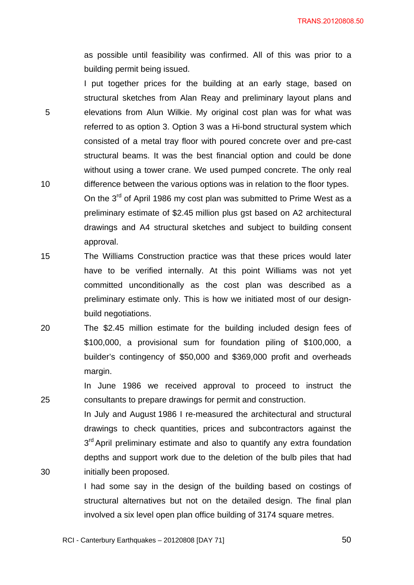as possible until feasibility was confirmed. All of this was prior to a building permit being issued.

I put together prices for the building at an early stage, based on structural sketches from Alan Reay and preliminary layout plans and 5 elevations from Alun Wilkie. My original cost plan was for what was referred to as option 3. Option 3 was a Hi-bond structural system which consisted of a metal tray floor with poured concrete over and pre-cast structural beams. It was the best financial option and could be done without using a tower crane. We used pumped concrete. The only real 10 difference between the various options was in relation to the floor types.

On the 3<sup>rd</sup> of April 1986 my cost plan was submitted to Prime West as a preliminary estimate of \$2.45 million plus gst based on A2 architectural drawings and A4 structural sketches and subject to building consent approval.

- 15 The Williams Construction practice was that these prices would later have to be verified internally. At this point Williams was not yet committed unconditionally as the cost plan was described as a preliminary estimate only. This is how we initiated most of our designbuild negotiations.
- 20 The \$2.45 million estimate for the building included design fees of \$100,000, a provisional sum for foundation piling of \$100,000, a builder's contingency of \$50,000 and \$369,000 profit and overheads margin.

In June 1986 we received approval to proceed to instruct the 25 consultants to prepare drawings for permit and construction.

In July and August 1986 I re-measured the architectural and structural drawings to check quantities, prices and subcontractors against the 3<sup>rd</sup> April preliminary estimate and also to quantify any extra foundation depths and support work due to the deletion of the bulb piles that had 30 initially been proposed.

> I had some say in the design of the building based on costings of structural alternatives but not on the detailed design. The final plan involved a six level open plan office building of 3174 square metres.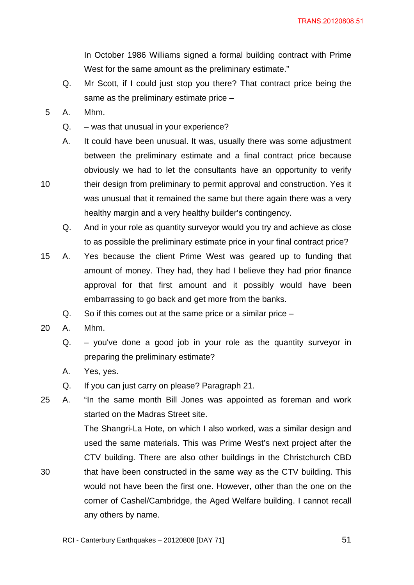In October 1986 Williams signed a formal building contract with Prime West for the same amount as the preliminary estimate."

- Q. Mr Scott, if I could just stop you there? That contract price being the same as the preliminary estimate price –
- 5 A. Mhm.
	- Q. was that unusual in your experience?
- A. It could have been unusual. It was, usually there was some adjustment between the preliminary estimate and a final contract price because obviously we had to let the consultants have an opportunity to verify 10 their design from preliminary to permit approval and construction. Yes it was unusual that it remained the same but there again there was a very healthy margin and a very healthy builder's contingency.
	- Q. And in your role as quantity surveyor would you try and achieve as close to as possible the preliminary estimate price in your final contract price?
- 15 A. Yes because the client Prime West was geared up to funding that amount of money. They had, they had I believe they had prior finance approval for that first amount and it possibly would have been embarrassing to go back and get more from the banks.
	- Q. So if this comes out at the same price or a similar price –
- 20 A. Mhm.
	- Q. you've done a good job in your role as the quantity surveyor in preparing the preliminary estimate?
	- A. Yes, yes.
	- Q. If you can just carry on please? Paragraph 21.
- 25 A. "In the same month Bill Jones was appointed as foreman and work started on the Madras Street site.

The Shangri-La Hote, on which I also worked, was a similar design and used the same materials. This was Prime West's next project after the CTV building. There are also other buildings in the Christchurch CBD 30 that have been constructed in the same way as the CTV building. This would not have been the first one. However, other than the one on the corner of Cashel/Cambridge, the Aged Welfare building. I cannot recall any others by name.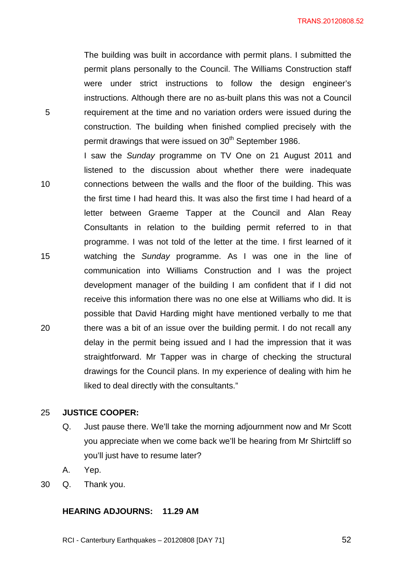The building was built in accordance with permit plans. I submitted the permit plans personally to the Council. The Williams Construction staff were under strict instructions to follow the design engineer's instructions. Although there are no as-built plans this was not a Council 5 requirement at the time and no variation orders were issued during the construction. The building when finished complied precisely with the permit drawings that were issued on 30<sup>th</sup> September 1986.

I saw the *Sunday* programme on TV One on 21 August 2011 and listened to the discussion about whether there were inadequate 10 connections between the walls and the floor of the building. This was the first time I had heard this. It was also the first time I had heard of a letter between Graeme Tapper at the Council and Alan Reay Consultants in relation to the building permit referred to in that programme. I was not told of the letter at the time. I first learned of it 15 watching the *Sunday* programme. As I was one in the line of communication into Williams Construction and I was the project development manager of the building I am confident that if I did not receive this information there was no one else at Williams who did. It is possible that David Harding might have mentioned verbally to me that 20 there was a bit of an issue over the building permit. I do not recall any delay in the permit being issued and I had the impression that it was straightforward. Mr Tapper was in charge of checking the structural drawings for the Council plans. In my experience of dealing with him he liked to deal directly with the consultants."

#### 25 **JUSTICE COOPER:**

- Q. Just pause there. We'll take the morning adjournment now and Mr Scott you appreciate when we come back we'll be hearing from Mr Shirtcliff so you'll just have to resume later?
- A. Yep.
- 30 Q. Thank you.

#### **HEARING ADJOURNS: 11.29 AM**

RCI - Canterbury Earthquakes – 20120808 [DAY 71] 52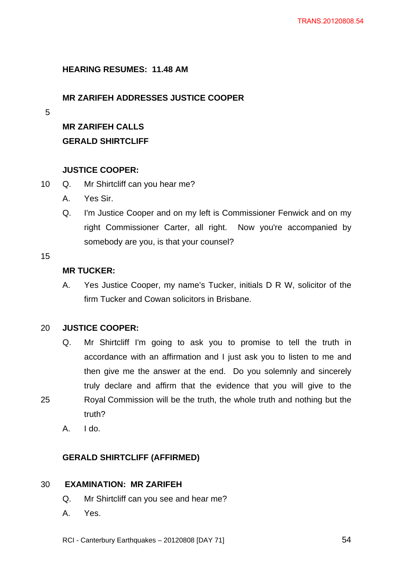### **HEARING RESUMES: 11.48 AM**

## **MR ZARIFEH ADDRESSES JUSTICE COOPER**

5

## **MR ZARIFEH CALLS**

## **GERALD SHIRTCLIFF**

### **JUSTICE COOPER:**

- 10 Q. Mr Shirtcliff can you hear me?
	- A. Yes Sir.
	- Q. I'm Justice Cooper and on my left is Commissioner Fenwick and on my right Commissioner Carter, all right. Now you're accompanied by somebody are you, is that your counsel?

15

## **MR TUCKER:**

A. Yes Justice Cooper, my name's Tucker, initials D R W, solicitor of the firm Tucker and Cowan solicitors in Brisbane.

### 20 **JUSTICE COOPER:**

- Q. Mr Shirtcliff I'm going to ask you to promise to tell the truth in accordance with an affirmation and I just ask you to listen to me and then give me the answer at the end. Do you solemnly and sincerely truly declare and affirm that the evidence that you will give to the 25 Royal Commission will be the truth, the whole truth and nothing but the truth?
	- A. I do.

### **GERALD SHIRTCLIFF (AFFIRMED)**

### 30 **EXAMINATION: MR ZARIFEH**

- Q. Mr Shirtcliff can you see and hear me?
- A. Yes.
- RCI Canterbury Earthquakes 20120808 [DAY 71] 54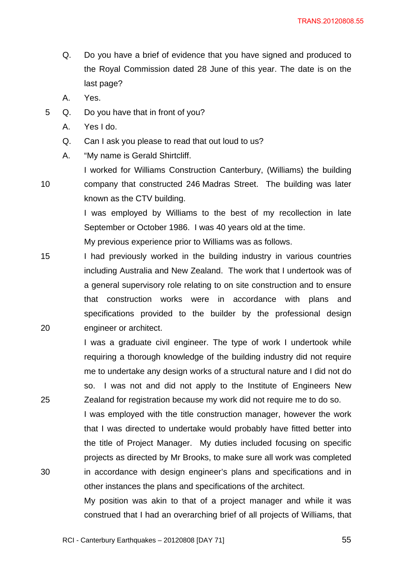- Q. Do you have a brief of evidence that you have signed and produced to the Royal Commission dated 28 June of this year. The date is on the last page?
- A. Yes.
- 5 Q. Do you have that in front of you?
	- A. Yes I do.
	- Q. Can I ask you please to read that out loud to us?
	- A. "My name is Gerald Shirtcliff.

I worked for Williams Construction Canterbury, (Williams) the building 10 company that constructed 246 Madras Street. The building was later known as the CTV building.

> I was employed by Williams to the best of my recollection in late September or October 1986. I was 40 years old at the time.

My previous experience prior to Williams was as follows.

15 I had previously worked in the building industry in various countries including Australia and New Zealand. The work that I undertook was of a general supervisory role relating to on site construction and to ensure that construction works were in accordance with plans and specifications provided to the builder by the professional design 20 engineer or architect.

I was a graduate civil engineer. The type of work I undertook while requiring a thorough knowledge of the building industry did not require me to undertake any design works of a structural nature and I did not do so. I was not and did not apply to the Institute of Engineers New 25 Zealand for registration because my work did not require me to do so.

I was employed with the title construction manager, however the work that I was directed to undertake would probably have fitted better into the title of Project Manager. My duties included focusing on specific projects as directed by Mr Brooks, to make sure all work was completed 30 in accordance with design engineer's plans and specifications and in other instances the plans and specifications of the architect.

> My position was akin to that of a project manager and while it was construed that I had an overarching brief of all projects of Williams, that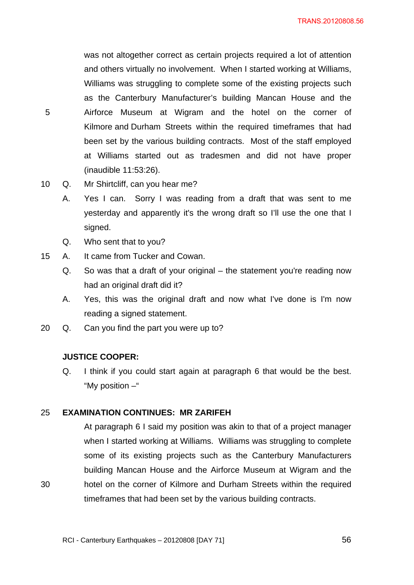was not altogether correct as certain projects required a lot of attention and others virtually no involvement. When I started working at Williams, Williams was struggling to complete some of the existing projects such as the Canterbury Manufacturer's building Mancan House and the 5 Airforce Museum at Wigram and the hotel on the corner of Kilmore and Durham Streets within the required timeframes that had been set by the various building contracts. Most of the staff employed at Williams started out as tradesmen and did not have proper (inaudible 11:53:26).

- 10 Q. Mr Shirtcliff, can you hear me?
	- A. Yes I can. Sorry I was reading from a draft that was sent to me yesterday and apparently it's the wrong draft so I'll use the one that I signed.
	- Q. Who sent that to you?
- 15 A. It came from Tucker and Cowan.
	- Q. So was that a draft of your original the statement you're reading now had an original draft did it?
	- A. Yes, this was the original draft and now what I've done is I'm now reading a signed statement.
- 20 Q. Can you find the part you were up to?

#### **JUSTICE COOPER:**

Q. I think if you could start again at paragraph 6 that would be the best. "My position –"

#### 25 **EXAMINATION CONTINUES: MR ZARIFEH**

At paragraph 6 I said my position was akin to that of a project manager when I started working at Williams. Williams was struggling to complete some of its existing projects such as the Canterbury Manufacturers building Mancan House and the Airforce Museum at Wigram and the 30 hotel on the corner of Kilmore and Durham Streets within the required timeframes that had been set by the various building contracts.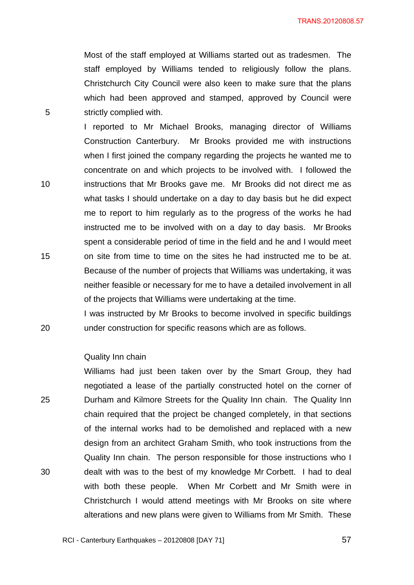Most of the staff employed at Williams started out as tradesmen. The staff employed by Williams tended to religiously follow the plans. Christchurch City Council were also keen to make sure that the plans which had been approved and stamped, approved by Council were 5 strictly complied with.

I reported to Mr Michael Brooks, managing director of Williams Construction Canterbury. Mr Brooks provided me with instructions when I first joined the company regarding the projects he wanted me to concentrate on and which projects to be involved with. I followed the 10 instructions that Mr Brooks gave me. Mr Brooks did not direct me as what tasks I should undertake on a day to day basis but he did expect me to report to him regularly as to the progress of the works he had instructed me to be involved with on a day to day basis. Mr Brooks spent a considerable period of time in the field and he and I would meet 15 on site from time to time on the sites he had instructed me to be at. Because of the number of projects that Williams was undertaking, it was neither feasible or necessary for me to have a detailed involvement in all of the projects that Williams were undertaking at the time.

I was instructed by Mr Brooks to become involved in specific buildings 20 under construction for specific reasons which are as follows.

#### Quality Inn chain

Williams had just been taken over by the Smart Group, they had negotiated a lease of the partially constructed hotel on the corner of 25 Durham and Kilmore Streets for the Quality Inn chain. The Quality Inn chain required that the project be changed completely, in that sections of the internal works had to be demolished and replaced with a new design from an architect Graham Smith, who took instructions from the Quality Inn chain. The person responsible for those instructions who I 30 dealt with was to the best of my knowledge Mr Corbett. I had to deal with both these people. When Mr Corbett and Mr Smith were in Christchurch I would attend meetings with Mr Brooks on site where alterations and new plans were given to Williams from Mr Smith. These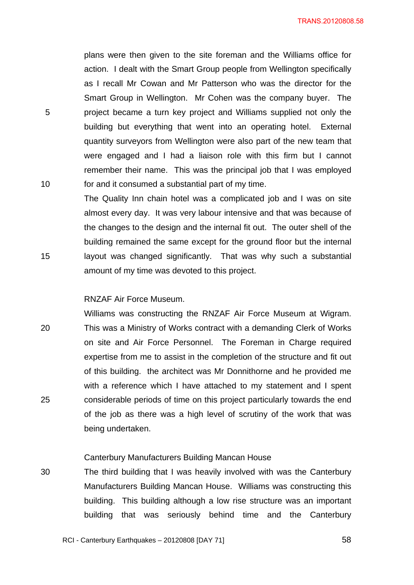plans were then given to the site foreman and the Williams office for action. I dealt with the Smart Group people from Wellington specifically as I recall Mr Cowan and Mr Patterson who was the director for the Smart Group in Wellington. Mr Cohen was the company buyer. The 5 project became a turn key project and Williams supplied not only the building but everything that went into an operating hotel. External quantity surveyors from Wellington were also part of the new team that were engaged and I had a liaison role with this firm but I cannot remember their name. This was the principal job that I was employed 10 for and it consumed a substantial part of my time.

The Quality Inn chain hotel was a complicated job and I was on site almost every day. It was very labour intensive and that was because of the changes to the design and the internal fit out. The outer shell of the building remained the same except for the ground floor but the internal 15 layout was changed significantly. That was why such a substantial amount of my time was devoted to this project.

### RNZAF Air Force Museum.

Williams was constructing the RNZAF Air Force Museum at Wigram. 20 This was a Ministry of Works contract with a demanding Clerk of Works on site and Air Force Personnel. The Foreman in Charge required expertise from me to assist in the completion of the structure and fit out of this building. the architect was Mr Donnithorne and he provided me with a reference which I have attached to my statement and I spent 25 considerable periods of time on this project particularly towards the end of the job as there was a high level of scrutiny of the work that was being undertaken.

### Canterbury Manufacturers Building Mancan House

30 The third building that I was heavily involved with was the Canterbury Manufacturers Building Mancan House. Williams was constructing this building. This building although a low rise structure was an important building that was seriously behind time and the Canterbury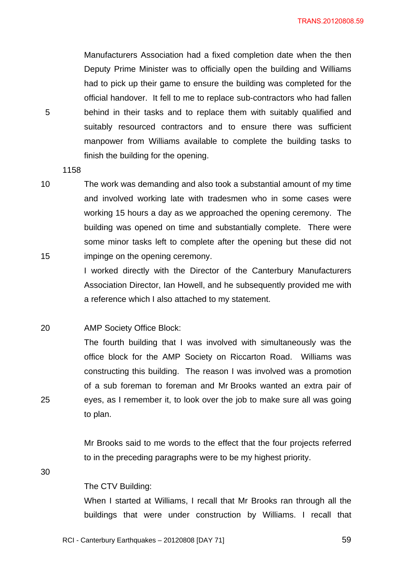Manufacturers Association had a fixed completion date when the then Deputy Prime Minister was to officially open the building and Williams had to pick up their game to ensure the building was completed for the official handover. It fell to me to replace sub-contractors who had fallen 5 behind in their tasks and to replace them with suitably qualified and suitably resourced contractors and to ensure there was sufficient manpower from Williams available to complete the building tasks to finish the building for the opening.

1158

10 The work was demanding and also took a substantial amount of my time and involved working late with tradesmen who in some cases were working 15 hours a day as we approached the opening ceremony. The building was opened on time and substantially complete. There were some minor tasks left to complete after the opening but these did not 15 impinge on the opening ceremony.

> I worked directly with the Director of the Canterbury Manufacturers Association Director, Ian Howell, and he subsequently provided me with a reference which I also attached to my statement.

20 AMP Society Office Block:

The fourth building that I was involved with simultaneously was the office block for the AMP Society on Riccarton Road. Williams was constructing this building. The reason I was involved was a promotion of a sub foreman to foreman and Mr Brooks wanted an extra pair of 25 eyes, as I remember it, to look over the job to make sure all was going to plan.

> Mr Brooks said to me words to the effect that the four projects referred to in the preceding paragraphs were to be my highest priority.

30

#### The CTV Building:

When I started at Williams, I recall that Mr Brooks ran through all the buildings that were under construction by Williams. I recall that

RCI - Canterbury Earthquakes – 20120808 [DAY 71] 59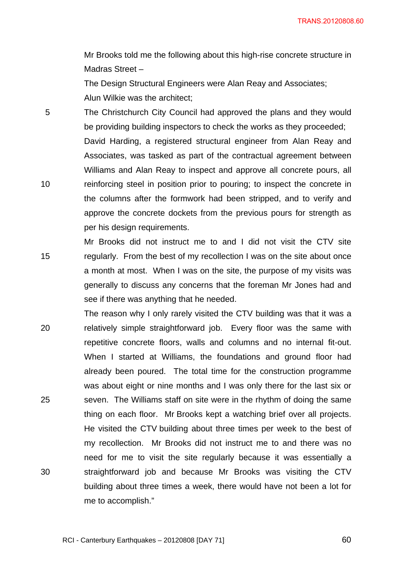Mr Brooks told me the following about this high-rise concrete structure in Madras Street –

The Design Structural Engineers were Alan Reay and Associates; Alun Wilkie was the architect;

5 The Christchurch City Council had approved the plans and they would be providing building inspectors to check the works as they proceeded; David Harding, a registered structural engineer from Alan Reay and Associates, was tasked as part of the contractual agreement between Williams and Alan Reay to inspect and approve all concrete pours, all 10 reinforcing steel in position prior to pouring; to inspect the concrete in the columns after the formwork had been stripped, and to verify and approve the concrete dockets from the previous pours for strength as per his design requirements.

Mr Brooks did not instruct me to and I did not visit the CTV site 15 regularly. From the best of my recollection I was on the site about once a month at most. When I was on the site, the purpose of my visits was generally to discuss any concerns that the foreman Mr Jones had and see if there was anything that he needed.

The reason why I only rarely visited the CTV building was that it was a 20 relatively simple straightforward job. Every floor was the same with repetitive concrete floors, walls and columns and no internal fit-out. When I started at Williams, the foundations and ground floor had already been poured. The total time for the construction programme was about eight or nine months and I was only there for the last six or 25 seven. The Williams staff on site were in the rhythm of doing the same thing on each floor. Mr Brooks kept a watching brief over all projects. He visited the CTV building about three times per week to the best of my recollection. Mr Brooks did not instruct me to and there was no need for me to visit the site regularly because it was essentially a 30 straightforward job and because Mr Brooks was visiting the CTV building about three times a week, there would have not been a lot for me to accomplish."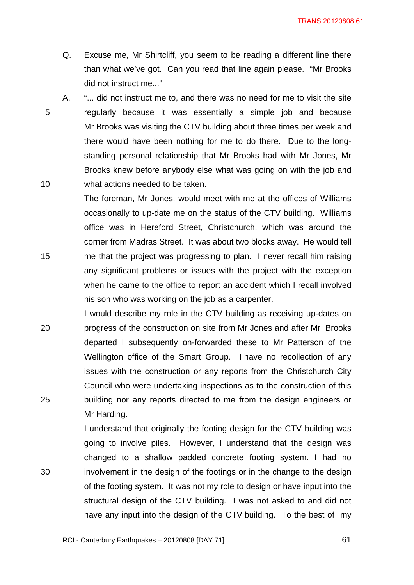- Q. Excuse me, Mr Shirtcliff, you seem to be reading a different line there than what we've got. Can you read that line again please. "Mr Brooks did not instruct me..."
- A. "... did not instruct me to, and there was no need for me to visit the site 5 regularly because it was essentially a simple job and because Mr Brooks was visiting the CTV building about three times per week and there would have been nothing for me to do there. Due to the longstanding personal relationship that Mr Brooks had with Mr Jones, Mr Brooks knew before anybody else what was going on with the job and 10 what actions needed to be taken.

The foreman, Mr Jones, would meet with me at the offices of Williams occasionally to up-date me on the status of the CTV building. Williams office was in Hereford Street, Christchurch, which was around the corner from Madras Street. It was about two blocks away. He would tell 15 me that the project was progressing to plan. I never recall him raising any significant problems or issues with the project with the exception when he came to the office to report an accident which I recall involved his son who was working on the job as a carpenter.

I would describe my role in the CTV building as receiving up-dates on 20 progress of the construction on site from Mr Jones and after Mr Brooks departed I subsequently on-forwarded these to Mr Patterson of the Wellington office of the Smart Group. I have no recollection of any issues with the construction or any reports from the Christchurch City Council who were undertaking inspections as to the construction of this 25 building nor any reports directed to me from the design engineers or Mr Harding.

I understand that originally the footing design for the CTV building was going to involve piles. However, I understand that the design was changed to a shallow padded concrete footing system. I had no 30 involvement in the design of the footings or in the change to the design of the footing system. It was not my role to design or have input into the structural design of the CTV building. I was not asked to and did not have any input into the design of the CTV building. To the best of my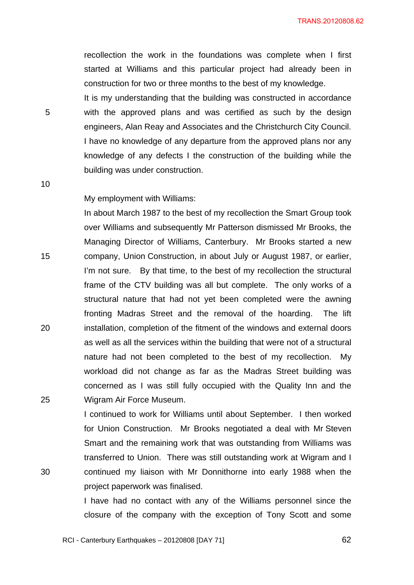recollection the work in the foundations was complete when I first started at Williams and this particular project had already been in construction for two or three months to the best of my knowledge.

It is my understanding that the building was constructed in accordance 5 with the approved plans and was certified as such by the design engineers, Alan Reay and Associates and the Christchurch City Council. I have no knowledge of any departure from the approved plans nor any knowledge of any defects I the construction of the building while the building was under construction.

10

My employment with Williams:

In about March 1987 to the best of my recollection the Smart Group took over Williams and subsequently Mr Patterson dismissed Mr Brooks, the Managing Director of Williams, Canterbury. Mr Brooks started a new 15 company, Union Construction, in about July or August 1987, or earlier, I'm not sure. By that time, to the best of my recollection the structural frame of the CTV building was all but complete. The only works of a structural nature that had not yet been completed were the awning fronting Madras Street and the removal of the hoarding. The lift 20 installation, completion of the fitment of the windows and external doors as well as all the services within the building that were not of a structural nature had not been completed to the best of my recollection. My workload did not change as far as the Madras Street building was concerned as I was still fully occupied with the Quality Inn and the 25 Wigram Air Force Museum.

I continued to work for Williams until about September. I then worked for Union Construction. Mr Brooks negotiated a deal with Mr Steven Smart and the remaining work that was outstanding from Williams was transferred to Union. There was still outstanding work at Wigram and I 30 continued my liaison with Mr Donnithorne into early 1988 when the project paperwork was finalised.

> I have had no contact with any of the Williams personnel since the closure of the company with the exception of Tony Scott and some

RCI - Canterbury Earthquakes – 20120808 [DAY 71] 62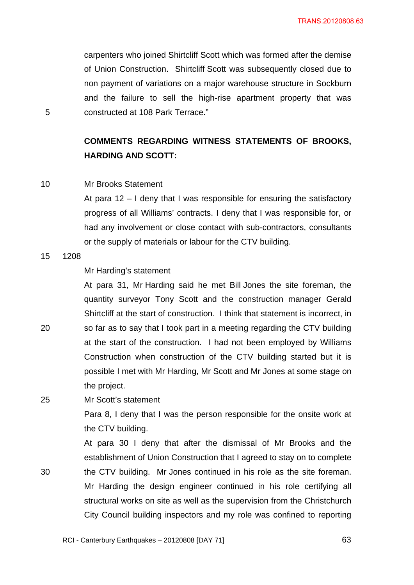carpenters who joined Shirtcliff Scott which was formed after the demise of Union Construction. Shirtcliff Scott was subsequently closed due to non payment of variations on a major warehouse structure in Sockburn and the failure to sell the high-rise apartment property that was 5 constructed at 108 Park Terrace."

# **COMMENTS REGARDING WITNESS STATEMENTS OF BROOKS, HARDING AND SCOTT:**

10 Mr Brooks Statement

At para 12 – I deny that I was responsible for ensuring the satisfactory progress of all Williams' contracts. I deny that I was responsible for, or had any involvement or close contact with sub-contractors, consultants or the supply of materials or labour for the CTV building.

15 1208

#### Mr Harding's statement

At para 31, Mr Harding said he met Bill Jones the site foreman, the quantity surveyor Tony Scott and the construction manager Gerald Shirtcliff at the start of construction. I think that statement is incorrect, in 20 so far as to say that I took part in a meeting regarding the CTV building at the start of the construction. I had not been employed by Williams Construction when construction of the CTV building started but it is possible I met with Mr Harding, Mr Scott and Mr Jones at some stage on the project.

25 Mr Scott's statement Para 8, I deny that I was the person responsible for the onsite work at the CTV building.

At para 30 I deny that after the dismissal of Mr Brooks and the establishment of Union Construction that I agreed to stay on to complete 30 the CTV building. Mr Jones continued in his role as the site foreman. Mr Harding the design engineer continued in his role certifying all structural works on site as well as the supervision from the Christchurch City Council building inspectors and my role was confined to reporting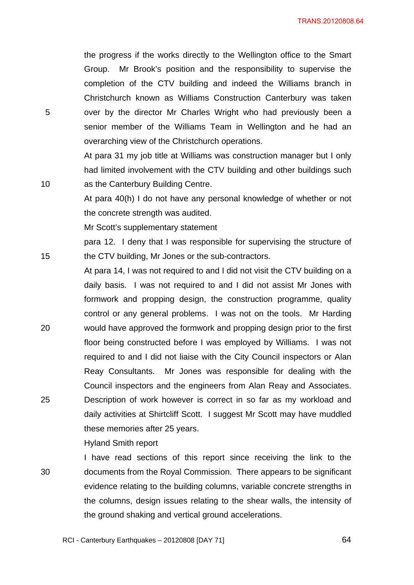the progress if the works directly to the Wellington office to the Smart Group. Mr Brook's position and the responsibility to supervise the completion of the CTV building and indeed the Williams branch in Christchurch known as Williams Construction Canterbury was taken 5 over by the director Mr Charles Wright who had previously been a senior member of the Williams Team in Wellington and he had an overarching view of the Christchurch operations.

At para 31 my job title at Williams was construction manager but I only had limited involvement with the CTV building and other buildings such 10 as the Canterbury Building Centre.

> At para 40(h) I do not have any personal knowledge of whether or not the concrete strength was audited.

Mr Scott's supplementary statement

para 12. I deny that I was responsible for supervising the structure of 15 the CTV building, Mr Jones or the sub-contractors.

At para 14, I was not required to and I did not visit the CTV building on a daily basis. I was not required to and I did not assist Mr Jones with formwork and propping design, the construction programme, quality control or any general problems. I was not on the tools. Mr Harding 20 would have approved the formwork and propping design prior to the first floor being constructed before I was employed by Williams. I was not required to and I did not liaise with the City Council inspectors or Alan Reay Consultants. Mr Jones was responsible for dealing with the Council inspectors and the engineers from Alan Reay and Associates. 25 Description of work however is correct in so far as my workload and daily activities at Shirtcliff Scott. I suggest Mr Scott may have muddled these memories after 25 years.

Hyland Smith report

I have read sections of this report since receiving the link to the 30 documents from the Royal Commission. There appears to be significant evidence relating to the building columns, variable concrete strengths in the columns, design issues relating to the shear walls, the intensity of the ground shaking and vertical ground accelerations.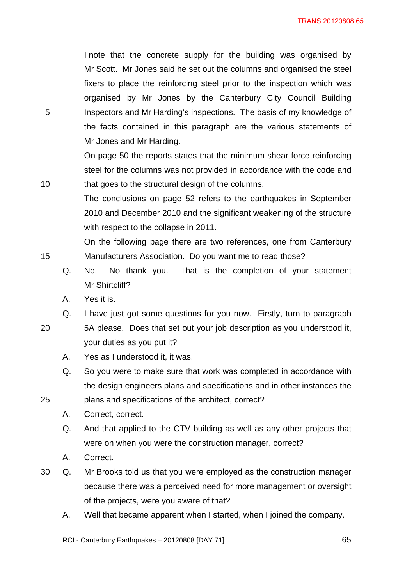I note that the concrete supply for the building was organised by Mr Scott. Mr Jones said he set out the columns and organised the steel fixers to place the reinforcing steel prior to the inspection which was organised by Mr Jones by the Canterbury City Council Building 5 Inspectors and Mr Harding's inspections. The basis of my knowledge of the facts contained in this paragraph are the various statements of Mr Jones and Mr Harding.

On page 50 the reports states that the minimum shear force reinforcing steel for the columns was not provided in accordance with the code and 10 that goes to the structural design of the columns.

> The conclusions on page 52 refers to the earthquakes in September 2010 and December 2010 and the significant weakening of the structure with respect to the collapse in 2011.

On the following page there are two references, one from Canterbury 15 Manufacturers Association. Do you want me to read those?

- Q. No. No thank you. That is the completion of your statement Mr Shirtcliff?
- A. Yes it is.
- Q. I have just got some questions for you now. Firstly, turn to paragraph
- 20 5A please. Does that set out your job description as you understood it, your duties as you put it?
	- A. Yes as I understood it, it was.
- Q. So you were to make sure that work was completed in accordance with the design engineers plans and specifications and in other instances the 25 plans and specifications of the architect, correct?
	- A. Correct, correct.
		- Q. And that applied to the CTV building as well as any other projects that were on when you were the construction manager, correct?
		- A. Correct.
- 30 Q. Mr Brooks told us that you were employed as the construction manager because there was a perceived need for more management or oversight of the projects, were you aware of that?
	- A. Well that became apparent when I started, when I joined the company.

RCI - Canterbury Earthquakes – 20120808 [DAY 71] 65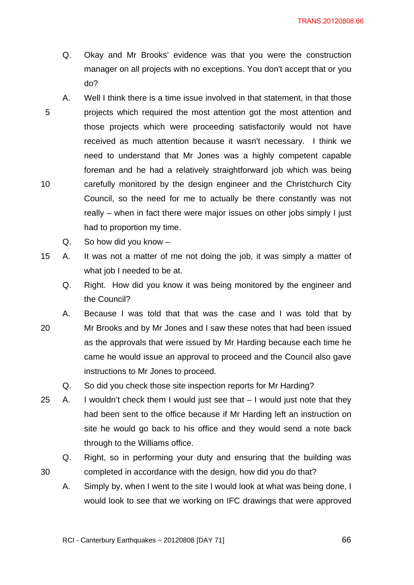- Q. Okay and Mr Brooks' evidence was that you were the construction manager on all projects with no exceptions. You don't accept that or you do?
- A. Well I think there is a time issue involved in that statement, in that those 5 projects which required the most attention got the most attention and those projects which were proceeding satisfactorily would not have received as much attention because it wasn't necessary. I think we need to understand that Mr Jones was a highly competent capable foreman and he had a relatively straightforward job which was being 10 carefully monitored by the design engineer and the Christchurch City Council, so the need for me to actually be there constantly was not really – when in fact there were major issues on other jobs simply I just had to proportion my time.
	- Q. So how did you know –

15 A. It was not a matter of me not doing the job, it was simply a matter of what job I needed to be at.

- Q. Right. How did you know it was being monitored by the engineer and the Council?
- A. Because I was told that that was the case and I was told that by 20 Mr Brooks and by Mr Jones and I saw these notes that had been issued as the approvals that were issued by Mr Harding because each time he came he would issue an approval to proceed and the Council also gave instructions to Mr Jones to proceed.
	- Q. So did you check those site inspection reports for Mr Harding?
- 25 A. I wouldn't check them I would just see that I would just note that they had been sent to the office because if Mr Harding left an instruction on site he would go back to his office and they would send a note back through to the Williams office.
- Q. Right, so in performing your duty and ensuring that the building was 30 completed in accordance with the design, how did you do that?
	- A. Simply by, when I went to the site I would look at what was being done, I would look to see that we working on IFC drawings that were approved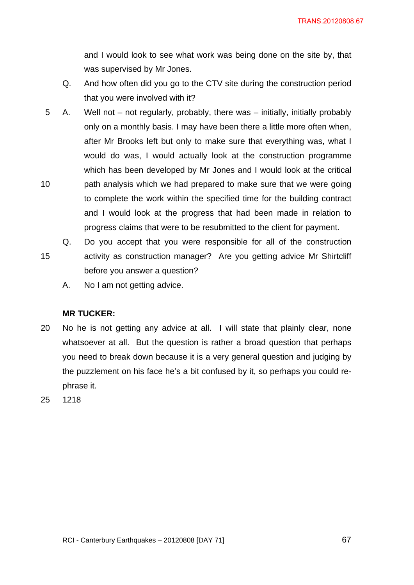and I would look to see what work was being done on the site by, that was supervised by Mr Jones.

- Q. And how often did you go to the CTV site during the construction period that you were involved with it?
- 5 A. Well not not regularly, probably, there was initially, initially probably only on a monthly basis. I may have been there a little more often when, after Mr Brooks left but only to make sure that everything was, what I would do was, I would actually look at the construction programme which has been developed by Mr Jones and I would look at the critical
- 10 path analysis which we had prepared to make sure that we were going to complete the work within the specified time for the building contract and I would look at the progress that had been made in relation to progress claims that were to be resubmitted to the client for payment.
- Q. Do you accept that you were responsible for all of the construction 15 activity as construction manager? Are you getting advice Mr Shirtcliff before you answer a question?
	- A. No I am not getting advice.

#### **MR TUCKER:**

- 20 No he is not getting any advice at all. I will state that plainly clear, none whatsoever at all. But the question is rather a broad question that perhaps you need to break down because it is a very general question and judging by the puzzlement on his face he's a bit confused by it, so perhaps you could rephrase it.
- 25 1218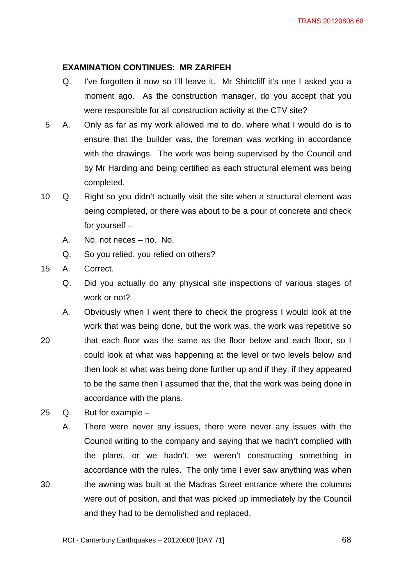#### **EXAMINATION CONTINUES: MR ZARIFEH**

- Q. I've forgotten it now so I'll leave it. Mr Shirtcliff it's one I asked you a moment ago. As the construction manager, do you accept that you were responsible for all construction activity at the CTV site?
- 5 A. Only as far as my work allowed me to do, where what I would do is to ensure that the builder was, the foreman was working in accordance with the drawings. The work was being supervised by the Council and by Mr Harding and being certified as each structural element was being completed.
- 10 Q. Right so you didn't actually visit the site when a structural element was being completed, or there was about to be a pour of concrete and check for yourself –
	- A. No, not neces no. No.
	- Q. So you relied, you relied on others?
- 15 A. Correct.
	- Q. Did you actually do any physical site inspections of various stages of work or not?
- A. Obviously when I went there to check the progress I would look at the work that was being done, but the work was, the work was repetitive so 20 that each floor was the same as the floor below and each floor, so I could look at what was happening at the level or two levels below and then look at what was being done further up and if they, if they appeared to be the same then I assumed that the, that the work was being done in accordance with the plans.
- 25 Q. But for example –

A. There were never any issues, there were never any issues with the Council writing to the company and saying that we hadn't complied with the plans, or we hadn't, we weren't constructing something in accordance with the rules. The only time I ever saw anything was when 30 the awning was built at the Madras Street entrance where the columns were out of position, and that was picked up immediately by the Council and they had to be demolished and replaced.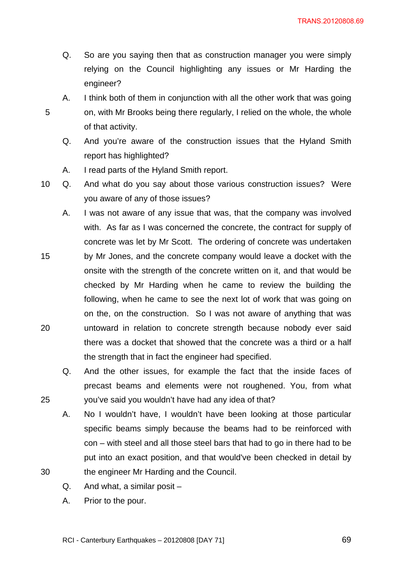- Q. So are you saying then that as construction manager you were simply relying on the Council highlighting any issues or Mr Harding the engineer?
- 
- A. I think both of them in conjunction with all the other work that was going 5 on, with Mr Brooks being there regularly, I relied on the whole, the whole of that activity.
	- Q. And you're aware of the construction issues that the Hyland Smith report has highlighted?
	- A. I read parts of the Hyland Smith report.
- 10 Q. And what do you say about those various construction issues? Were you aware of any of those issues?
	- A. I was not aware of any issue that was, that the company was involved with. As far as I was concerned the concrete, the contract for supply of concrete was let by Mr Scott. The ordering of concrete was undertaken
- 15 by Mr Jones, and the concrete company would leave a docket with the onsite with the strength of the concrete written on it, and that would be checked by Mr Harding when he came to review the building the following, when he came to see the next lot of work that was going on on the, on the construction. So I was not aware of anything that was 20 untoward in relation to concrete strength because nobody ever said there was a docket that showed that the concrete was a third or a half the strength that in fact the engineer had specified.
- Q. And the other issues, for example the fact that the inside faces of precast beams and elements were not roughened. You, from what 25 you've said you wouldn't have had any idea of that?
- A. No I wouldn't have, I wouldn't have been looking at those particular specific beams simply because the beams had to be reinforced with con – with steel and all those steel bars that had to go in there had to be put into an exact position, and that would've been checked in detail by 30 the engineer Mr Harding and the Council.
	- Q. And what, a similar posit –
	- A. Prior to the pour.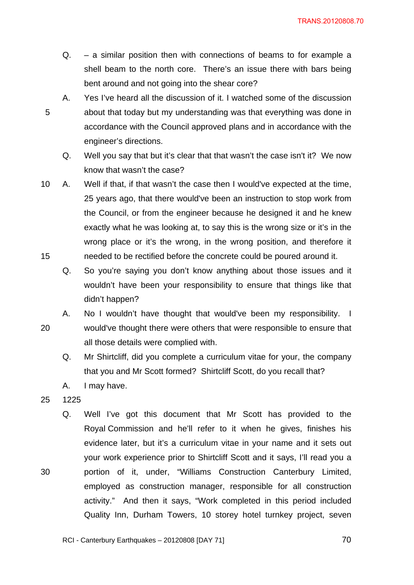- Q. a similar position then with connections of beams to for example a shell beam to the north core. There's an issue there with bars being bent around and not going into the shear core?
- A. Yes I've heard all the discussion of it. I watched some of the discussion 5 about that today but my understanding was that everything was done in accordance with the Council approved plans and in accordance with the engineer's directions.
	- Q. Well you say that but it's clear that that wasn't the case isn't it? We now know that wasn't the case?
- 10 A. Well if that, if that wasn't the case then I would've expected at the time, 25 years ago, that there would've been an instruction to stop work from the Council, or from the engineer because he designed it and he knew exactly what he was looking at, to say this is the wrong size or it's in the wrong place or it's the wrong, in the wrong position, and therefore it 15 needed to be rectified before the concrete could be poured around it.
	- Q. So you're saying you don't know anything about those issues and it wouldn't have been your responsibility to ensure that things like that didn't happen?
- A. No I wouldn't have thought that would've been my responsibility. I 20 would've thought there were others that were responsible to ensure that all those details were complied with.
	- Q. Mr Shirtcliff, did you complete a curriculum vitae for your, the company that you and Mr Scott formed? Shirtcliff Scott, do you recall that?
	- A. I may have.
- 25 1225
- Q. Well I've got this document that Mr Scott has provided to the Royal Commission and he'll refer to it when he gives, finishes his evidence later, but it's a curriculum vitae in your name and it sets out your work experience prior to Shirtcliff Scott and it says, I'll read you a 30 portion of it, under, "Williams Construction Canterbury Limited, employed as construction manager, responsible for all construction activity." And then it says, "Work completed in this period included Quality Inn, Durham Towers, 10 storey hotel turnkey project, seven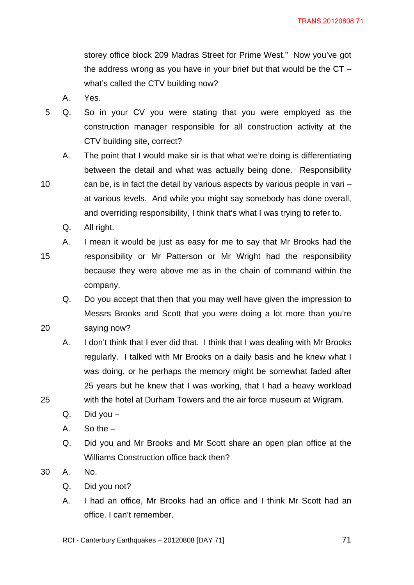storey office block 209 Madras Street for Prime West." Now you've got the address wrong as you have in your brief but that would be the CT – what's called the CTV building now?

- A. Yes.
- 5 Q. So in your CV you were stating that you were employed as the construction manager responsible for all construction activity at the CTV building site, correct?
	- A. The point that I would make sir is that what we're doing is differentiating between the detail and what was actually being done. Responsibility

10 can be, is in fact the detail by various aspects by various people in vari – at various levels. And while you might say somebody has done overall, and overriding responsibility, I think that's what I was trying to refer to.

- Q. All right.
- A. I mean it would be just as easy for me to say that Mr Brooks had the 15 responsibility or Mr Patterson or Mr Wright had the responsibility because they were above me as in the chain of command within the company.
- Q. Do you accept that then that you may well have given the impression to Messrs Brooks and Scott that you were doing a lot more than you're 20 saying now?
- A. I don't think that I ever did that. I think that I was dealing with Mr Brooks regularly. I talked with Mr Brooks on a daily basis and he knew what I was doing, or he perhaps the memory might be somewhat faded after 25 years but he knew that I was working, that I had a heavy workload 25 with the hotel at Durham Towers and the air force museum at Wigram.
	- Q. Did you –
	- A. So the –
	- Q. Did you and Mr Brooks and Mr Scott share an open plan office at the Williams Construction office back then?
- 30 A. No.
	- Q. Did you not?
	- A. I had an office, Mr Brooks had an office and I think Mr Scott had an office. I can't remember.
	- RCI Canterbury Earthquakes 20120808 [DAY 71] 71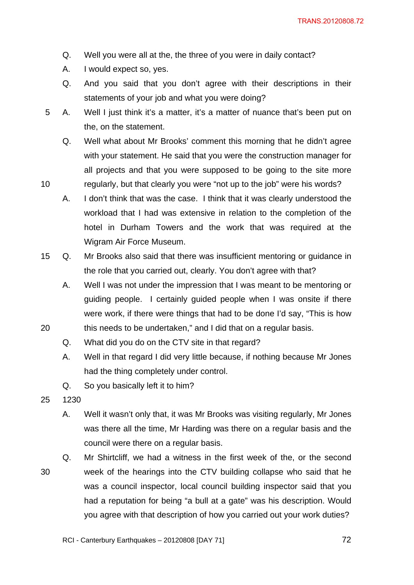- Q. Well you were all at the, the three of you were in daily contact?
- A. I would expect so, yes.
- Q. And you said that you don't agree with their descriptions in their statements of your job and what you were doing?
- 5 A. Well I just think it's a matter, it's a matter of nuance that's been put on the, on the statement.
- Q. Well what about Mr Brooks' comment this morning that he didn't agree with your statement. He said that you were the construction manager for all projects and that you were supposed to be going to the site more 10 regularly, but that clearly you were "not up to the job" were his words?
	- A. I don't think that was the case. I think that it was clearly understood the workload that I had was extensive in relation to the completion of the hotel in Durham Towers and the work that was required at the Wigram Air Force Museum.
- 15 Q. Mr Brooks also said that there was insufficient mentoring or guidance in the role that you carried out, clearly. You don't agree with that?
- A. Well I was not under the impression that I was meant to be mentoring or guiding people. I certainly guided people when I was onsite if there were work, if there were things that had to be done I'd say, "This is how 20 this needs to be undertaken," and I did that on a regular basis.
	- Q. What did you do on the CTV site in that regard?
		- A. Well in that regard I did very little because, if nothing because Mr Jones had the thing completely under control.
		- Q. So you basically left it to him?
- 25 1230
	- A. Well it wasn't only that, it was Mr Brooks was visiting regularly, Mr Jones was there all the time, Mr Harding was there on a regular basis and the council were there on a regular basis.
- Q. Mr Shirtcliff, we had a witness in the first week of the, or the second 30 week of the hearings into the CTV building collapse who said that he was a council inspector, local council building inspector said that you had a reputation for being "a bull at a gate" was his description. Would you agree with that description of how you carried out your work duties?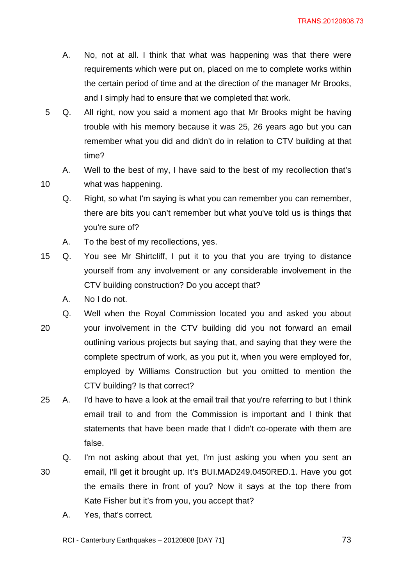- A. No, not at all. I think that what was happening was that there were requirements which were put on, placed on me to complete works within the certain period of time and at the direction of the manager Mr Brooks, and I simply had to ensure that we completed that work.
- 5 Q. All right, now you said a moment ago that Mr Brooks might be having trouble with his memory because it was 25, 26 years ago but you can remember what you did and didn't do in relation to CTV building at that time?
- A. Well to the best of my, I have said to the best of my recollection that's 10 what was happening.
	- Q. Right, so what I'm saying is what you can remember you can remember, there are bits you can't remember but what you've told us is things that you're sure of?
	- A. To the best of my recollections, yes.
- 15 Q. You see Mr Shirtcliff, I put it to you that you are trying to distance yourself from any involvement or any considerable involvement in the CTV building construction? Do you accept that?
	- A. No I do not.

Q. Well when the Royal Commission located you and asked you about

- 20 your involvement in the CTV building did you not forward an email outlining various projects but saying that, and saying that they were the complete spectrum of work, as you put it, when you were employed for, employed by Williams Construction but you omitted to mention the CTV building? Is that correct?
- 25 A. I'd have to have a look at the email trail that you're referring to but I think email trail to and from the Commission is important and I think that statements that have been made that I didn't co-operate with them are false.
- Q. I'm not asking about that yet, I'm just asking you when you sent an 30 email, I'll get it brought up. It's BUI.MAD249.0450RED.1. Have you got the emails there in front of you? Now it says at the top there from Kate Fisher but it's from you, you accept that?
	- A. Yes, that's correct.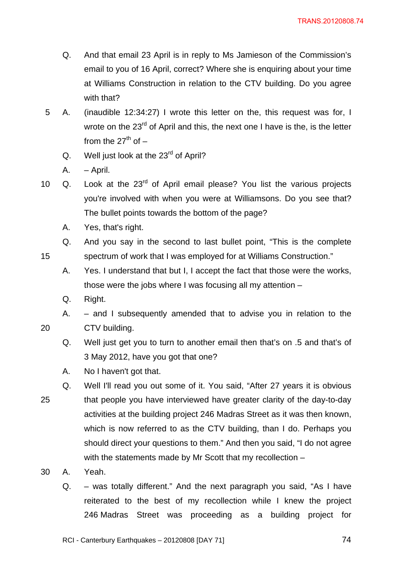- Q. And that email 23 April is in reply to Ms Jamieson of the Commission's email to you of 16 April, correct? Where she is enquiring about your time at Williams Construction in relation to the CTV building. Do you agree with that?
- 5 A. (inaudible 12:34:27) I wrote this letter on the, this request was for, I wrote on the 23<sup>rd</sup> of April and this, the next one I have is the, is the letter from the  $27<sup>th</sup>$  of  $-$ 
	- Q. Well just look at the  $23<sup>rd</sup>$  of April?
	- A. April.
- 10  $\alpha$ . Look at the 23<sup>rd</sup> of April email please? You list the various projects you're involved with when you were at Williamsons. Do you see that? The bullet points towards the bottom of the page?
	- A. Yes, that's right.
- Q. And you say in the second to last bullet point, "This is the complete 15 spectrum of work that I was employed for at Williams Construction."
	- A. Yes. I understand that but I, I accept the fact that those were the works, those were the jobs where I was focusing all my attention –
	- Q. Right.
- A. and I subsequently amended that to advise you in relation to the 20 CTV building.
	- Q. Well just get you to turn to another email then that's on .5 and that's of 3 May 2012, have you got that one?
	- A. No I haven't got that.
- Q. Well I'll read you out some of it. You said, "After 27 years it is obvious 25 that people you have interviewed have greater clarity of the day-to-day activities at the building project 246 Madras Street as it was then known, which is now referred to as the CTV building, than I do. Perhaps you should direct your questions to them." And then you said, "I do not agree with the statements made by Mr Scott that my recollection –
- 30 A. Yeah.
	- Q. was totally different." And the next paragraph you said, "As I have reiterated to the best of my recollection while I knew the project 246 Madras Street was proceeding as a building project for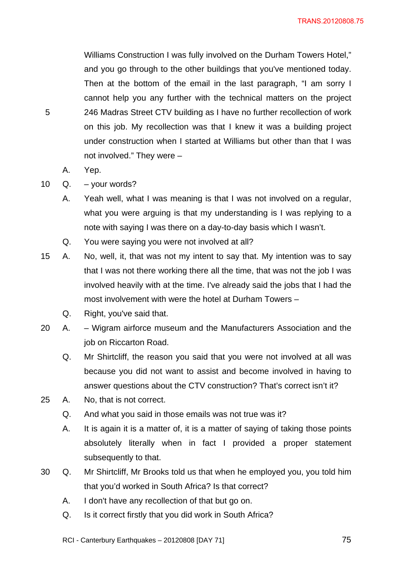Williams Construction I was fully involved on the Durham Towers Hotel," and you go through to the other buildings that you've mentioned today. Then at the bottom of the email in the last paragraph, "I am sorry I cannot help you any further with the technical matters on the project 5 246 Madras Street CTV building as I have no further recollection of work on this job. My recollection was that I knew it was a building project under construction when I started at Williams but other than that I was not involved." They were –

- A. Yep.
- 10 Q. your words?
	- A. Yeah well, what I was meaning is that I was not involved on a regular, what you were arguing is that my understanding is I was replying to a note with saying I was there on a day-to-day basis which I wasn't.
	- Q. You were saying you were not involved at all?
- 15 A. No, well, it, that was not my intent to say that. My intention was to say that I was not there working there all the time, that was not the job I was involved heavily with at the time. I've already said the jobs that I had the most involvement with were the hotel at Durham Towers –
	- Q. Right, you've said that.
- 20 A. Wigram airforce museum and the Manufacturers Association and the job on Riccarton Road.
	- Q. Mr Shirtcliff, the reason you said that you were not involved at all was because you did not want to assist and become involved in having to answer questions about the CTV construction? That's correct isn't it?
- 25 A. No, that is not correct.
	- Q. And what you said in those emails was not true was it?
	- A. It is again it is a matter of, it is a matter of saying of taking those points absolutely literally when in fact I provided a proper statement subsequently to that.
- 30 Q. Mr Shirtcliff, Mr Brooks told us that when he employed you, you told him that you'd worked in South Africa? Is that correct?
	- A. I don't have any recollection of that but go on.
	- Q. Is it correct firstly that you did work in South Africa?
	- RCI Canterbury Earthquakes 20120808 [DAY 71] 75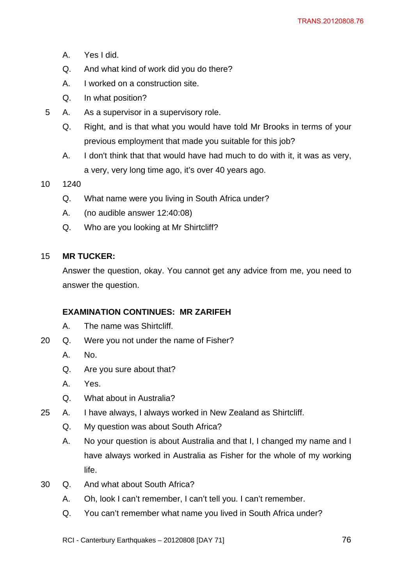- A. Yes I did.
- Q. And what kind of work did you do there?
- A. I worked on a construction site.
- Q. In what position?
- 5 A. As a supervisor in a supervisory role.
	- Q. Right, and is that what you would have told Mr Brooks in terms of your previous employment that made you suitable for this job?
	- A. I don't think that that would have had much to do with it, it was as very, a very, very long time ago, it's over 40 years ago.
- 10 1240
	- Q. What name were you living in South Africa under?
	- A. (no audible answer 12:40:08)
	- Q. Who are you looking at Mr Shirtcliff?

# 15 **MR TUCKER:**

Answer the question, okay. You cannot get any advice from me, you need to answer the question.

# **EXAMINATION CONTINUES: MR ZARIFEH**

- A. The name was Shirtcliff.
- 20 Q. Were you not under the name of Fisher?
	- A. No.
	- Q. Are you sure about that?
	- A. Yes.
	- Q. What about in Australia?
- 25 A. I have always, I always worked in New Zealand as Shirtcliff.
	- Q. My question was about South Africa?
	- A. No your question is about Australia and that I, I changed my name and I have always worked in Australia as Fisher for the whole of my working life.
- 30 Q. And what about South Africa?
	- A. Oh, look I can't remember, I can't tell you. I can't remember.
	- Q. You can't remember what name you lived in South Africa under?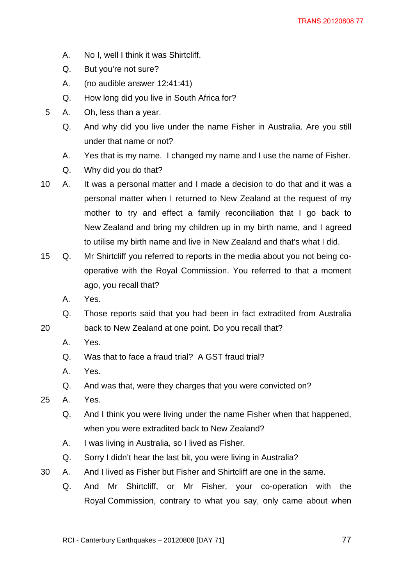- A. No I, well I think it was Shirtcliff.
- Q. But you're not sure?
- A. (no audible answer 12:41:41)
- Q. How long did you live in South Africa for?
- 5 A. Oh, less than a year.
	- Q. And why did you live under the name Fisher in Australia. Are you still under that name or not?
	- A. Yes that is my name. I changed my name and I use the name of Fisher.
	- Q. Why did you do that?
- 10 A. It was a personal matter and I made a decision to do that and it was a personal matter when I returned to New Zealand at the request of my mother to try and effect a family reconciliation that I go back to New Zealand and bring my children up in my birth name, and I agreed to utilise my birth name and live in New Zealand and that's what I did.
- 15 Q. Mr Shirtcliff you referred to reports in the media about you not being cooperative with the Royal Commission. You referred to that a moment ago, you recall that?
	- A. Yes.
- Q. Those reports said that you had been in fact extradited from Australia 20 back to New Zealand at one point. Do you recall that?
	- A. Yes.
	- Q. Was that to face a fraud trial? A GST fraud trial?
	- A. Yes.
	- Q. And was that, were they charges that you were convicted on?
- 25 A. Yes.
	- Q. And I think you were living under the name Fisher when that happened, when you were extradited back to New Zealand?
	- A. I was living in Australia, so I lived as Fisher.
	- Q. Sorry I didn't hear the last bit, you were living in Australia?
- 30 A. And I lived as Fisher but Fisher and Shirtcliff are one in the same.
	- Q. And Mr Shirtcliff, or Mr Fisher, your co-operation with the Royal Commission, contrary to what you say, only came about when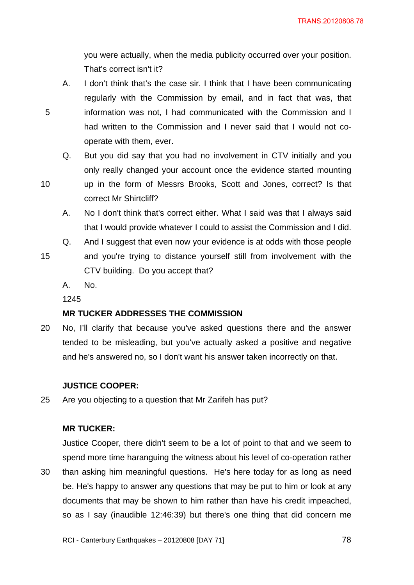you were actually, when the media publicity occurred over your position. That's correct isn't it?

- A. I don't think that's the case sir. I think that I have been communicating regularly with the Commission by email, and in fact that was, that 5 information was not, I had communicated with the Commission and I had written to the Commission and I never said that I would not cooperate with them, ever.
	- Q. But you did say that you had no involvement in CTV initially and you only really changed your account once the evidence started mounting
- 
- 10 up in the form of Messrs Brooks, Scott and Jones, correct? Is that correct Mr Shirtcliff?
	- A. No I don't think that's correct either. What I said was that I always said that I would provide whatever I could to assist the Commission and I did.
	- Q. And I suggest that even now your evidence is at odds with those people
- 15 and you're trying to distance yourself still from involvement with the CTV building. Do you accept that?
	- A. No.

1245

# **MR TUCKER ADDRESSES THE COMMISSION**

20 No, I'll clarify that because you've asked questions there and the answer tended to be misleading, but you've actually asked a positive and negative and he's answered no, so I don't want his answer taken incorrectly on that.

#### **JUSTICE COOPER:**

25 Are you objecting to a question that Mr Zarifeh has put?

# **MR TUCKER:**

Justice Cooper, there didn't seem to be a lot of point to that and we seem to spend more time haranguing the witness about his level of co-operation rather 30 than asking him meaningful questions. He's here today for as long as need be. He's happy to answer any questions that may be put to him or look at any documents that may be shown to him rather than have his credit impeached, so as I say (inaudible 12:46:39) but there's one thing that did concern me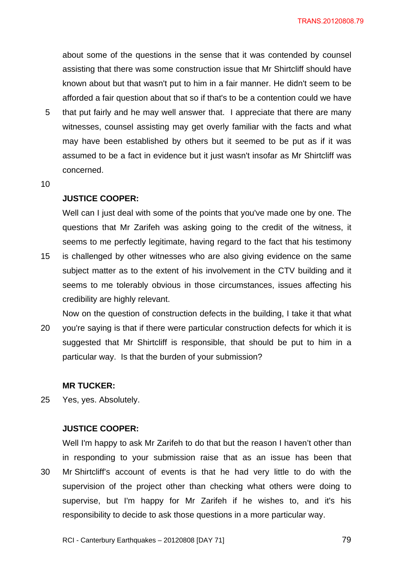about some of the questions in the sense that it was contended by counsel assisting that there was some construction issue that Mr Shirtcliff should have known about but that wasn't put to him in a fair manner. He didn't seem to be afforded a fair question about that so if that's to be a contention could we have

- 5 that put fairly and he may well answer that. I appreciate that there are many witnesses, counsel assisting may get overly familiar with the facts and what may have been established by others but it seemed to be put as if it was assumed to be a fact in evidence but it just wasn't insofar as Mr Shirtcliff was concerned.
- 10

### **JUSTICE COOPER:**

Well can I just deal with some of the points that you've made one by one. The questions that Mr Zarifeh was asking going to the credit of the witness, it seems to me perfectly legitimate, having regard to the fact that his testimony

15 is challenged by other witnesses who are also giving evidence on the same subject matter as to the extent of his involvement in the CTV building and it seems to me tolerably obvious in those circumstances, issues affecting his credibility are highly relevant.

Now on the question of construction defects in the building, I take it that what 20 you're saying is that if there were particular construction defects for which it is suggested that Mr Shirtcliff is responsible, that should be put to him in a particular way. Is that the burden of your submission?

#### **MR TUCKER:**

25 Yes, yes. Absolutely.

### **JUSTICE COOPER:**

Well I'm happy to ask Mr Zarifeh to do that but the reason I haven't other than in responding to your submission raise that as an issue has been that 30 Mr Shirtcliff's account of events is that he had very little to do with the supervision of the project other than checking what others were doing to supervise, but I'm happy for Mr Zarifeh if he wishes to, and it's his responsibility to decide to ask those questions in a more particular way.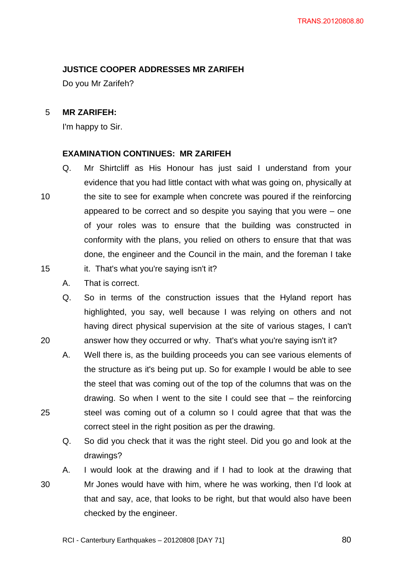# **JUSTICE COOPER ADDRESSES MR ZARIFEH**

Do you Mr Zarifeh?

# 5 **MR ZARIFEH:**

I'm happy to Sir.

### **EXAMINATION CONTINUES: MR ZARIFEH**

- Q. Mr Shirtcliff as His Honour has just said I understand from your evidence that you had little contact with what was going on, physically at 10 the site to see for example when concrete was poured if the reinforcing appeared to be correct and so despite you saying that you were – one of your roles was to ensure that the building was constructed in conformity with the plans, you relied on others to ensure that that was done, the engineer and the Council in the main, and the foreman I take 15 it. That's what you're saying isn't it?
- 

### A. That is correct.

- Q. So in terms of the construction issues that the Hyland report has highlighted, you say, well because I was relying on others and not having direct physical supervision at the site of various stages, I can't 20 answer how they occurred or why. That's what you're saying isn't it?
- A. Well there is, as the building proceeds you can see various elements of the structure as it's being put up. So for example I would be able to see the steel that was coming out of the top of the columns that was on the drawing. So when I went to the site I could see that – the reinforcing 25 steel was coming out of a column so I could agree that that was the correct steel in the right position as per the drawing.
	- Q. So did you check that it was the right steel. Did you go and look at the drawings?

A. I would look at the drawing and if I had to look at the drawing that 30 Mr Jones would have with him, where he was working, then I'd look at that and say, ace, that looks to be right, but that would also have been checked by the engineer.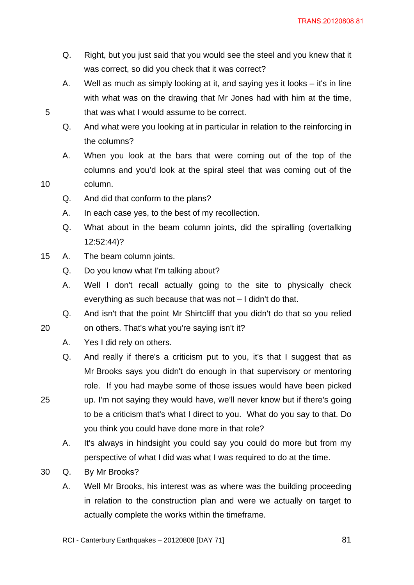- Q. Right, but you just said that you would see the steel and you knew that it was correct, so did you check that it was correct?
- A. Well as much as simply looking at it, and saying yes it looks it's in line with what was on the drawing that Mr Jones had with him at the time, 5 that was what I would assume to be correct.
	- Q. And what were you looking at in particular in relation to the reinforcing in the columns?
	- A. When you look at the bars that were coming out of the top of the columns and you'd look at the spiral steel that was coming out of the
- 10 column.
	- Q. And did that conform to the plans?
	- A. In each case yes, to the best of my recollection.
	- Q. What about in the beam column joints, did the spiralling (overtalking 12:52:44)?
- 15 A. The beam column joints.
	- Q. Do you know what I'm talking about?
	- A. Well I don't recall actually going to the site to physically check everything as such because that was not – I didn't do that.
- Q. And isn't that the point Mr Shirtcliff that you didn't do that so you relied 20 on others. That's what you're saying isn't it?
	- A. Yes I did rely on others.
	- Q. And really if there's a criticism put to you, it's that I suggest that as Mr Brooks says you didn't do enough in that supervisory or mentoring role. If you had maybe some of those issues would have been picked
- 25 up. I'm not saying they would have, we'll never know but if there's going to be a criticism that's what I direct to you. What do you say to that. Do you think you could have done more in that role?
	- A. It's always in hindsight you could say you could do more but from my perspective of what I did was what I was required to do at the time.
- 30 Q. By Mr Brooks?
	- A. Well Mr Brooks, his interest was as where was the building proceeding in relation to the construction plan and were we actually on target to actually complete the works within the timeframe.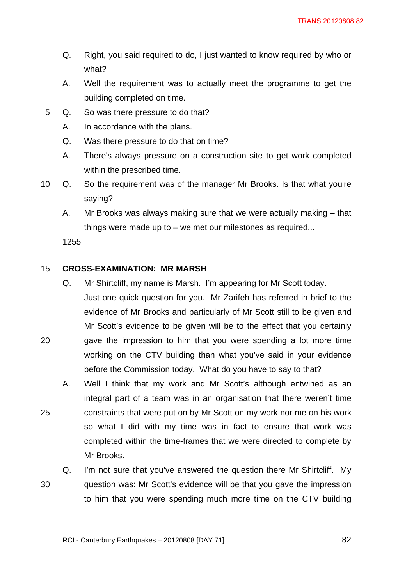- Q. Right, you said required to do, I just wanted to know required by who or what?
- A. Well the requirement was to actually meet the programme to get the building completed on time.
- 5 Q. So was there pressure to do that?
	- A. In accordance with the plans.
	- Q. Was there pressure to do that on time?
	- A. There's always pressure on a construction site to get work completed within the prescribed time.
- 10 Q. So the requirement was of the manager Mr Brooks. Is that what you're saying?
	- A. Mr Brooks was always making sure that we were actually making that things were made up to – we met our milestones as required...

1255

### 15 **CROSS-EXAMINATION: MR MARSH**

- Q. Mr Shirtcliff, my name is Marsh. I'm appearing for Mr Scott today.
- Just one quick question for you. Mr Zarifeh has referred in brief to the evidence of Mr Brooks and particularly of Mr Scott still to be given and Mr Scott's evidence to be given will be to the effect that you certainly 20 gave the impression to him that you were spending a lot more time working on the CTV building than what you've said in your evidence before the Commission today. What do you have to say to that?
- A. Well I think that my work and Mr Scott's although entwined as an integral part of a team was in an organisation that there weren't time 25 constraints that were put on by Mr Scott on my work nor me on his work so what I did with my time was in fact to ensure that work was completed within the time-frames that we were directed to complete by Mr Brooks.

Q. I'm not sure that you've answered the question there Mr Shirtcliff. My 30 question was: Mr Scott's evidence will be that you gave the impression to him that you were spending much more time on the CTV building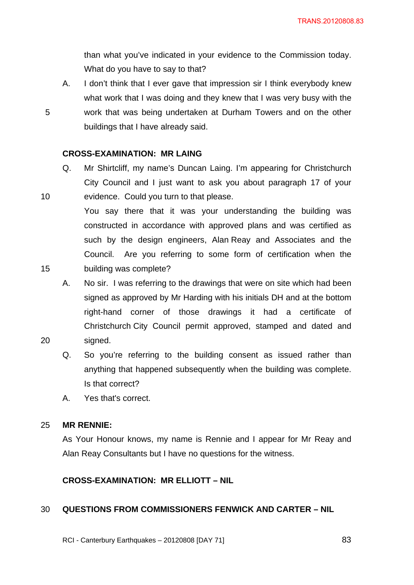than what you've indicated in your evidence to the Commission today. What do you have to say to that?

A. I don't think that I ever gave that impression sir I think everybody knew what work that I was doing and they knew that I was very busy with the 5 work that was being undertaken at Durham Towers and on the other buildings that I have already said.

#### **CROSS-EXAMINATION: MR LAING**

Q. Mr Shirtcliff, my name's Duncan Laing. I'm appearing for Christchurch City Council and I just want to ask you about paragraph 17 of your 10 evidence. Could you turn to that please.

You say there that it was your understanding the building was constructed in accordance with approved plans and was certified as such by the design engineers, Alan Reay and Associates and the Council. Are you referring to some form of certification when the 15 building was complete?

A. No sir. I was referring to the drawings that were on site which had been signed as approved by Mr Harding with his initials DH and at the bottom right-hand corner of those drawings it had a certificate of Christchurch City Council permit approved, stamped and dated and 20 signed.

- Q. So you're referring to the building consent as issued rather than anything that happened subsequently when the building was complete. Is that correct?
- A. Yes that's correct.

#### 25 **MR RENNIE:**

As Your Honour knows, my name is Rennie and I appear for Mr Reay and Alan Reay Consultants but I have no questions for the witness.

#### **CROSS-EXAMINATION: MR ELLIOTT – NIL**

### 30 **QUESTIONS FROM COMMISSIONERS FENWICK AND CARTER – NIL**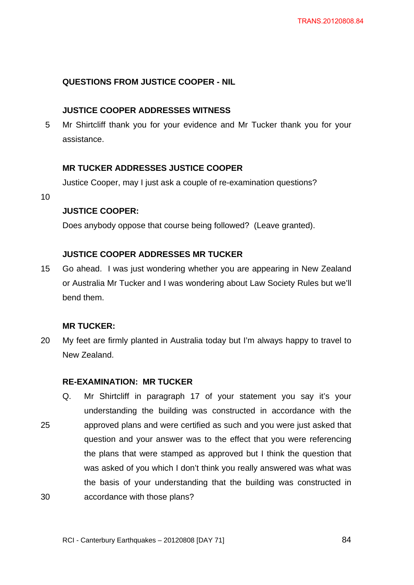# **QUESTIONS FROM JUSTICE COOPER - NIL**

# **JUSTICE COOPER ADDRESSES WITNESS**

5 Mr Shirtcliff thank you for your evidence and Mr Tucker thank you for your assistance.

# **MR TUCKER ADDRESSES JUSTICE COOPER**

Justice Cooper, may I just ask a couple of re-examination questions?

10

# **JUSTICE COOPER:**

Does anybody oppose that course being followed? (Leave granted).

# **JUSTICE COOPER ADDRESSES MR TUCKER**

15 Go ahead. I was just wondering whether you are appearing in New Zealand or Australia Mr Tucker and I was wondering about Law Society Rules but we'll bend them.

# **MR TUCKER:**

20 My feet are firmly planted in Australia today but I'm always happy to travel to New Zealand.

# **RE-EXAMINATION: MR TUCKER**

Q. Mr Shirtcliff in paragraph 17 of your statement you say it's your understanding the building was constructed in accordance with the 25 approved plans and were certified as such and you were just asked that question and your answer was to the effect that you were referencing the plans that were stamped as approved but I think the question that was asked of you which I don't think you really answered was what was the basis of your understanding that the building was constructed in 30 accordance with those plans?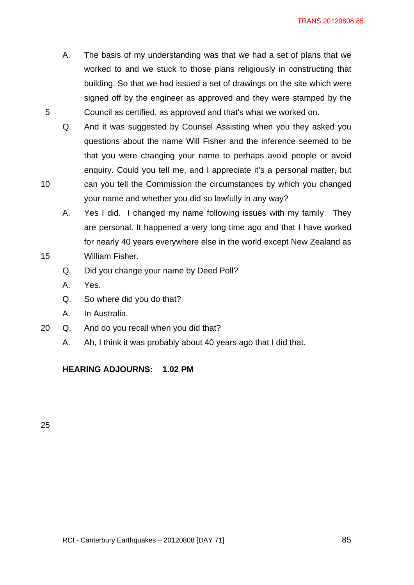- A. The basis of my understanding was that we had a set of plans that we worked to and we stuck to those plans religiously in constructing that building. So that we had issued a set of drawings on the site which were signed off by the engineer as approved and they were stamped by the 5 Council as certified, as approved and that's what we worked on.
- Q. And it was suggested by Counsel Assisting when you they asked you questions about the name Will Fisher and the inference seemed to be that you were changing your name to perhaps avoid people or avoid enquiry. Could you tell me, and I appreciate it's a personal matter, but 10 can you tell the Commission the circumstances by which you changed your name and whether you did so lawfully in any way?
- A. Yes I did. I changed my name following issues with my family. They are personal. It happened a very long time ago and that I have worked for nearly 40 years everywhere else in the world except New Zealand as 15 William Fisher.
	- Q. Did you change your name by Deed Poll?
	- A. Yes.
	- Q. So where did you do that?
	- A. In Australia.
- 20 Q. And do you recall when you did that?
	- A. Ah, I think it was probably about 40 years ago that I did that.

### **HEARING ADJOURNS: 1.02 PM**

25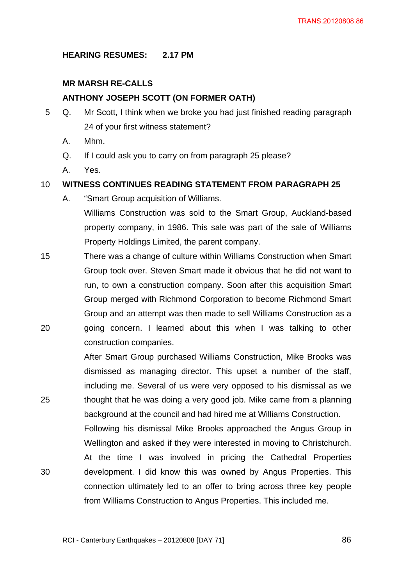# **HEARING RESUMES: 2.17 PM**

# **MR MARSH RE-CALLS**

# **ANTHONY JOSEPH SCOTT (ON FORMER OATH)**

- 5 Q. Mr Scott, I think when we broke you had just finished reading paragraph 24 of your first witness statement?
	- A. Mhm.
	- Q. If I could ask you to carry on from paragraph 25 please?
	- A. Yes.

# 10 **WITNESS CONTINUES READING STATEMENT FROM PARAGRAPH 25**

- A. "Smart Group acquisition of Williams. Williams Construction was sold to the Smart Group, Auckland-based property company, in 1986. This sale was part of the sale of Williams Property Holdings Limited, the parent company.
- 15 There was a change of culture within Williams Construction when Smart Group took over. Steven Smart made it obvious that he did not want to run, to own a construction company. Soon after this acquisition Smart Group merged with Richmond Corporation to become Richmond Smart Group and an attempt was then made to sell Williams Construction as a 20 going concern. I learned about this when I was talking to other construction companies.

After Smart Group purchased Williams Construction, Mike Brooks was dismissed as managing director. This upset a number of the staff, including me. Several of us were very opposed to his dismissal as we 25 thought that he was doing a very good job. Mike came from a planning background at the council and had hired me at Williams Construction.

Following his dismissal Mike Brooks approached the Angus Group in Wellington and asked if they were interested in moving to Christchurch. At the time I was involved in pricing the Cathedral Properties 30 development. I did know this was owned by Angus Properties. This connection ultimately led to an offer to bring across three key people from Williams Construction to Angus Properties. This included me.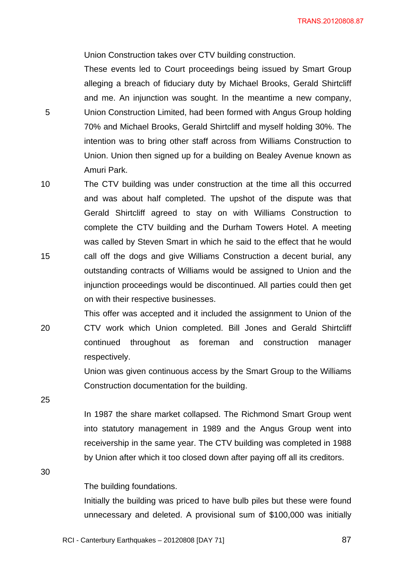Union Construction takes over CTV building construction.

These events led to Court proceedings being issued by Smart Group alleging a breach of fiduciary duty by Michael Brooks, Gerald Shirtcliff and me. An injunction was sought. In the meantime a new company, 5 Union Construction Limited, had been formed with Angus Group holding 70% and Michael Brooks, Gerald Shirtcliff and myself holding 30%. The intention was to bring other staff across from Williams Construction to Union. Union then signed up for a building on Bealey Avenue known as Amuri Park.

- 10 The CTV building was under construction at the time all this occurred and was about half completed. The upshot of the dispute was that Gerald Shirtcliff agreed to stay on with Williams Construction to complete the CTV building and the Durham Towers Hotel. A meeting was called by Steven Smart in which he said to the effect that he would 15 call off the dogs and give Williams Construction a decent burial, any outstanding contracts of Williams would be assigned to Union and the injunction proceedings would be discontinued. All parties could then get on with their respective businesses.
- This offer was accepted and it included the assignment to Union of the 20 CTV work which Union completed. Bill Jones and Gerald Shirtcliff continued throughout as foreman and construction manager respectively.

Union was given continuous access by the Smart Group to the Williams Construction documentation for the building.

25

In 1987 the share market collapsed. The Richmond Smart Group went into statutory management in 1989 and the Angus Group went into receivership in the same year. The CTV building was completed in 1988 by Union after which it too closed down after paying off all its creditors.

30

The building foundations.

Initially the building was priced to have bulb piles but these were found unnecessary and deleted. A provisional sum of \$100,000 was initially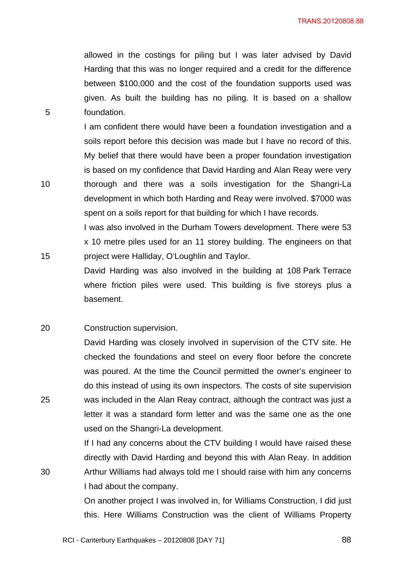allowed in the costings for piling but I was later advised by David Harding that this was no longer required and a credit for the difference between \$100,000 and the cost of the foundation supports used was given. As built the building has no piling. It is based on a shallow 5 foundation.

I am confident there would have been a foundation investigation and a soils report before this decision was made but I have no record of this. My belief that there would have been a proper foundation investigation is based on my confidence that David Harding and Alan Reay were very 10 thorough and there was a soils investigation for the Shangri-La development in which both Harding and Reay were involved. \$7000 was spent on a soils report for that building for which I have records.

I was also involved in the Durham Towers development. There were 53 x 10 metre piles used for an 11 storey building. The engineers on that 15 project were Halliday, O'Loughlin and Taylor.

> David Harding was also involved in the building at 108 Park Terrace where friction piles were used. This building is five storeys plus a basement.

20 Construction supervision.

David Harding was closely involved in supervision of the CTV site. He checked the foundations and steel on every floor before the concrete was poured. At the time the Council permitted the owner's engineer to do this instead of using its own inspectors. The costs of site supervision 25 was included in the Alan Reay contract, although the contract was just a letter it was a standard form letter and was the same one as the one used on the Shangri-La development.

If I had any concerns about the CTV building I would have raised these directly with David Harding and beyond this with Alan Reay. In addition 30 Arthur Williams had always told me I should raise with him any concerns I had about the company.

> On another project I was involved in, for Williams Construction, I did just this. Here Williams Construction was the client of Williams Property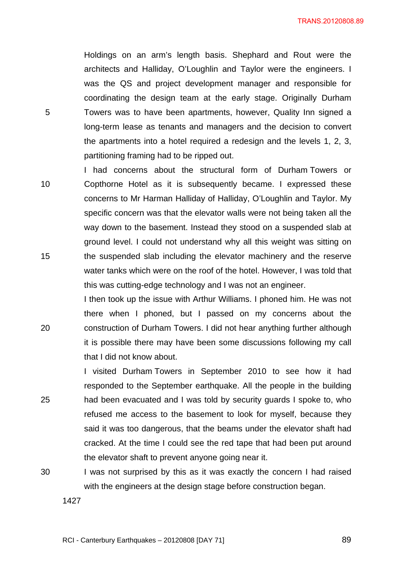TRANS.20120808.89

Holdings on an arm's length basis. Shephard and Rout were the architects and Halliday, O'Loughlin and Taylor were the engineers. I was the QS and project development manager and responsible for coordinating the design team at the early stage. Originally Durham 5 Towers was to have been apartments, however, Quality Inn signed a long-term lease as tenants and managers and the decision to convert the apartments into a hotel required a redesign and the levels 1, 2, 3, partitioning framing had to be ripped out.

I had concerns about the structural form of Durham Towers or 10 Copthorne Hotel as it is subsequently became. I expressed these concerns to Mr Harman Halliday of Halliday, O'Loughlin and Taylor. My specific concern was that the elevator walls were not being taken all the way down to the basement. Instead they stood on a suspended slab at ground level. I could not understand why all this weight was sitting on 15 the suspended slab including the elevator machinery and the reserve water tanks which were on the roof of the hotel. However, I was told that this was cutting-edge technology and I was not an engineer.

I then took up the issue with Arthur Williams. I phoned him. He was not there when I phoned, but I passed on my concerns about the 20 construction of Durham Towers. I did not hear anything further although it is possible there may have been some discussions following my call that I did not know about.

I visited Durham Towers in September 2010 to see how it had responded to the September earthquake. All the people in the building 25 had been evacuated and I was told by security guards I spoke to, who refused me access to the basement to look for myself, because they said it was too dangerous, that the beams under the elevator shaft had cracked. At the time I could see the red tape that had been put around the elevator shaft to prevent anyone going near it.

30 I was not surprised by this as it was exactly the concern I had raised with the engineers at the design stage before construction began.

1427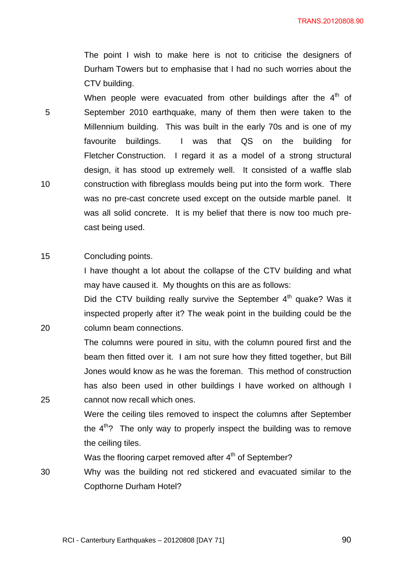TRANS.20120808.90

The point I wish to make here is not to criticise the designers of Durham Towers but to emphasise that I had no such worries about the CTV building.

When people were evacuated from other buildings after the  $4<sup>th</sup>$  of 5 September 2010 earthquake, many of them then were taken to the Millennium building. This was built in the early 70s and is one of my favourite buildings. I was that QS on the building for Fletcher Construction. I regard it as a model of a strong structural design, it has stood up extremely well. It consisted of a waffle slab 10 construction with fibreglass moulds being put into the form work. There was no pre-cast concrete used except on the outside marble panel. It was all solid concrete. It is my belief that there is now too much precast being used.

15 Concluding points.

I have thought a lot about the collapse of the CTV building and what may have caused it. My thoughts on this are as follows:

Did the CTV building really survive the September  $4<sup>th</sup>$  quake? Was it inspected properly after it? The weak point in the building could be the 20 column beam connections.

The columns were poured in situ, with the column poured first and the beam then fitted over it. I am not sure how they fitted together, but Bill Jones would know as he was the foreman. This method of construction has also been used in other buildings I have worked on although I 25 cannot now recall which ones.

> Were the ceiling tiles removed to inspect the columns after September the  $4<sup>th</sup>$ ? The only way to properly inspect the building was to remove the ceiling tiles.

Was the flooring carpet removed after  $4<sup>th</sup>$  of September?

30 Why was the building not red stickered and evacuated similar to the Copthorne Durham Hotel?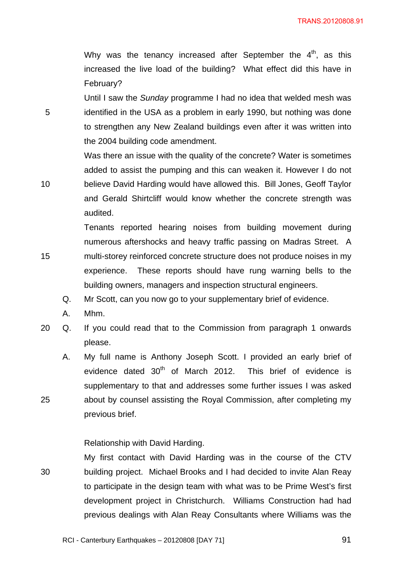Why was the tenancy increased after September the  $4<sup>th</sup>$ , as this increased the live load of the building? What effect did this have in February?

Until I saw the *Sunday* programme I had no idea that welded mesh was 5 identified in the USA as a problem in early 1990, but nothing was done to strengthen any New Zealand buildings even after it was written into the 2004 building code amendment.

Was there an issue with the quality of the concrete? Water is sometimes added to assist the pumping and this can weaken it. However I do not 10 believe David Harding would have allowed this. Bill Jones, Geoff Taylor and Gerald Shirtcliff would know whether the concrete strength was audited.

Tenants reported hearing noises from building movement during numerous aftershocks and heavy traffic passing on Madras Street. A 15 multi-storey reinforced concrete structure does not produce noises in my experience. These reports should have rung warning bells to the building owners, managers and inspection structural engineers.

Q. Mr Scott, can you now go to your supplementary brief of evidence.

A. Mhm.

20 Q. If you could read that to the Commission from paragraph 1 onwards please.

A. My full name is Anthony Joseph Scott. I provided an early brief of evidence dated  $30<sup>th</sup>$  of March 2012. This brief of evidence is supplementary to that and addresses some further issues I was asked 25 about by counsel assisting the Royal Commission, after completing my previous brief.

#### Relationship with David Harding.

My first contact with David Harding was in the course of the CTV 30 building project. Michael Brooks and I had decided to invite Alan Reay to participate in the design team with what was to be Prime West's first development project in Christchurch. Williams Construction had had previous dealings with Alan Reay Consultants where Williams was the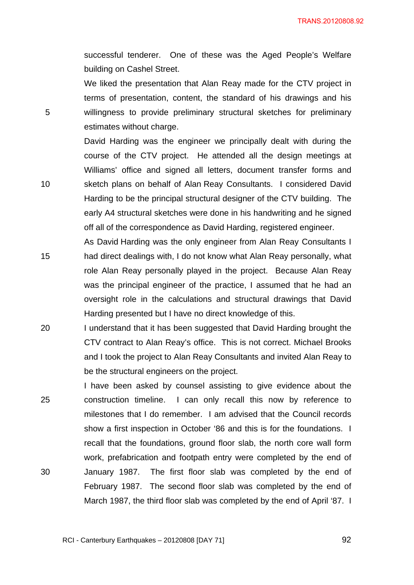successful tenderer. One of these was the Aged People's Welfare building on Cashel Street.

We liked the presentation that Alan Reay made for the CTV project in terms of presentation, content, the standard of his drawings and his 5 willingness to provide preliminary structural sketches for preliminary estimates without charge.

David Harding was the engineer we principally dealt with during the course of the CTV project. He attended all the design meetings at Williams' office and signed all letters, document transfer forms and 10 sketch plans on behalf of Alan Reay Consultants. I considered David Harding to be the principal structural designer of the CTV building. The early A4 structural sketches were done in his handwriting and he signed off all of the correspondence as David Harding, registered engineer.

As David Harding was the only engineer from Alan Reay Consultants I 15 had direct dealings with, I do not know what Alan Reay personally, what role Alan Reay personally played in the project. Because Alan Reay was the principal engineer of the practice, I assumed that he had an oversight role in the calculations and structural drawings that David Harding presented but I have no direct knowledge of this.

- 20 I understand that it has been suggested that David Harding brought the CTV contract to Alan Reay's office. This is not correct. Michael Brooks and I took the project to Alan Reay Consultants and invited Alan Reay to be the structural engineers on the project.
- I have been asked by counsel assisting to give evidence about the 25 construction timeline. I can only recall this now by reference to milestones that I do remember. I am advised that the Council records show a first inspection in October '86 and this is for the foundations. I recall that the foundations, ground floor slab, the north core wall form work, prefabrication and footpath entry were completed by the end of 30 January 1987. The first floor slab was completed by the end of February 1987. The second floor slab was completed by the end of March 1987, the third floor slab was completed by the end of April '87. I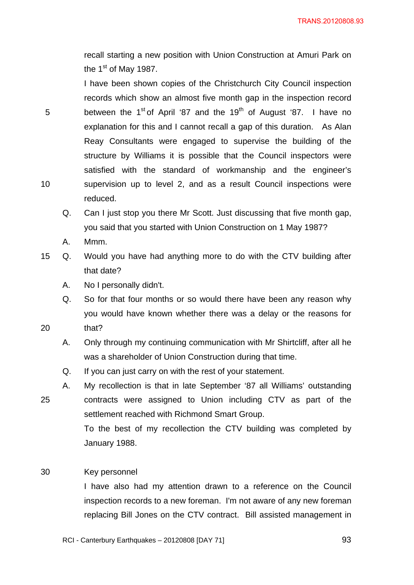TRANS.20120808.93

recall starting a new position with Union Construction at Amuri Park on the  $1<sup>st</sup>$  of May 1987.

I have been shown copies of the Christchurch City Council inspection records which show an almost five month gap in the inspection record 5 between the  $1<sup>st</sup>$  of April '87 and the  $19<sup>th</sup>$  of August '87. I have no explanation for this and I cannot recall a gap of this duration. As Alan Reay Consultants were engaged to supervise the building of the structure by Williams it is possible that the Council inspectors were satisfied with the standard of workmanship and the engineer's 10 supervision up to level 2, and as a result Council inspections were reduced.

- Q. Can I just stop you there Mr Scott. Just discussing that five month gap, you said that you started with Union Construction on 1 May 1987?
- A. Mmm.
- 15 Q. Would you have had anything more to do with the CTV building after that date?
	- A. No I personally didn't.
- Q. So for that four months or so would there have been any reason why you would have known whether there was a delay or the reasons for 20 that?
	- A. Only through my continuing communication with Mr Shirtcliff, after all he was a shareholder of Union Construction during that time.
	- Q. If you can just carry on with the rest of your statement.
- A. My recollection is that in late September '87 all Williams' outstanding 25 contracts were assigned to Union including CTV as part of the settlement reached with Richmond Smart Group.

To the best of my recollection the CTV building was completed by January 1988.

#### 30 Key personnel

I have also had my attention drawn to a reference on the Council inspection records to a new foreman. I'm not aware of any new foreman replacing Bill Jones on the CTV contract. Bill assisted management in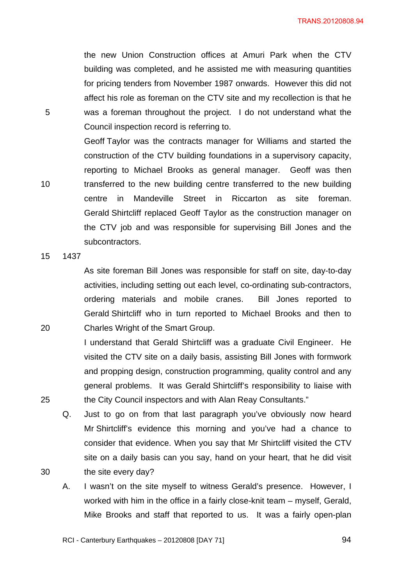TRANS.20120808.94

the new Union Construction offices at Amuri Park when the CTV building was completed, and he assisted me with measuring quantities for pricing tenders from November 1987 onwards. However this did not affect his role as foreman on the CTV site and my recollection is that he 5 was a foreman throughout the project. I do not understand what the Council inspection record is referring to.

Geoff Taylor was the contracts manager for Williams and started the construction of the CTV building foundations in a supervisory capacity, reporting to Michael Brooks as general manager. Geoff was then 10 transferred to the new building centre transferred to the new building centre in Mandeville Street in Riccarton as site foreman. Gerald Shirtcliff replaced Geoff Taylor as the construction manager on the CTV job and was responsible for supervising Bill Jones and the subcontractors.

15 1437

As site foreman Bill Jones was responsible for staff on site, day-to-day activities, including setting out each level, co-ordinating sub-contractors, ordering materials and mobile cranes. Bill Jones reported to Gerald Shirtcliff who in turn reported to Michael Brooks and then to 20 Charles Wright of the Smart Group.

I understand that Gerald Shirtcliff was a graduate Civil Engineer. He visited the CTV site on a daily basis, assisting Bill Jones with formwork and propping design, construction programming, quality control and any general problems. It was Gerald Shirtcliff's responsibility to liaise with 25 the City Council inspectors and with Alan Reay Consultants."

Q. Just to go on from that last paragraph you've obviously now heard Mr Shirtcliff's evidence this morning and you've had a chance to consider that evidence. When you say that Mr Shirtcliff visited the CTV site on a daily basis can you say, hand on your heart, that he did visit 30 the site every day?

A. I wasn't on the site myself to witness Gerald's presence. However, I worked with him in the office in a fairly close-knit team – myself, Gerald, Mike Brooks and staff that reported to us. It was a fairly open-plan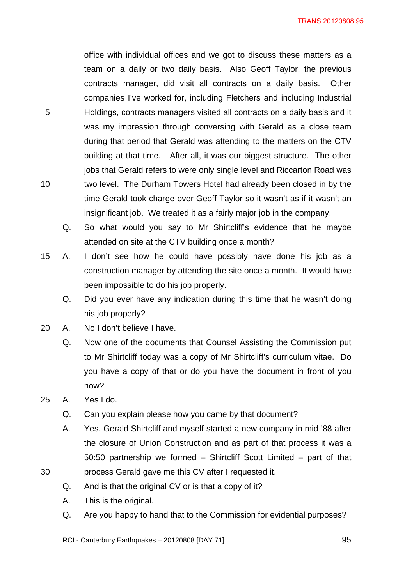office with individual offices and we got to discuss these matters as a team on a daily or two daily basis. Also Geoff Taylor, the previous contracts manager, did visit all contracts on a daily basis. Other companies I've worked for, including Fletchers and including Industrial 5 Holdings, contracts managers visited all contracts on a daily basis and it was my impression through conversing with Gerald as a close team during that period that Gerald was attending to the matters on the CTV building at that time. After all, it was our biggest structure. The other jobs that Gerald refers to were only single level and Riccarton Road was 10 two level. The Durham Towers Hotel had already been closed in by the time Gerald took charge over Geoff Taylor so it wasn't as if it wasn't an insignificant job. We treated it as a fairly major job in the company.

- Q. So what would you say to Mr Shirtcliff's evidence that he maybe attended on site at the CTV building once a month?
- 15 A. I don't see how he could have possibly have done his job as a construction manager by attending the site once a month. It would have been impossible to do his job properly.
	- Q. Did you ever have any indication during this time that he wasn't doing his job properly?
- 20 A. No I don't believe I have.
	- Q. Now one of the documents that Counsel Assisting the Commission put to Mr Shirtcliff today was a copy of Mr Shirtcliff's curriculum vitae. Do you have a copy of that or do you have the document in front of you now?
- 25 A. Yes I do.
	- Q. Can you explain please how you came by that document?
- A. Yes. Gerald Shirtcliff and myself started a new company in mid '88 after the closure of Union Construction and as part of that process it was a 50:50 partnership we formed – Shirtcliff Scott Limited – part of that 30 process Gerald gave me this CV after I requested it.
	- Q. And is that the original CV or is that a copy of it?
		- A. This is the original.
		- Q. Are you happy to hand that to the Commission for evidential purposes?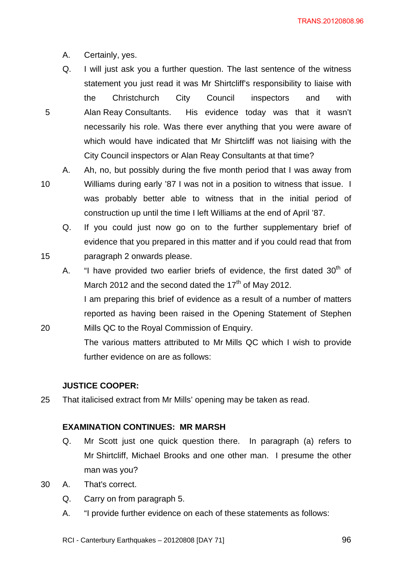- A. Certainly, yes.
- Q. I will just ask you a further question. The last sentence of the witness statement you just read it was Mr Shirtcliff's responsibility to liaise with the Christchurch City Council inspectors and with 5 Alan Reay Consultants. His evidence today was that it wasn't necessarily his role. Was there ever anything that you were aware of which would have indicated that Mr Shirtcliff was not liaising with the City Council inspectors or Alan Reay Consultants at that time?

10 Williams during early '87 I was not in a position to witness that issue. I was probably better able to witness that in the initial period of construction up until the time I left Williams at the end of April '87.

A. Ah, no, but possibly during the five month period that I was away from

- Q. If you could just now go on to the further supplementary brief of evidence that you prepared in this matter and if you could read that from 15 paragraph 2 onwards please.
	- A. "I have provided two earlier briefs of evidence, the first dated  $30<sup>th</sup>$  of March 2012 and the second dated the  $17<sup>th</sup>$  of May 2012. I am preparing this brief of evidence as a result of a number of matters reported as having been raised in the Opening Statement of Stephen
- 20 Mills QC to the Royal Commission of Enquiry. The various matters attributed to Mr Mills QC which I wish to provide further evidence on are as follows:

# **JUSTICE COOPER:**

25 That italicised extract from Mr Mills' opening may be taken as read.

# **EXAMINATION CONTINUES: MR MARSH**

- Q. Mr Scott just one quick question there. In paragraph (a) refers to Mr Shirtcliff, Michael Brooks and one other man. I presume the other man was you?
- 30 A. That's correct.
	- Q. Carry on from paragraph 5.
	- A. "I provide further evidence on each of these statements as follows:
	- RCI Canterbury Earthquakes 20120808 [DAY 71] 96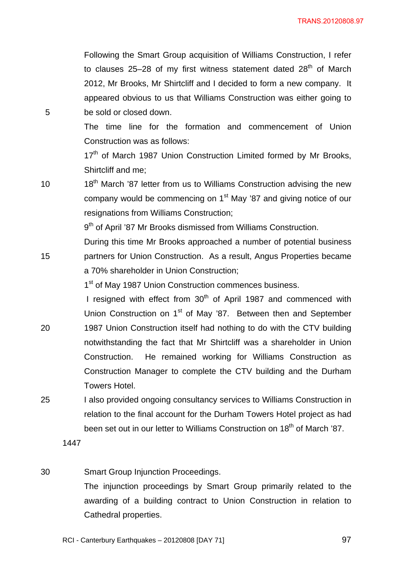Following the Smart Group acquisition of Williams Construction, I refer to clauses 25–28 of my first witness statement dated  $28<sup>th</sup>$  of March 2012, Mr Brooks, Mr Shirtcliff and I decided to form a new company. It appeared obvious to us that Williams Construction was either going to 5 be sold or closed down.

> The time line for the formation and commencement of Union Construction was as follows:

> 17<sup>th</sup> of March 1987 Union Construction Limited formed by Mr Brooks, Shirtcliff and me;

10 18<sup>th</sup> March '87 letter from us to Williams Construction advising the new company would be commencing on  $1<sup>st</sup>$  May '87 and giving notice of our resignations from Williams Construction;

9<sup>th</sup> of April '87 Mr Brooks dismissed from Williams Construction.

During this time Mr Brooks approached a number of potential business 15 partners for Union Construction. As a result, Angus Properties became a 70% shareholder in Union Construction;

1<sup>st</sup> of May 1987 Union Construction commences business.

I resigned with effect from  $30<sup>th</sup>$  of April 1987 and commenced with Union Construction on 1<sup>st</sup> of May '87. Between then and September 20 1987 Union Construction itself had nothing to do with the CTV building notwithstanding the fact that Mr Shirtcliff was a shareholder in Union Construction. He remained working for Williams Construction as Construction Manager to complete the CTV building and the Durham Towers Hotel.

25 I also provided ongoing consultancy services to Williams Construction in relation to the final account for the Durham Towers Hotel project as had been set out in our letter to Williams Construction on 18<sup>th</sup> of March '87.

1447

30 Smart Group Injunction Proceedings.

The injunction proceedings by Smart Group primarily related to the awarding of a building contract to Union Construction in relation to Cathedral properties.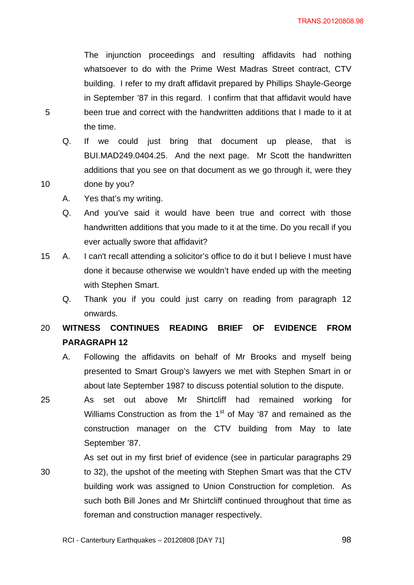The injunction proceedings and resulting affidavits had nothing whatsoever to do with the Prime West Madras Street contract, CTV building. I refer to my draft affidavit prepared by Phillips Shayle-George in September '87 in this regard. I confirm that that affidavit would have 5 been true and correct with the handwritten additions that I made to it at the time.

- Q. If we could just bring that document up please, that is BUI.MAD249.0404.25. And the next page. Mr Scott the handwritten additions that you see on that document as we go through it, were they 10 done by you?
	- A. Yes that's my writing.
	- Q. And you've said it would have been true and correct with those handwritten additions that you made to it at the time. Do you recall if you ever actually swore that affidavit?
- 15 A. I can't recall attending a solicitor's office to do it but I believe I must have done it because otherwise we wouldn't have ended up with the meeting with Stephen Smart.
	- Q. Thank you if you could just carry on reading from paragraph 12 onwards.

# 20 **WITNESS CONTINUES READING BRIEF OF EVIDENCE FROM PARAGRAPH 12**

- A. Following the affidavits on behalf of Mr Brooks and myself being presented to Smart Group's lawyers we met with Stephen Smart in or about late September 1987 to discuss potential solution to the dispute.
- 25 As set out above Mr Shirtcliff had remained working for Williams Construction as from the  $1<sup>st</sup>$  of May '87 and remained as the construction manager on the CTV building from May to late September '87.
- As set out in my first brief of evidence (see in particular paragraphs 29 30 to 32), the upshot of the meeting with Stephen Smart was that the CTV building work was assigned to Union Construction for completion. As such both Bill Jones and Mr Shirtcliff continued throughout that time as foreman and construction manager respectively.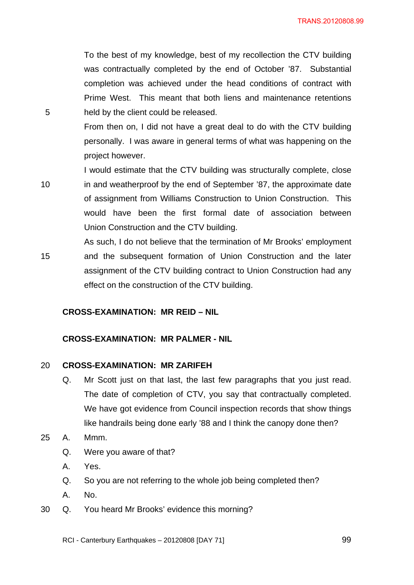To the best of my knowledge, best of my recollection the CTV building was contractually completed by the end of October '87. Substantial completion was achieved under the head conditions of contract with Prime West. This meant that both liens and maintenance retentions 5 held by the client could be released.

> From then on, I did not have a great deal to do with the CTV building personally. I was aware in general terms of what was happening on the project however.

I would estimate that the CTV building was structurally complete, close 10 in and weatherproof by the end of September '87, the approximate date of assignment from Williams Construction to Union Construction. This would have been the first formal date of association between Union Construction and the CTV building.

As such, I do not believe that the termination of Mr Brooks' employment 15 and the subsequent formation of Union Construction and the later assignment of the CTV building contract to Union Construction had any effect on the construction of the CTV building.

#### **CROSS-EXAMINATION: MR REID – NIL**

# **CROSS-EXAMINATION: MR PALMER - NIL**

#### 20 **CROSS-EXAMINATION: MR ZARIFEH**

- Q. Mr Scott just on that last, the last few paragraphs that you just read. The date of completion of CTV, you say that contractually completed. We have got evidence from Council inspection records that show things like handrails being done early '88 and I think the canopy done then?
- 25 A. Mmm.
	- Q. Were you aware of that?
	- A. Yes.
	- Q. So you are not referring to the whole job being completed then?
	- A. No.
- 30 Q. You heard Mr Brooks' evidence this morning?
	- RCI Canterbury Earthquakes 20120808 [DAY 71] 99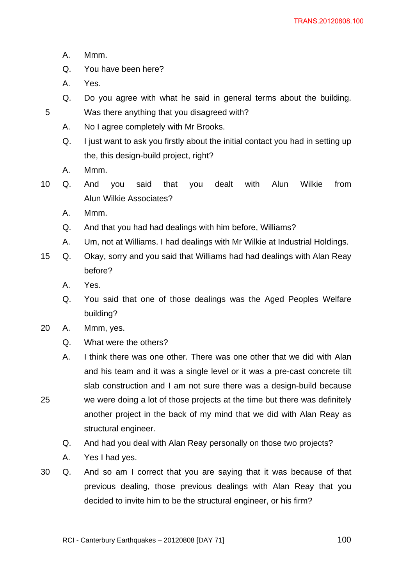- A. Mmm.
- Q. You have been here?
- A. Yes.
- Q. Do you agree with what he said in general terms about the building. 5 Was there anything that you disagreed with?
	- A. No I agree completely with Mr Brooks.
	- Q. I just want to ask you firstly about the initial contact you had in setting up the, this design-build project, right?
	- A. Mmm.
- 10 Q. And you said that you dealt with Alun Wilkie from Alun Wilkie Associates?
	- A. Mmm.
	- Q. And that you had had dealings with him before, Williams?
	- A. Um, not at Williams. I had dealings with Mr Wilkie at Industrial Holdings.
- 15 Q. Okay, sorry and you said that Williams had had dealings with Alan Reay before?
	- A. Yes.
	- Q. You said that one of those dealings was the Aged Peoples Welfare building?
- 20 A. Mmm, yes.
	- Q. What were the others?
- A. I think there was one other. There was one other that we did with Alan and his team and it was a single level or it was a pre-cast concrete tilt slab construction and I am not sure there was a design-build because 25 we were doing a lot of those projects at the time but there was definitely another project in the back of my mind that we did with Alan Reay as structural engineer.
	- Q. And had you deal with Alan Reay personally on those two projects?
	- A. Yes I had yes.
- 30 Q. And so am I correct that you are saying that it was because of that previous dealing, those previous dealings with Alan Reay that you decided to invite him to be the structural engineer, or his firm?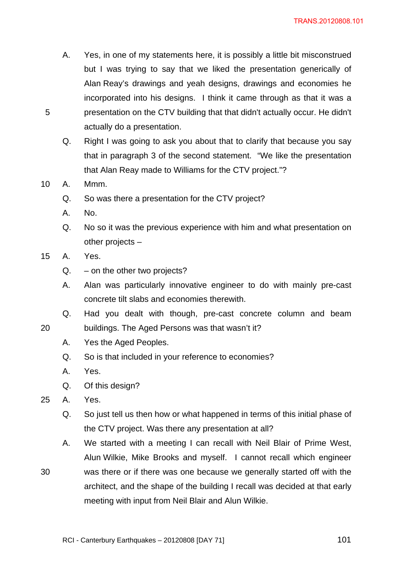- A. Yes, in one of my statements here, it is possibly a little bit misconstrued but I was trying to say that we liked the presentation generically of Alan Reay's drawings and yeah designs, drawings and economies he incorporated into his designs. I think it came through as that it was a 5 presentation on the CTV building that that didn't actually occur. He didn't actually do a presentation.
	- Q. Right I was going to ask you about that to clarify that because you say that in paragraph 3 of the second statement. "We like the presentation that Alan Reay made to Williams for the CTV project."?
- 10 A. Mmm.
	- Q. So was there a presentation for the CTV project?
	- A. No.
	- Q. No so it was the previous experience with him and what presentation on other projects –
- 15 A. Yes.
	- $Q. -$  on the other two projects?
	- A. Alan was particularly innovative engineer to do with mainly pre-cast concrete tilt slabs and economies therewith.
- Q. Had you dealt with though, pre-cast concrete column and beam 20 buildings. The Aged Persons was that wasn't it?
	- A. Yes the Aged Peoples.
	- Q. So is that included in your reference to economies?
	- A. Yes.
	- Q. Of this design?
- 25 A. Yes.
	- Q. So just tell us then how or what happened in terms of this initial phase of the CTV project. Was there any presentation at all?
	- A. We started with a meeting I can recall with Neil Blair of Prime West, Alun Wilkie, Mike Brooks and myself. I cannot recall which engineer
- 30 was there or if there was one because we generally started off with the architect, and the shape of the building I recall was decided at that early meeting with input from Neil Blair and Alun Wilkie.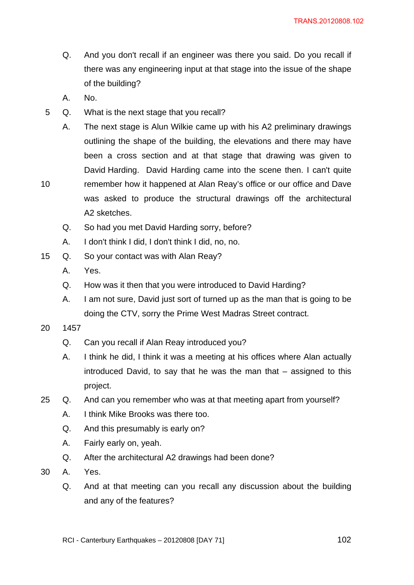- Q. And you don't recall if an engineer was there you said. Do you recall if there was any engineering input at that stage into the issue of the shape of the building?
- A. No.
- 5 Q. What is the next stage that you recall?
- A. The next stage is Alun Wilkie came up with his A2 preliminary drawings outlining the shape of the building, the elevations and there may have been a cross section and at that stage that drawing was given to David Harding. David Harding came into the scene then. I can't quite 10 remember how it happened at Alan Reay's office or our office and Dave was asked to produce the structural drawings off the architectural A2 sketches.
	- Q. So had you met David Harding sorry, before?
	- A. I don't think I did, I don't think I did, no, no.
- 15 Q. So your contact was with Alan Reay?
	- A. Yes.
	- Q. How was it then that you were introduced to David Harding?
	- A. I am not sure, David just sort of turned up as the man that is going to be doing the CTV, sorry the Prime West Madras Street contract.
- 20 1457
	- Q. Can you recall if Alan Reay introduced you?
	- A. I think he did, I think it was a meeting at his offices where Alan actually introduced David, to say that he was the man that – assigned to this project.
- 25 Q. And can you remember who was at that meeting apart from yourself?
	- A. I think Mike Brooks was there too.
	- Q. And this presumably is early on?
	- A. Fairly early on, yeah.
	- Q. After the architectural A2 drawings had been done?
- 30 A. Yes.
	- Q. And at that meeting can you recall any discussion about the building and any of the features?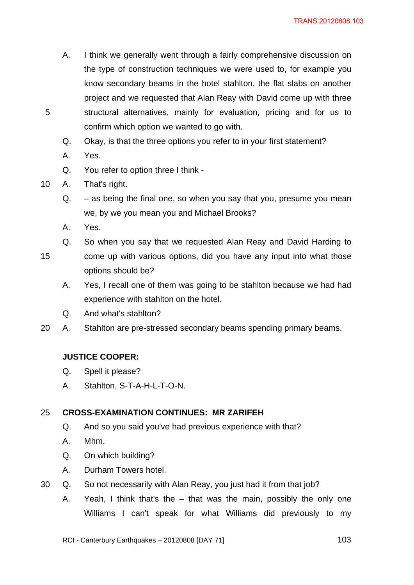A. I think we generally went through a fairly comprehensive discussion on the type of construction techniques we were used to, for example you know secondary beams in the hotel stahlton, the flat slabs on another project and we requested that Alan Reay with David come up with three 5 structural alternatives, mainly for evaluation, pricing and for us to confirm which option we wanted to go with.

Q. Okay, is that the three options you refer to in your first statement?

- A. Yes.
- Q. You refer to option three I think -
- 10 A. That's right.
	- Q. as being the final one, so when you say that you, presume you mean we, by we you mean you and Michael Brooks?
	- A. Yes.
	- Q. So when you say that we requested Alan Reay and David Harding to
- 15 come up with various options, did you have any input into what those options should be?
	- A. Yes, I recall one of them was going to be stahlton because we had had experience with stahlton on the hotel.
	- Q. And what's stahlton?
- 20 A. Stahlton are pre-stressed secondary beams spending primary beams.

# **JUSTICE COOPER:**

- Q. Spell it please?
- A. Stahlton, S-T-A-H-L-T-O-N.

#### 25 **CROSS-EXAMINATION CONTINUES: MR ZARIFEH**

- Q. And so you said you've had previous experience with that?
- A. Mhm.
- Q. On which building?
- A. Durham Towers hotel.
- 30 Q. So not necessarily with Alan Reay, you just had it from that job?
	- A. Yeah, I think that's the that was the main, possibly the only one Williams I can't speak for what Williams did previously to my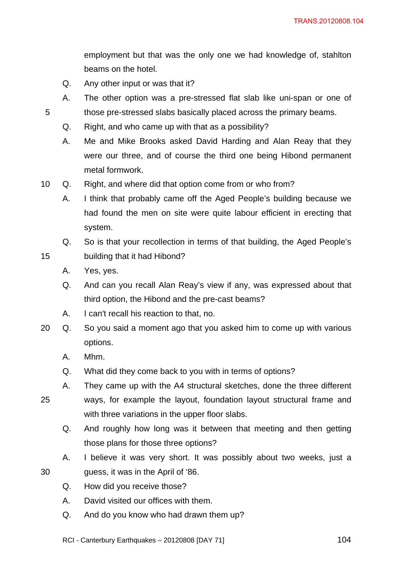employment but that was the only one we had knowledge of, stahlton beams on the hotel.

- Q. Any other input or was that it?
- A. The other option was a pre-stressed flat slab like uni-span or one of 5 those pre-stressed slabs basically placed across the primary beams.
	- Q. Right, and who came up with that as a possibility?
	- A. Me and Mike Brooks asked David Harding and Alan Reay that they were our three, and of course the third one being Hibond permanent metal formwork.
- 10 Q. Right, and where did that option come from or who from?
	- A. I think that probably came off the Aged People's building because we had found the men on site were quite labour efficient in erecting that system.
- Q. So is that your recollection in terms of that building, the Aged People's 15 building that it had Hibond?
	- A. Yes, yes.
	- Q. And can you recall Alan Reay's view if any, was expressed about that third option, the Hibond and the pre-cast beams?
	- A. I can't recall his reaction to that, no.
- 20 Q. So you said a moment ago that you asked him to come up with various options.
	- A. Mhm.
	- Q. What did they come back to you with in terms of options?
- A. They came up with the A4 structural sketches, done the three different 25 ways, for example the layout, foundation layout structural frame and with three variations in the upper floor slabs.
	- Q. And roughly how long was it between that meeting and then getting those plans for those three options?
- A. I believe it was very short. It was possibly about two weeks, just a 30 guess, it was in the April of '86.
	- Q. How did you receive those?
	- A. David visited our offices with them.
	- Q. And do you know who had drawn them up?
	- RCI Canterbury Earthquakes  $20120808$  [DAY 71]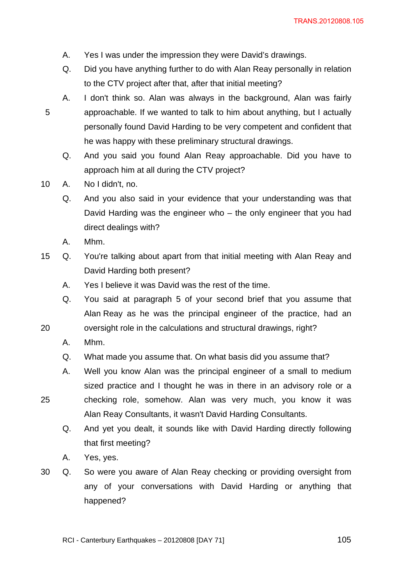- A. Yes I was under the impression they were David's drawings.
- Q. Did you have anything further to do with Alan Reay personally in relation to the CTV project after that, after that initial meeting?
- A. I don't think so. Alan was always in the background, Alan was fairly 5 approachable. If we wanted to talk to him about anything, but I actually personally found David Harding to be very competent and confident that he was happy with these preliminary structural drawings.
	- Q. And you said you found Alan Reay approachable. Did you have to approach him at all during the CTV project?
- 10 A. No I didn't, no.
	- Q. And you also said in your evidence that your understanding was that David Harding was the engineer who – the only engineer that you had direct dealings with?
	- A. Mhm.
- 15 Q. You're talking about apart from that initial meeting with Alan Reay and David Harding both present?
	- A. Yes I believe it was David was the rest of the time.
	- Q. You said at paragraph 5 of your second brief that you assume that Alan Reay as he was the principal engineer of the practice, had an
- 20 oversight role in the calculations and structural drawings, right?
	- A. Mhm.
	- Q. What made you assume that. On what basis did you assume that?
- A. Well you know Alan was the principal engineer of a small to medium sized practice and I thought he was in there in an advisory role or a 25 checking role, somehow. Alan was very much, you know it was Alan Reay Consultants, it wasn't David Harding Consultants.
	- Q. And yet you dealt, it sounds like with David Harding directly following that first meeting?
	- A. Yes, yes.
- 30 Q. So were you aware of Alan Reay checking or providing oversight from any of your conversations with David Harding or anything that happened?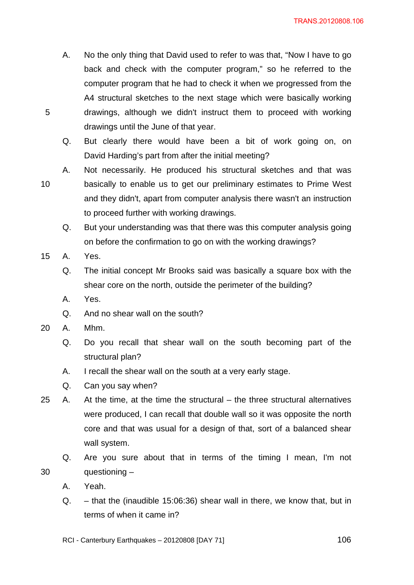- A. No the only thing that David used to refer to was that, "Now I have to go back and check with the computer program," so he referred to the computer program that he had to check it when we progressed from the A4 structural sketches to the next stage which were basically working 5 drawings, although we didn't instruct them to proceed with working drawings until the June of that year.
	- Q. But clearly there would have been a bit of work going on, on David Harding's part from after the initial meeting?
- A. Not necessarily. He produced his structural sketches and that was 10 basically to enable us to get our preliminary estimates to Prime West and they didn't, apart from computer analysis there wasn't an instruction to proceed further with working drawings.
	- Q. But your understanding was that there was this computer analysis going on before the confirmation to go on with the working drawings?
- 15 A. Yes.
	- Q. The initial concept Mr Brooks said was basically a square box with the shear core on the north, outside the perimeter of the building?
	- A. Yes.
	- Q. And no shear wall on the south?
- 20 A. Mhm.
	- Q. Do you recall that shear wall on the south becoming part of the structural plan?
	- A. I recall the shear wall on the south at a very early stage.
	- Q. Can you say when?
- 25 A. At the time, at the time the structural the three structural alternatives were produced, I can recall that double wall so it was opposite the north core and that was usual for a design of that, sort of a balanced shear wall system.
- Q. Are you sure about that in terms of the timing I mean, I'm not 30 questioning –
	- A. Yeah.
	- Q. that the (inaudible 15:06:36) shear wall in there, we know that, but in terms of when it came in?
	- RCI Canterbury Earthquakes  $-20120808$  [DAY 71]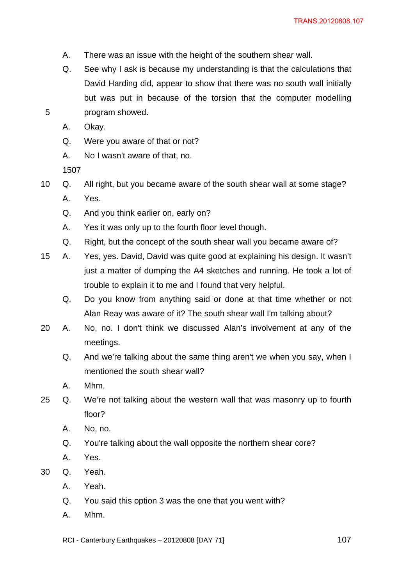- A. There was an issue with the height of the southern shear wall.
- Q. See why I ask is because my understanding is that the calculations that David Harding did, appear to show that there was no south wall initially but was put in because of the torsion that the computer modelling 5 program showed.
	- A. Okay.
	- Q. Were you aware of that or not?
	- A. No I wasn't aware of that, no.

1507

- 10 Q. All right, but you became aware of the south shear wall at some stage?
	- A. Yes.
	- Q. And you think earlier on, early on?
	- A. Yes it was only up to the fourth floor level though.
	- Q. Right, but the concept of the south shear wall you became aware of?
- 15 A. Yes, yes. David, David was quite good at explaining his design. It wasn't just a matter of dumping the A4 sketches and running. He took a lot of trouble to explain it to me and I found that very helpful.
	- Q. Do you know from anything said or done at that time whether or not Alan Reay was aware of it? The south shear wall I'm talking about?
- 20 A. No, no. I don't think we discussed Alan's involvement at any of the meetings.
	- Q. And we're talking about the same thing aren't we when you say, when I mentioned the south shear wall?
	- A. Mhm.
- 25 Q. We're not talking about the western wall that was masonry up to fourth floor?
	- A. No, no.
	- Q. You're talking about the wall opposite the northern shear core?
	- A. Yes.
- 30 Q. Yeah.
	- A. Yeah.
	- Q. You said this option 3 was the one that you went with?
	- A. Mhm.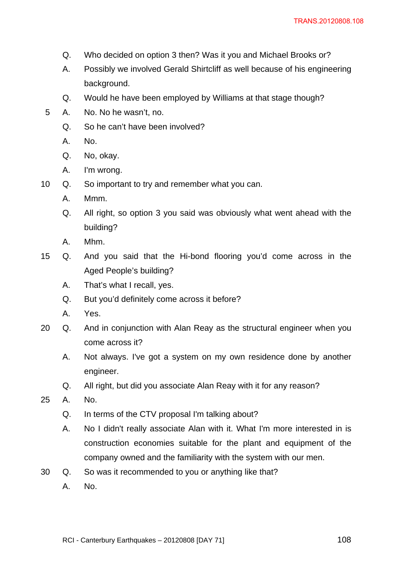- Q. Who decided on option 3 then? Was it you and Michael Brooks or?
- A. Possibly we involved Gerald Shirtcliff as well because of his engineering background.
- Q. Would he have been employed by Williams at that stage though?
- 5 A. No. No he wasn't, no.
	- Q. So he can't have been involved?
	- A. No.
	- Q. No, okay.
	- A. I'm wrong.
- 10 Q. So important to try and remember what you can.
	- A. Mmm.
	- Q. All right, so option 3 you said was obviously what went ahead with the building?
	- A. Mhm.
- 15 Q. And you said that the Hi-bond flooring you'd come across in the Aged People's building?
	- A. That's what I recall, yes.
	- Q. But you'd definitely come across it before?
	- A. Yes.
- 20 Q. And in conjunction with Alan Reay as the structural engineer when you come across it?
	- A. Not always. I've got a system on my own residence done by another engineer.
	- Q. All right, but did you associate Alan Reay with it for any reason?
- 25 A. No.
	- Q. In terms of the CTV proposal I'm talking about?
	- A. No I didn't really associate Alan with it. What I'm more interested in is construction economies suitable for the plant and equipment of the company owned and the familiarity with the system with our men.
- 30 Q. So was it recommended to you or anything like that?
	- A. No.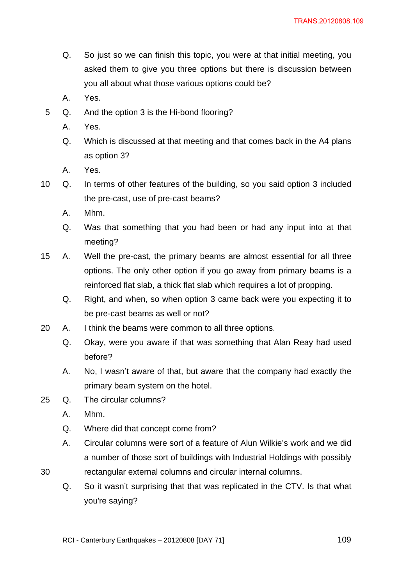- Q. So just so we can finish this topic, you were at that initial meeting, you asked them to give you three options but there is discussion between you all about what those various options could be?
- A. Yes.
- 5 Q. And the option 3 is the Hi-bond flooring?
	- A. Yes.
	- Q. Which is discussed at that meeting and that comes back in the A4 plans as option 3?
	- A. Yes.
- 10 Q. In terms of other features of the building, so you said option 3 included the pre-cast, use of pre-cast beams?
	- A. Mhm.
	- Q. Was that something that you had been or had any input into at that meeting?
- 15 A. Well the pre-cast, the primary beams are almost essential for all three options. The only other option if you go away from primary beams is a reinforced flat slab, a thick flat slab which requires a lot of propping.
	- Q. Right, and when, so when option 3 came back were you expecting it to be pre-cast beams as well or not?
- 20 A. I think the beams were common to all three options.
	- Q. Okay, were you aware if that was something that Alan Reay had used before?
	- A. No, I wasn't aware of that, but aware that the company had exactly the primary beam system on the hotel.
- 25 Q. The circular columns?
	- A. Mhm.
	- Q. Where did that concept come from?
	- A. Circular columns were sort of a feature of Alun Wilkie's work and we did a number of those sort of buildings with Industrial Holdings with possibly
- 30 rectangular external columns and circular internal columns.
	- Q. So it wasn't surprising that that was replicated in the CTV. Is that what you're saying?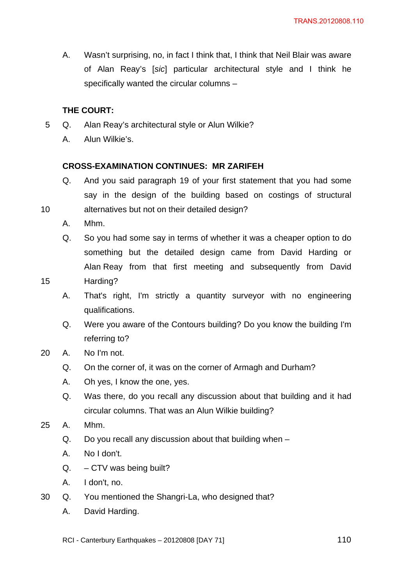A. Wasn't surprising, no, in fact I think that, I think that Neil Blair was aware of Alan Reay's [*sic*] particular architectural style and I think he specifically wanted the circular columns –

## **THE COURT:**

- 5 Q. Alan Reay's architectural style or Alun Wilkie?
	- A. Alun Wilkie's.

## **CROSS-EXAMINATION CONTINUES: MR ZARIFEH**

- Q. And you said paragraph 19 of your first statement that you had some say in the design of the building based on costings of structural
- 10 alternatives but not on their detailed design?
	- A. Mhm.
- Q. So you had some say in terms of whether it was a cheaper option to do something but the detailed design came from David Harding or Alan Reay from that first meeting and subsequently from David 15 Harding?
	- A. That's right, I'm strictly a quantity surveyor with no engineering qualifications.
	- Q. Were you aware of the Contours building? Do you know the building I'm referring to?
- 20 A. No I'm not.
	- Q. On the corner of, it was on the corner of Armagh and Durham?
	- A. Oh yes, I know the one, yes.
	- Q. Was there, do you recall any discussion about that building and it had circular columns. That was an Alun Wilkie building?
- 25 A. Mhm.
	- Q. Do you recall any discussion about that building when –
	- A. No I don't.
	- $Q. CTV$  was being built?
	- A. I don't, no.
- 30 Q. You mentioned the Shangri-La, who designed that?
	- A. David Harding.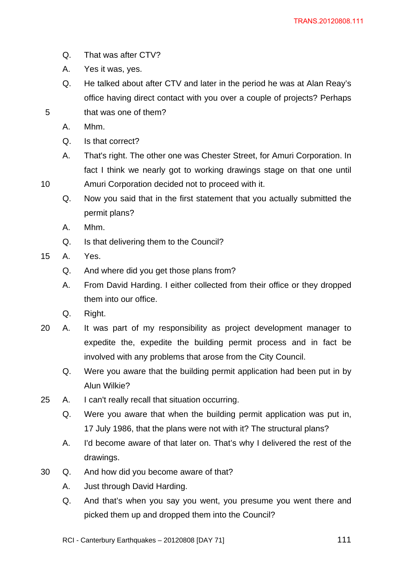- Q. That was after CTV?
- A. Yes it was, yes.
- Q. He talked about after CTV and later in the period he was at Alan Reay's office having direct contact with you over a couple of projects? Perhaps 5 that was one of them?
	- A. Mhm.
	- Q. Is that correct?
	- A. That's right. The other one was Chester Street, for Amuri Corporation. In fact I think we nearly got to working drawings stage on that one until

10 Amuri Corporation decided not to proceed with it.

- Q. Now you said that in the first statement that you actually submitted the permit plans?
- A. Mhm.
- Q. Is that delivering them to the Council?
- 15 A. Yes.
	- Q. And where did you get those plans from?
	- A. From David Harding. I either collected from their office or they dropped them into our office.
	- Q. Right.
- 20 A. It was part of my responsibility as project development manager to expedite the, expedite the building permit process and in fact be involved with any problems that arose from the City Council.
	- Q. Were you aware that the building permit application had been put in by Alun Wilkie?
- 25 A. I can't really recall that situation occurring.
	- Q. Were you aware that when the building permit application was put in, 17 July 1986, that the plans were not with it? The structural plans?
	- A. I'd become aware of that later on. That's why I delivered the rest of the drawings.
- 30 Q. And how did you become aware of that?
	- A. Just through David Harding.
	- Q. And that's when you say you went, you presume you went there and picked them up and dropped them into the Council?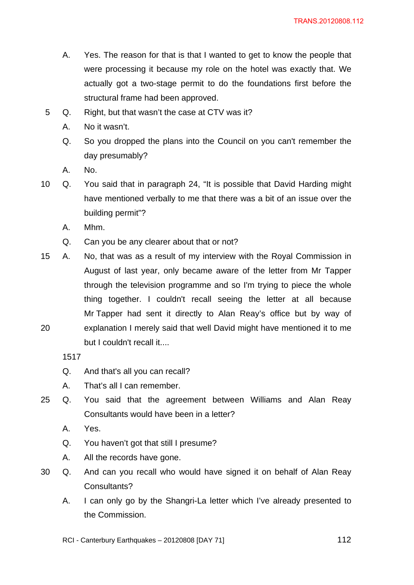- A. Yes. The reason for that is that I wanted to get to know the people that were processing it because my role on the hotel was exactly that. We actually got a two-stage permit to do the foundations first before the structural frame had been approved.
- 5 Q. Right, but that wasn't the case at CTV was it?
	- A. No it wasn't.
	- Q. So you dropped the plans into the Council on you can't remember the day presumably?
	- A. No.
- 10 Q. You said that in paragraph 24, "It is possible that David Harding might have mentioned verbally to me that there was a bit of an issue over the building permit"?
	- A. Mhm.
	- Q. Can you be any clearer about that or not?
- 15 A. No, that was as a result of my interview with the Royal Commission in August of last year, only became aware of the letter from Mr Tapper through the television programme and so I'm trying to piece the whole thing together. I couldn't recall seeing the letter at all because Mr Tapper had sent it directly to Alan Reay's office but by way of 20 explanation I merely said that well David might have mentioned it to me but I couldn't recall it....

1517

- Q. And that's all you can recall?
- A. That's all I can remember.
- 25 Q. You said that the agreement between Williams and Alan Reay Consultants would have been in a letter?
	- A. Yes.
	- Q. You haven't got that still I presume?
	- A. All the records have gone.
- 30 Q. And can you recall who would have signed it on behalf of Alan Reay Consultants?
	- A. I can only go by the Shangri-La letter which I've already presented to the Commission.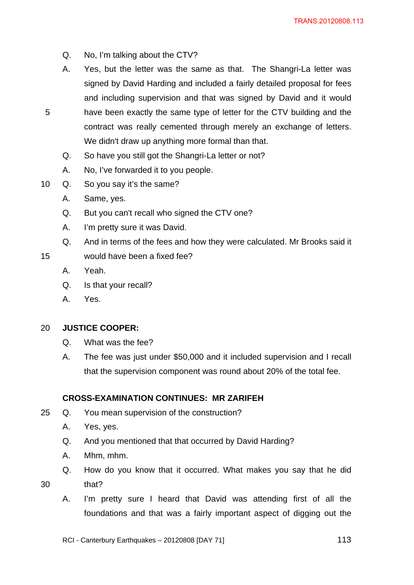- Q. No, I'm talking about the CTV?
- A. Yes, but the letter was the same as that. The Shangri-La letter was signed by David Harding and included a fairly detailed proposal for fees and including supervision and that was signed by David and it would
- 5 have been exactly the same type of letter for the CTV building and the contract was really cemented through merely an exchange of letters. We didn't draw up anything more formal than that.
	- Q. So have you still got the Shangri-La letter or not?
	- A. No, I've forwarded it to you people.
- 10 Q. So you say it's the same?
	- A. Same, yes.
	- Q. But you can't recall who signed the CTV one?
	- A. I'm pretty sure it was David.
	- Q. And in terms of the fees and how they were calculated. Mr Brooks said it
- 15 would have been a fixed fee?
	- A. Yeah.
	- Q. Is that your recall?
	- A. Yes.

### 20 **JUSTICE COOPER:**

- Q. What was the fee?
- A. The fee was just under \$50,000 and it included supervision and I recall that the supervision component was round about 20% of the total fee.

### **CROSS-EXAMINATION CONTINUES: MR ZARIFEH**

- 25 Q. You mean supervision of the construction?
	- A. Yes, yes.
	- Q. And you mentioned that that occurred by David Harding?
	- A. Mhm, mhm.
- Q. How do you know that it occurred. What makes you say that he did 30 that?
	- A. I'm pretty sure I heard that David was attending first of all the foundations and that was a fairly important aspect of digging out the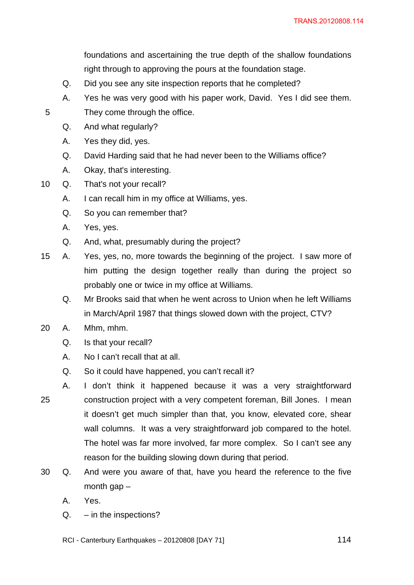foundations and ascertaining the true depth of the shallow foundations right through to approving the pours at the foundation stage.

- Q. Did you see any site inspection reports that he completed?
- A. Yes he was very good with his paper work, David. Yes I did see them. 5 They come through the office.
	- Q. And what regularly?
	- A. Yes they did, yes.
	- Q. David Harding said that he had never been to the Williams office?
	- A. Okay, that's interesting.
- 10 Q. That's not your recall?
	- A. I can recall him in my office at Williams, yes.
	- Q. So you can remember that?
	- A. Yes, yes.
	- Q. And, what, presumably during the project?
- 15 A. Yes, yes, no, more towards the beginning of the project. I saw more of him putting the design together really than during the project so probably one or twice in my office at Williams.
	- Q. Mr Brooks said that when he went across to Union when he left Williams in March/April 1987 that things slowed down with the project, CTV?
- 20 A. Mhm, mhm.
	- Q. Is that your recall?
	- A. No I can't recall that at all.
	- Q. So it could have happened, you can't recall it?
- A. I don't think it happened because it was a very straightforward 25 construction project with a very competent foreman, Bill Jones. I mean it doesn't get much simpler than that, you know, elevated core, shear wall columns. It was a very straightforward job compared to the hotel. The hotel was far more involved, far more complex. So I can't see any reason for the building slowing down during that period.
- 30 Q. And were you aware of that, have you heard the reference to the five month gap –
	- A. Yes.
	- $Q. in the inspection's?$
	- RCI Canterbury Earthquakes  $20120808$  [DAY 71]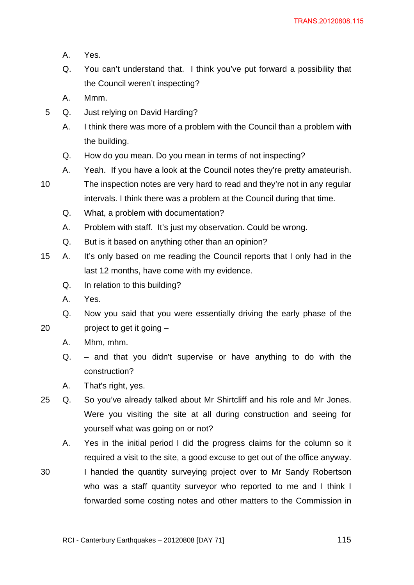- A. Yes.
- Q. You can't understand that. I think you've put forward a possibility that the Council weren't inspecting?
- A. Mmm.
- 5 Q. Just relying on David Harding?
	- A. I think there was more of a problem with the Council than a problem with the building.
	- Q. How do you mean. Do you mean in terms of not inspecting?
	- A. Yeah. If you have a look at the Council notes they're pretty amateurish.
- 10 The inspection notes are very hard to read and they're not in any regular intervals. I think there was a problem at the Council during that time.
	- Q. What, a problem with documentation?
	- A. Problem with staff. It's just my observation. Could be wrong.
	- Q. But is it based on anything other than an opinion?
- 15 A. It's only based on me reading the Council reports that I only had in the last 12 months, have come with my evidence.
	- Q. In relation to this building?
	- A. Yes.
- Q. Now you said that you were essentially driving the early phase of the 20 project to get it going –
	- A. Mhm, mhm.
	- Q. and that you didn't supervise or have anything to do with the construction?
	- A. That's right, yes.
- 25 Q. So you've already talked about Mr Shirtcliff and his role and Mr Jones. Were you visiting the site at all during construction and seeing for yourself what was going on or not?
	- A. Yes in the initial period I did the progress claims for the column so it required a visit to the site, a good excuse to get out of the office anyway.
- 30 I handed the quantity surveying project over to Mr Sandy Robertson who was a staff quantity surveyor who reported to me and I think I forwarded some costing notes and other matters to the Commission in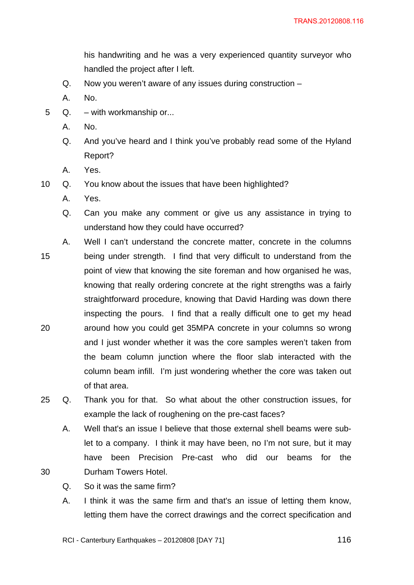his handwriting and he was a very experienced quantity surveyor who handled the project after I left.

- Q. Now you weren't aware of any issues during construction –
- A. No.
- 5 Q. with workmanship or...
	- A. No.
	- Q. And you've heard and I think you've probably read some of the Hyland Report?
	- A. Yes.
- 10 Q. You know about the issues that have been highlighted?
	- A. Yes.
	- Q. Can you make any comment or give us any assistance in trying to understand how they could have occurred?
- A. Well I can't understand the concrete matter, concrete in the columns 15 being under strength. I find that very difficult to understand from the point of view that knowing the site foreman and how organised he was, knowing that really ordering concrete at the right strengths was a fairly straightforward procedure, knowing that David Harding was down there inspecting the pours. I find that a really difficult one to get my head 20 around how you could get 35MPA concrete in your columns so wrong and I just wonder whether it was the core samples weren't taken from the beam column junction where the floor slab interacted with the column beam infill. I'm just wondering whether the core was taken out of that area.
- 25 Q. Thank you for that. So what about the other construction issues, for example the lack of roughening on the pre-cast faces?

A. Well that's an issue I believe that those external shell beams were sublet to a company. I think it may have been, no I'm not sure, but it may have been Precision Pre-cast who did our beams for the 30 Durham Towers Hotel.

- Q. So it was the same firm?
- A. I think it was the same firm and that's an issue of letting them know, letting them have the correct drawings and the correct specification and

RCI - Canterbury Earthquakes –  $20120808$  [DAY 71]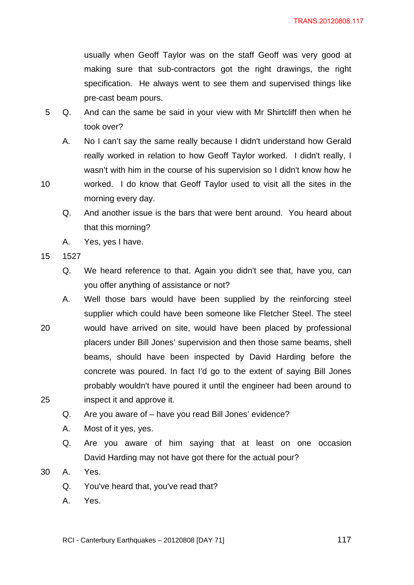usually when Geoff Taylor was on the staff Geoff was very good at making sure that sub-contractors got the right drawings, the right specification. He always went to see them and supervised things like pre-cast beam pours.

- 5 Q. And can the same be said in your view with Mr Shirtcliff then when he took over?
	- A. No I can't say the same really because I didn't understand how Gerald really worked in relation to how Geoff Taylor worked. I didn't really, I wasn't with him in the course of his supervision so I didn't know how he
- 
- 10 worked. I do know that Geoff Taylor used to visit all the sites in the morning every day.
	- Q. And another issue is the bars that were bent around. You heard about that this morning?
	- A. Yes, yes I have.
- 15 1527
	- Q. We heard reference to that. Again you didn't see that, have you, can you offer anything of assistance or not?
	- A. Well those bars would have been supplied by the reinforcing steel supplier which could have been someone like Fletcher Steel. The steel
- 20 would have arrived on site, would have been placed by professional placers under Bill Jones' supervision and then those same beams, shell beams, should have been inspected by David Harding before the concrete was poured. In fact I'd go to the extent of saying Bill Jones probably wouldn't have poured it until the engineer had been around to 25 inspect it and approve it.
	- Q. Are you aware of have you read Bill Jones' evidence?
	- A. Most of it yes, yes.
	- Q. Are you aware of him saying that at least on one occasion David Harding may not have got there for the actual pour?
- 30 A. Yes.
	- Q. You've heard that, you've read that?
	- A. Yes.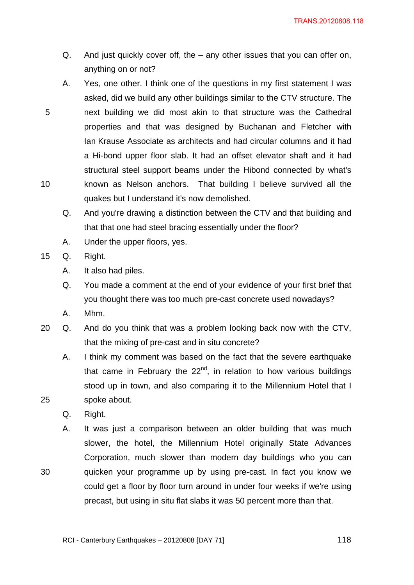- Q. And just quickly cover off, the any other issues that you can offer on, anything on or not?
- A. Yes, one other. I think one of the questions in my first statement I was asked, did we build any other buildings similar to the CTV structure. The 5 next building we did most akin to that structure was the Cathedral properties and that was designed by Buchanan and Fletcher with Ian Krause Associate as architects and had circular columns and it had a Hi-bond upper floor slab. It had an offset elevator shaft and it had structural steel support beams under the Hibond connected by what's 10 known as Nelson anchors. That building I believe survived all the quakes but I understand it's now demolished.
	- Q. And you're drawing a distinction between the CTV and that building and that that one had steel bracing essentially under the floor?
	- A. Under the upper floors, yes.
- 15 Q. Right.
	- A. It also had piles.
	- Q. You made a comment at the end of your evidence of your first brief that you thought there was too much pre-cast concrete used nowadays?
	- A. Mhm.
- 20 Q. And do you think that was a problem looking back now with the CTV, that the mixing of pre-cast and in situ concrete?
- A. I think my comment was based on the fact that the severe earthquake that came in February the  $22<sup>nd</sup>$ , in relation to how various buildings stood up in town, and also comparing it to the Millennium Hotel that I 25 spoke about.

A. It was just a comparison between an older building that was much

slower, the hotel, the Millennium Hotel originally State Advances

Corporation, much slower than modern day buildings who you can

could get a floor by floor turn around in under four weeks if we're using

precast, but using in situ flat slabs it was 50 percent more than that.

- Q. Right.
- 

30 quicken your programme up by using pre-cast. In fact you know we

RCI - Canterbury Earthquakes  $-20120808$  [DAY 71]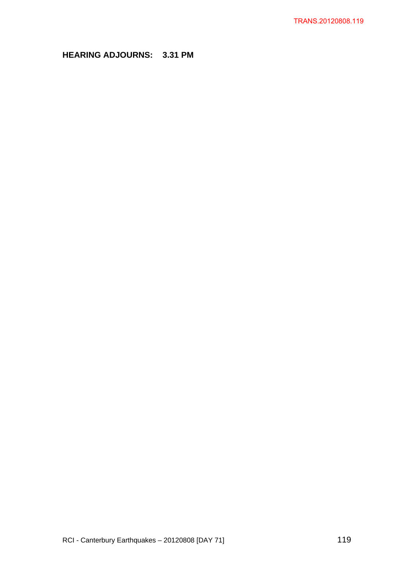# **HEARING ADJOURNS: 3.31 PM**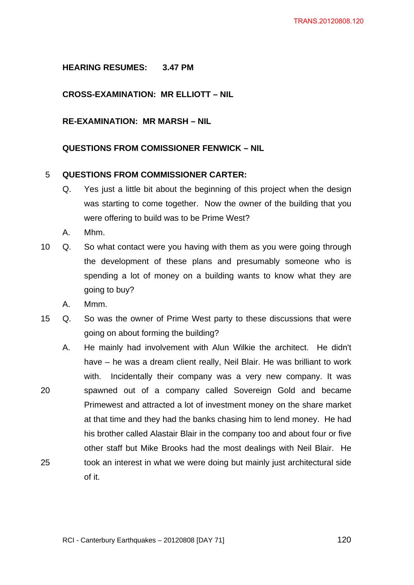## **HEARING RESUMES: 3.47 PM**

## **CROSS-EXAMINATION: MR ELLIOTT – NIL**

**RE-EXAMINATION: MR MARSH – NIL** 

## **QUESTIONS FROM COMISSIONER FENWICK – NIL**

## 5 **QUESTIONS FROM COMMISSIONER CARTER:**

- Q. Yes just a little bit about the beginning of this project when the design was starting to come together. Now the owner of the building that you were offering to build was to be Prime West?
- A. Mhm.
- 10 Q. So what contact were you having with them as you were going through the development of these plans and presumably someone who is spending a lot of money on a building wants to know what they are going to buy?
	- A. Mmm.
- 15 Q. So was the owner of Prime West party to these discussions that were going on about forming the building?
- A. He mainly had involvement with Alun Wilkie the architect. He didn't have – he was a dream client really, Neil Blair. He was brilliant to work with. Incidentally their company was a very new company. It was 20 spawned out of a company called Sovereign Gold and became Primewest and attracted a lot of investment money on the share market at that time and they had the banks chasing him to lend money. He had his brother called Alastair Blair in the company too and about four or five other staff but Mike Brooks had the most dealings with Neil Blair. He 25 took an interest in what we were doing but mainly just architectural side of it.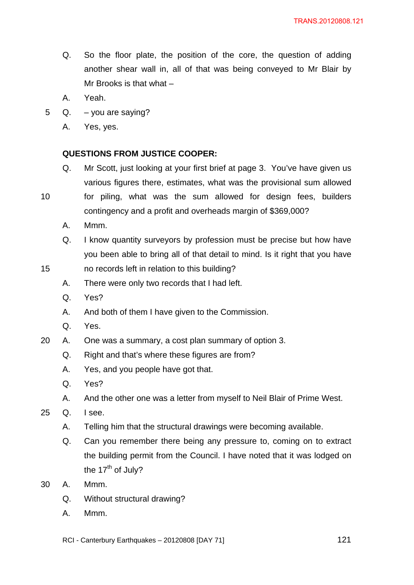- Q. So the floor plate, the position of the core, the question of adding another shear wall in, all of that was being conveyed to Mr Blair by Mr Brooks is that what  $-$
- A. Yeah.
- 5 Q. you are saying?
	- A. Yes, yes.

### **QUESTIONS FROM JUSTICE COOPER:**

- Q. Mr Scott, just looking at your first brief at page 3. You've have given us various figures there, estimates, what was the provisional sum allowed
- 10 for piling, what was the sum allowed for design fees, builders contingency and a profit and overheads margin of \$369,000?
	- A. Mmm.
	- Q. I know quantity surveyors by profession must be precise but how have you been able to bring all of that detail to mind. Is it right that you have
- 15 no records left in relation to this building?
	- A. There were only two records that I had left.
	- Q. Yes?
	- A. And both of them I have given to the Commission.
	- Q. Yes.
- 20 A. One was a summary, a cost plan summary of option 3.
	- Q. Right and that's where these figures are from?
	- A. Yes, and you people have got that.
	- Q. Yes?
	- A. And the other one was a letter from myself to Neil Blair of Prime West.
- 25 Q. I see.
	- A. Telling him that the structural drawings were becoming available.
	- Q. Can you remember there being any pressure to, coming on to extract the building permit from the Council. I have noted that it was lodged on the  $17<sup>th</sup>$  of July?
- 30 A. Mmm.
	- Q. Without structural drawing?
	- A. Mmm.
	- RCI Canterbury Earthquakes  $20120808$  [DAY 71]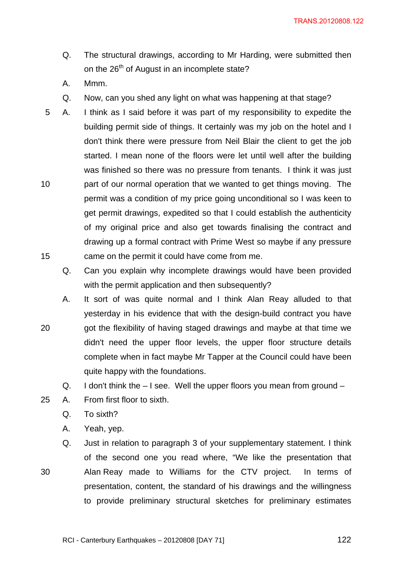- Q. The structural drawings, according to Mr Harding, were submitted then on the 26<sup>th</sup> of August in an incomplete state?
- A. Mmm.
- Q. Now, can you shed any light on what was happening at that stage?
- 5 A. I think as I said before it was part of my responsibility to expedite the building permit side of things. It certainly was my job on the hotel and I don't think there were pressure from Neil Blair the client to get the job started. I mean none of the floors were let until well after the building was finished so there was no pressure from tenants. I think it was just 10 part of our normal operation that we wanted to get things moving. The permit was a condition of my price going unconditional so I was keen to get permit drawings, expedited so that I could establish the authenticity of my original price and also get towards finalising the contract and drawing up a formal contract with Prime West so maybe if any pressure 15 came on the permit it could have come from me.
	- Q. Can you explain why incomplete drawings would have been provided with the permit application and then subsequently?
- A. It sort of was quite normal and I think Alan Reay alluded to that yesterday in his evidence that with the design-build contract you have 20 got the flexibility of having staged drawings and maybe at that time we didn't need the upper floor levels, the upper floor structure details complete when in fact maybe Mr Tapper at the Council could have been quite happy with the foundations.
	- Q. I don't think the  $-1$  see. Well the upper floors you mean from ground  $-$
- 25 A. From first floor to sixth.
	- Q. To sixth?
	- A. Yeah, yep.
- Q. Just in relation to paragraph 3 of your supplementary statement. I think of the second one you read where, "We like the presentation that 30 Alan Reay made to Williams for the CTV project. In terms of presentation, content, the standard of his drawings and the willingness to provide preliminary structural sketches for preliminary estimates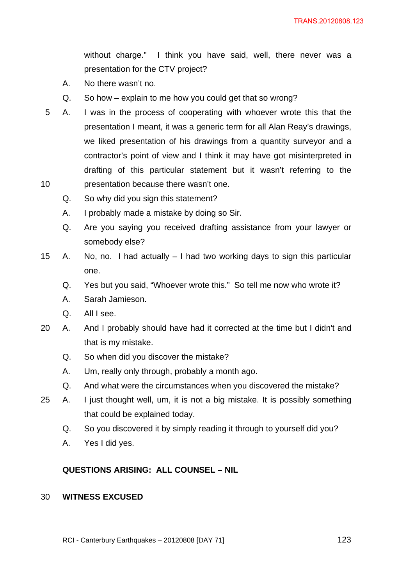without charge." I think you have said, well, there never was a presentation for the CTV project?

- A. No there wasn't no.
- Q. So how explain to me how you could get that so wrong?
- 5 A. I was in the process of cooperating with whoever wrote this that the presentation I meant, it was a generic term for all Alan Reay's drawings, we liked presentation of his drawings from a quantity surveyor and a contractor's point of view and I think it may have got misinterpreted in drafting of this particular statement but it wasn't referring to the 10 presentation because there wasn't one.
	- Q. So why did you sign this statement?
	- A. I probably made a mistake by doing so Sir.
	- Q. Are you saying you received drafting assistance from your lawyer or somebody else?
- 15 A. No, no. I had actually I had two working days to sign this particular one.
	- Q. Yes but you said, "Whoever wrote this." So tell me now who wrote it?
	- A. Sarah Jamieson.
	- Q. All I see.
- 20 A. And I probably should have had it corrected at the time but I didn't and that is my mistake.
	- Q. So when did you discover the mistake?
	- A. Um, really only through, probably a month ago.
	- Q. And what were the circumstances when you discovered the mistake?
- 25 A. I just thought well, um, it is not a big mistake. It is possibly something that could be explained today.
	- Q. So you discovered it by simply reading it through to yourself did you?
	- A. Yes I did yes.

### **QUESTIONS ARISING: ALL COUNSEL – NIL**

#### 30 **WITNESS EXCUSED**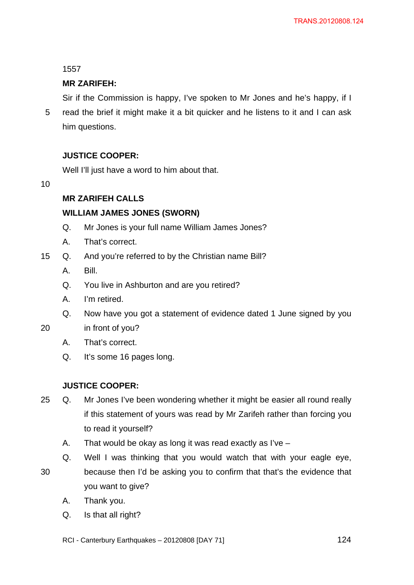1557

# **MR ZARIFEH:**

Sir if the Commission is happy, I've spoken to Mr Jones and he's happy, if I

5 read the brief it might make it a bit quicker and he listens to it and I can ask him questions.

# **JUSTICE COOPER:**

Well I'll just have a word to him about that.

10

# **MR ZARIFEH CALLS**

# **WILLIAM JAMES JONES (SWORN)**

- Q. Mr Jones is your full name William James Jones?
- A. That's correct.
- 15 Q. And you're referred to by the Christian name Bill?
	- A. Bill.
	- Q. You live in Ashburton and are you retired?
	- A. I'm retired.
	- Q. Now have you got a statement of evidence dated 1 June signed by you
- 20 in front of you?
	- A. That's correct.
	- Q. It's some 16 pages long.

# **JUSTICE COOPER:**

- 25 Q. Mr Jones I've been wondering whether it might be easier all round really if this statement of yours was read by Mr Zarifeh rather than forcing you to read it yourself?
	- A. That would be okay as long it was read exactly as I've –
- Q. Well I was thinking that you would watch that with your eagle eye, 30 because then I'd be asking you to confirm that that's the evidence that you want to give?
	- A. Thank you.
	- Q. Is that all right?
	- RCI Canterbury Earthquakes  $20120808$  [DAY 71]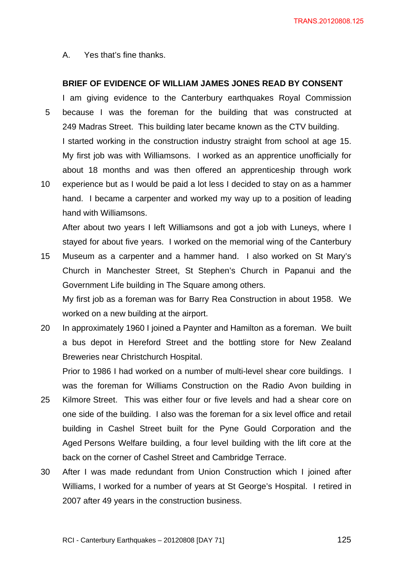A. Yes that's fine thanks.

## **BRIEF OF EVIDENCE OF WILLIAM JAMES JONES READ BY CONSENT**

I am giving evidence to the Canterbury earthquakes Royal Commission 5 because I was the foreman for the building that was constructed at 249 Madras Street. This building later became known as the CTV building. I started working in the construction industry straight from school at age 15. My first job was with Williamsons. I worked as an apprentice unofficially for about 18 months and was then offered an apprenticeship through work

10 experience but as I would be paid a lot less I decided to stay on as a hammer hand. I became a carpenter and worked my way up to a position of leading hand with Williamsons.

After about two years I left Williamsons and got a job with Luneys, where I stayed for about five years. I worked on the memorial wing of the Canterbury

15 Museum as a carpenter and a hammer hand. I also worked on St Mary's Church in Manchester Street, St Stephen's Church in Papanui and the Government Life building in The Square among others. My first job as a foreman was for Barry Rea Construction in about 1958. We

worked on a new building at the airport.

20 In approximately 1960 I joined a Paynter and Hamilton as a foreman. We built a bus depot in Hereford Street and the bottling store for New Zealand Breweries near Christchurch Hospital.

Prior to 1986 I had worked on a number of multi-level shear core buildings. I was the foreman for Williams Construction on the Radio Avon building in

- 25 Kilmore Street. This was either four or five levels and had a shear core on one side of the building. I also was the foreman for a six level office and retail building in Cashel Street built for the Pyne Gould Corporation and the Aged Persons Welfare building, a four level building with the lift core at the back on the corner of Cashel Street and Cambridge Terrace.
- 30 After I was made redundant from Union Construction which I joined after Williams, I worked for a number of years at St George's Hospital. I retired in 2007 after 49 years in the construction business.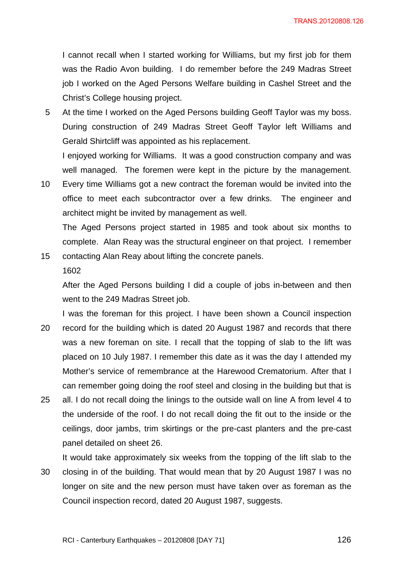I cannot recall when I started working for Williams, but my first job for them was the Radio Avon building. I do remember before the 249 Madras Street job I worked on the Aged Persons Welfare building in Cashel Street and the Christ's College housing project.

5 At the time I worked on the Aged Persons building Geoff Taylor was my boss. During construction of 249 Madras Street Geoff Taylor left Williams and Gerald Shirtcliff was appointed as his replacement.

I enjoyed working for Williams. It was a good construction company and was well managed. The foremen were kept in the picture by the management.

10 Every time Williams got a new contract the foreman would be invited into the office to meet each subcontractor over a few drinks. The engineer and architect might be invited by management as well.

The Aged Persons project started in 1985 and took about six months to complete. Alan Reay was the structural engineer on that project. I remember

15 contacting Alan Reay about lifting the concrete panels. 1602

After the Aged Persons building I did a couple of jobs in-between and then went to the 249 Madras Street job.

- I was the foreman for this project. I have been shown a Council inspection 20 record for the building which is dated 20 August 1987 and records that there was a new foreman on site. I recall that the topping of slab to the lift was placed on 10 July 1987. I remember this date as it was the day I attended my Mother's service of remembrance at the Harewood Crematorium. After that I can remember going doing the roof steel and closing in the building but that is
- 25 all. I do not recall doing the linings to the outside wall on line A from level 4 to the underside of the roof. I do not recall doing the fit out to the inside or the ceilings, door jambs, trim skirtings or the pre-cast planters and the pre-cast panel detailed on sheet 26.

It would take approximately six weeks from the topping of the lift slab to the 30 closing in of the building. That would mean that by 20 August 1987 I was no longer on site and the new person must have taken over as foreman as the Council inspection record, dated 20 August 1987, suggests.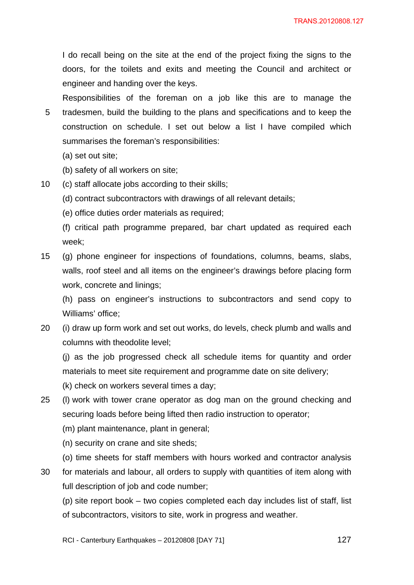I do recall being on the site at the end of the project fixing the signs to the doors, for the toilets and exits and meeting the Council and architect or engineer and handing over the keys.

Responsibilities of the foreman on a job like this are to manage the 5 tradesmen, build the building to the plans and specifications and to keep the construction on schedule. I set out below a list I have compiled which summarises the foreman's responsibilities:

- (a) set out site;
- (b) safety of all workers on site;
- 10 (c) staff allocate jobs according to their skills;
	- (d) contract subcontractors with drawings of all relevant details;
	- (e) office duties order materials as required;
	- (f) critical path programme prepared, bar chart updated as required each week;
- 15 (g) phone engineer for inspections of foundations, columns, beams, slabs, walls, roof steel and all items on the engineer's drawings before placing form work, concrete and linings;

(h) pass on engineer's instructions to subcontractors and send copy to Williams' office;

20 (i) draw up form work and set out works, do levels, check plumb and walls and columns with theodolite level;

(j) as the job progressed check all schedule items for quantity and order materials to meet site requirement and programme date on site delivery;

(k) check on workers several times a day;

- 25 (l) work with tower crane operator as dog man on the ground checking and securing loads before being lifted then radio instruction to operator;
	- (m) plant maintenance, plant in general;
	- (n) security on crane and site sheds;
	- (o) time sheets for staff members with hours worked and contractor analysis
- 30 for materials and labour, all orders to supply with quantities of item along with full description of job and code number;

(p) site report book – two copies completed each day includes list of staff, list of subcontractors, visitors to site, work in progress and weather.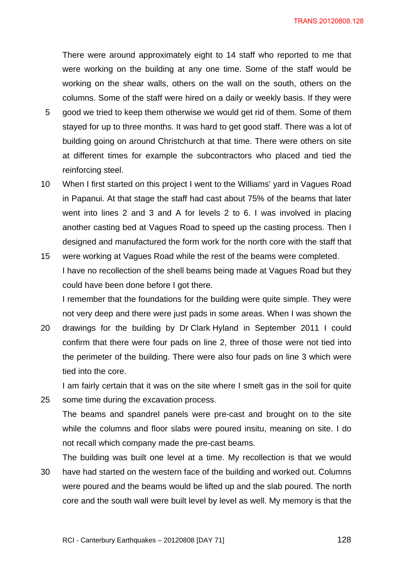There were around approximately eight to 14 staff who reported to me that were working on the building at any one time. Some of the staff would be working on the shear walls, others on the wall on the south, others on the columns. Some of the staff were hired on a daily or weekly basis. If they were

- 5 good we tried to keep them otherwise we would get rid of them. Some of them stayed for up to three months. It was hard to get good staff. There was a lot of building going on around Christchurch at that time. There were others on site at different times for example the subcontractors who placed and tied the reinforcing steel.
- 10 When I first started on this project I went to the Williams' yard in Vagues Road in Papanui. At that stage the staff had cast about 75% of the beams that later went into lines 2 and 3 and A for levels 2 to 6. I was involved in placing another casting bed at Vagues Road to speed up the casting process. Then I designed and manufactured the form work for the north core with the staff that
- 15 were working at Vagues Road while the rest of the beams were completed. I have no recollection of the shell beams being made at Vagues Road but they could have been done before I got there.

I remember that the foundations for the building were quite simple. They were not very deep and there were just pads in some areas. When I was shown the

20 drawings for the building by Dr Clark Hyland in September 2011 I could confirm that there were four pads on line 2, three of those were not tied into the perimeter of the building. There were also four pads on line 3 which were tied into the core.

I am fairly certain that it was on the site where I smelt gas in the soil for quite 25 some time during the excavation process.

The beams and spandrel panels were pre-cast and brought on to the site while the columns and floor slabs were poured insitu, meaning on site. I do not recall which company made the pre-cast beams.

The building was built one level at a time. My recollection is that we would 30 have had started on the western face of the building and worked out. Columns were poured and the beams would be lifted up and the slab poured. The north core and the south wall were built level by level as well. My memory is that the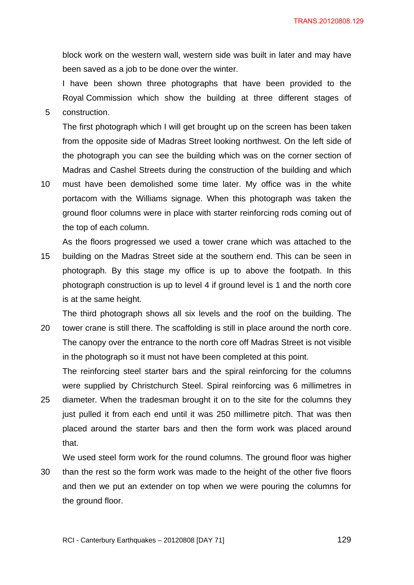block work on the western wall, western side was built in later and may have been saved as a job to be done over the winter.

I have been shown three photographs that have been provided to the Royal Commission which show the building at three different stages of 5 construction.

The first photograph which I will get brought up on the screen has been taken from the opposite side of Madras Street looking northwest. On the left side of the photograph you can see the building which was on the corner section of Madras and Cashel Streets during the construction of the building and which

10 must have been demolished some time later. My office was in the white portacom with the Williams signage. When this photograph was taken the ground floor columns were in place with starter reinforcing rods coming out of the top of each column.

As the floors progressed we used a tower crane which was attached to the 15 building on the Madras Street side at the southern end. This can be seen in photograph. By this stage my office is up to above the footpath. In this photograph construction is up to level 4 if ground level is 1 and the north core is at the same height.

The third photograph shows all six levels and the roof on the building. The

20 tower crane is still there. The scaffolding is still in place around the north core. The canopy over the entrance to the north core off Madras Street is not visible in the photograph so it must not have been completed at this point.

The reinforcing steel starter bars and the spiral reinforcing for the columns were supplied by Christchurch Steel. Spiral reinforcing was 6 millimetres in

25 diameter. When the tradesman brought it on to the site for the columns they just pulled it from each end until it was 250 millimetre pitch. That was then placed around the starter bars and then the form work was placed around that.

We used steel form work for the round columns. The ground floor was higher 30 than the rest so the form work was made to the height of the other five floors and then we put an extender on top when we were pouring the columns for the ground floor.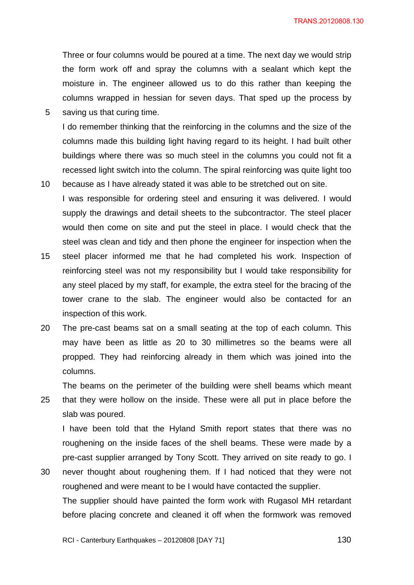Three or four columns would be poured at a time. The next day we would strip the form work off and spray the columns with a sealant which kept the moisture in. The engineer allowed us to do this rather than keeping the columns wrapped in hessian for seven days. That sped up the process by 5 saving us that curing time.

I do remember thinking that the reinforcing in the columns and the size of the columns made this building light having regard to its height. I had built other buildings where there was so much steel in the columns you could not fit a recessed light switch into the column. The spiral reinforcing was quite light too

- 10 because as I have already stated it was able to be stretched out on site. I was responsible for ordering steel and ensuring it was delivered. I would supply the drawings and detail sheets to the subcontractor. The steel placer would then come on site and put the steel in place. I would check that the steel was clean and tidy and then phone the engineer for inspection when the
- 15 steel placer informed me that he had completed his work. Inspection of reinforcing steel was not my responsibility but I would take responsibility for any steel placed by my staff, for example, the extra steel for the bracing of the tower crane to the slab. The engineer would also be contacted for an inspection of this work.
- 20 The pre-cast beams sat on a small seating at the top of each column. This may have been as little as 20 to 30 millimetres so the beams were all propped. They had reinforcing already in them which was joined into the columns.

The beams on the perimeter of the building were shell beams which meant 25 that they were hollow on the inside. These were all put in place before the slab was poured.

I have been told that the Hyland Smith report states that there was no roughening on the inside faces of the shell beams. These were made by a pre-cast supplier arranged by Tony Scott. They arrived on site ready to go. I

30 never thought about roughening them. If I had noticed that they were not roughened and were meant to be I would have contacted the supplier. The supplier should have painted the form work with Rugasol MH retardant before placing concrete and cleaned it off when the formwork was removed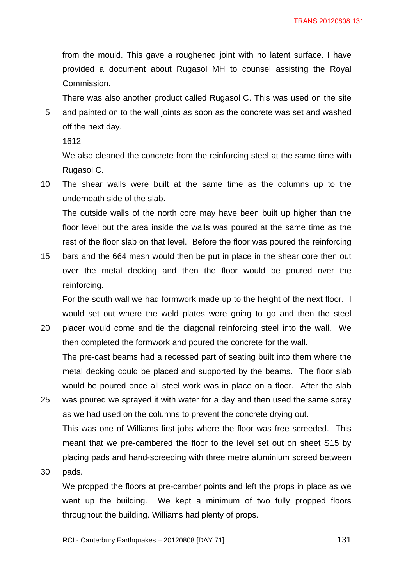from the mould. This gave a roughened joint with no latent surface. I have provided a document about Rugasol MH to counsel assisting the Royal Commission.

There was also another product called Rugasol C. This was used on the site 5 and painted on to the wall joints as soon as the concrete was set and washed off the next day.

1612

We also cleaned the concrete from the reinforcing steel at the same time with Rugasol C.

10 The shear walls were built at the same time as the columns up to the underneath side of the slab.

The outside walls of the north core may have been built up higher than the floor level but the area inside the walls was poured at the same time as the rest of the floor slab on that level. Before the floor was poured the reinforcing

15 bars and the 664 mesh would then be put in place in the shear core then out over the metal decking and then the floor would be poured over the reinforcing.

For the south wall we had formwork made up to the height of the next floor. I would set out where the weld plates were going to go and then the steel

20 placer would come and tie the diagonal reinforcing steel into the wall. We then completed the formwork and poured the concrete for the wall.

The pre-cast beams had a recessed part of seating built into them where the metal decking could be placed and supported by the beams. The floor slab would be poured once all steel work was in place on a floor. After the slab 25 was poured we sprayed it with water for a day and then used the same spray

as we had used on the columns to prevent the concrete drying out. This was one of Williams first jobs where the floor was free screeded. This meant that we pre-cambered the floor to the level set out on sheet S15 by placing pads and hand-screeding with three metre aluminium screed between

30 pads.

We propped the floors at pre-camber points and left the props in place as we went up the building. We kept a minimum of two fully propped floors throughout the building. Williams had plenty of props.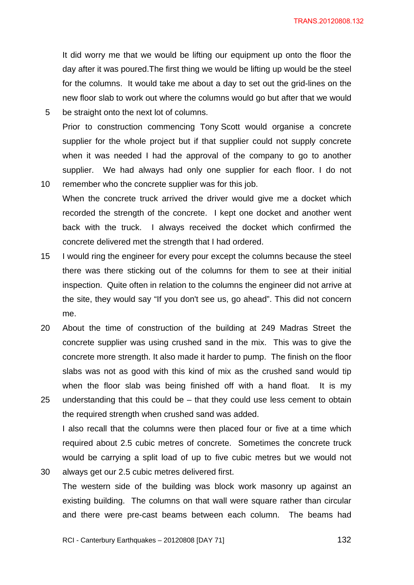It did worry me that we would be lifting our equipment up onto the floor the day after it was poured.The first thing we would be lifting up would be the steel for the columns. It would take me about a day to set out the grid-lines on the new floor slab to work out where the columns would go but after that we would

- 5 be straight onto the next lot of columns. Prior to construction commencing Tony Scott would organise a concrete supplier for the whole project but if that supplier could not supply concrete when it was needed I had the approval of the company to go to another supplier. We had always had only one supplier for each floor. I do not
- 10 remember who the concrete supplier was for this job. When the concrete truck arrived the driver would give me a docket which recorded the strength of the concrete. I kept one docket and another went back with the truck. I always received the docket which confirmed the concrete delivered met the strength that I had ordered.
- 15 I would ring the engineer for every pour except the columns because the steel there was there sticking out of the columns for them to see at their initial inspection. Quite often in relation to the columns the engineer did not arrive at the site, they would say "If you don't see us, go ahead". This did not concern me.
- 20 About the time of construction of the building at 249 Madras Street the concrete supplier was using crushed sand in the mix. This was to give the concrete more strength. It also made it harder to pump. The finish on the floor slabs was not as good with this kind of mix as the crushed sand would tip when the floor slab was being finished off with a hand float. It is my 25 understanding that this could be – that they could use less cement to obtain

I also recall that the columns were then placed four or five at a time which required about 2.5 cubic metres of concrete. Sometimes the concrete truck would be carrying a split load of up to five cubic metres but we would not 30 always get our 2.5 cubic metres delivered first.

The western side of the building was block work masonry up against an existing building. The columns on that wall were square rather than circular and there were pre-cast beams between each column. The beams had

the required strength when crushed sand was added.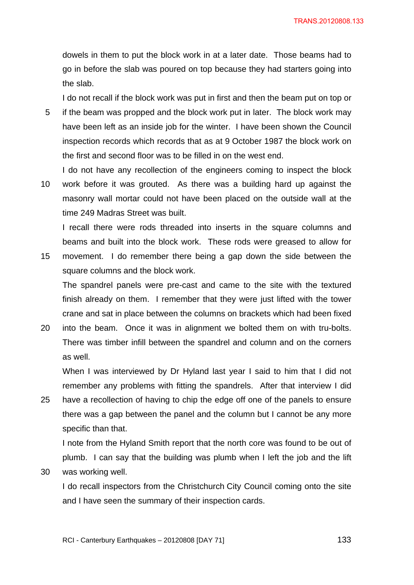dowels in them to put the block work in at a later date. Those beams had to go in before the slab was poured on top because they had starters going into the slab.

I do not recall if the block work was put in first and then the beam put on top or

- 5 if the beam was propped and the block work put in later. The block work may have been left as an inside job for the winter. I have been shown the Council inspection records which records that as at 9 October 1987 the block work on the first and second floor was to be filled in on the west end.
- I do not have any recollection of the engineers coming to inspect the block 10 work before it was grouted. As there was a building hard up against the masonry wall mortar could not have been placed on the outside wall at the time 249 Madras Street was built.

I recall there were rods threaded into inserts in the square columns and beams and built into the block work. These rods were greased to allow for

15 movement. I do remember there being a gap down the side between the square columns and the block work.

The spandrel panels were pre-cast and came to the site with the textured finish already on them. I remember that they were just lifted with the tower crane and sat in place between the columns on brackets which had been fixed

20 into the beam. Once it was in alignment we bolted them on with tru-bolts. There was timber infill between the spandrel and column and on the corners as well.

When I was interviewed by Dr Hyland last year I said to him that I did not remember any problems with fitting the spandrels. After that interview I did

25 have a recollection of having to chip the edge off one of the panels to ensure there was a gap between the panel and the column but I cannot be any more specific than that.

I note from the Hyland Smith report that the north core was found to be out of plumb. I can say that the building was plumb when I left the job and the lift 30 was working well.

I do recall inspectors from the Christchurch City Council coming onto the site and I have seen the summary of their inspection cards.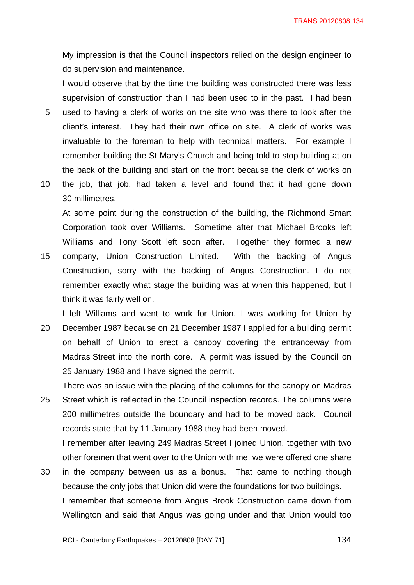My impression is that the Council inspectors relied on the design engineer to do supervision and maintenance.

I would observe that by the time the building was constructed there was less supervision of construction than I had been used to in the past. I had been

- 5 used to having a clerk of works on the site who was there to look after the client's interest. They had their own office on site. A clerk of works was invaluable to the foreman to help with technical matters. For example I remember building the St Mary's Church and being told to stop building at on the back of the building and start on the front because the clerk of works on
- 10 the job, that job, had taken a level and found that it had gone down 30 millimetres.

At some point during the construction of the building, the Richmond Smart Corporation took over Williams. Sometime after that Michael Brooks left Williams and Tony Scott left soon after. Together they formed a new 15 company, Union Construction Limited. With the backing of Angus

Construction, sorry with the backing of Angus Construction. I do not remember exactly what stage the building was at when this happened, but I think it was fairly well on.

I left Williams and went to work for Union, I was working for Union by 20 December 1987 because on 21 December 1987 I applied for a building permit on behalf of Union to erect a canopy covering the entranceway from Madras Street into the north core. A permit was issued by the Council on 25 January 1988 and I have signed the permit.

There was an issue with the placing of the columns for the canopy on Madras 25 Street which is reflected in the Council inspection records. The columns were 200 millimetres outside the boundary and had to be moved back. Council records state that by 11 January 1988 they had been moved.

I remember after leaving 249 Madras Street I joined Union, together with two other foremen that went over to the Union with me, we were offered one share

30 in the company between us as a bonus. That came to nothing though because the only jobs that Union did were the foundations for two buildings. I remember that someone from Angus Brook Construction came down from Wellington and said that Angus was going under and that Union would too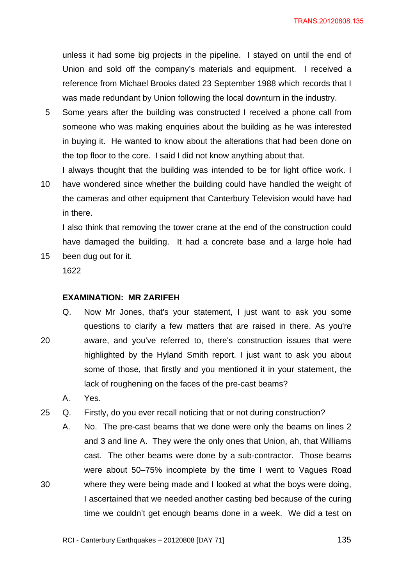unless it had some big projects in the pipeline. I stayed on until the end of Union and sold off the company's materials and equipment. I received a reference from Michael Brooks dated 23 September 1988 which records that I was made redundant by Union following the local downturn in the industry.

- 5 Some years after the building was constructed I received a phone call from someone who was making enquiries about the building as he was interested in buying it. He wanted to know about the alterations that had been done on the top floor to the core. I said I did not know anything about that.
- I always thought that the building was intended to be for light office work. I 10 have wondered since whether the building could have handled the weight of the cameras and other equipment that Canterbury Television would have had in there.

I also think that removing the tower crane at the end of the construction could have damaged the building. It had a concrete base and a large hole had 15 been dug out for it.

1622

### **EXAMINATION: MR ZARIFEH**

- Q. Now Mr Jones, that's your statement, I just want to ask you some questions to clarify a few matters that are raised in there. As you're 20 aware, and you've referred to, there's construction issues that were highlighted by the Hyland Smith report. I just want to ask you about some of those, that firstly and you mentioned it in your statement, the lack of roughening on the faces of the pre-cast beams?
	- A. Yes.
- 25 Q. Firstly, do you ever recall noticing that or not during construction?
- A. No. The pre-cast beams that we done were only the beams on lines 2 and 3 and line A. They were the only ones that Union, ah, that Williams cast. The other beams were done by a sub-contractor. Those beams were about 50–75% incomplete by the time I went to Vagues Road 30 where they were being made and I looked at what the boys were doing, I ascertained that we needed another casting bed because of the curing time we couldn't get enough beams done in a week. We did a test on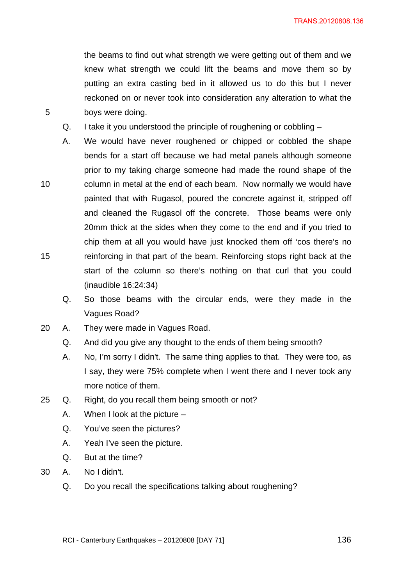TRANS.20120808.136

the beams to find out what strength we were getting out of them and we knew what strength we could lift the beams and move them so by putting an extra casting bed in it allowed us to do this but I never reckoned on or never took into consideration any alteration to what the 5 boys were doing.

- Q. I take it you understood the principle of roughening or cobbling –
- A. We would have never roughened or chipped or cobbled the shape bends for a start off because we had metal panels although someone prior to my taking charge someone had made the round shape of the 10 column in metal at the end of each beam. Now normally we would have painted that with Rugasol, poured the concrete against it, stripped off and cleaned the Rugasol off the concrete. Those beams were only 20mm thick at the sides when they come to the end and if you tried to chip them at all you would have just knocked them off 'cos there's no 15 reinforcing in that part of the beam. Reinforcing stops right back at the start of the column so there's nothing on that curl that you could (inaudible 16:24:34)
	- Q. So those beams with the circular ends, were they made in the Vagues Road?
- 20 A. They were made in Vagues Road.
	- Q. And did you give any thought to the ends of them being smooth?
	- A. No, I'm sorry I didn't. The same thing applies to that. They were too, as I say, they were 75% complete when I went there and I never took any more notice of them.
- 25 Q. Right, do you recall them being smooth or not?
	- A. When I look at the picture –
	- Q. You've seen the pictures?
	- A. Yeah I've seen the picture.
	- Q. But at the time?
- 30 A. No I didn't.
	- Q. Do you recall the specifications talking about roughening?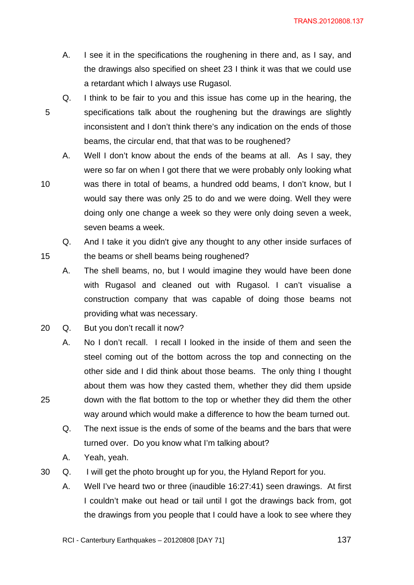- A. I see it in the specifications the roughening in there and, as I say, and the drawings also specified on sheet 23 I think it was that we could use a retardant which I always use Rugasol.
- Q. I think to be fair to you and this issue has come up in the hearing, the 5 specifications talk about the roughening but the drawings are slightly inconsistent and I don't think there's any indication on the ends of those beams, the circular end, that that was to be roughened?
	- A. Well I don't know about the ends of the beams at all. As I say, they were so far on when I got there that we were probably only looking what
- 10 was there in total of beams, a hundred odd beams, I don't know, but I would say there was only 25 to do and we were doing. Well they were doing only one change a week so they were only doing seven a week, seven beams a week.
- Q. And I take it you didn't give any thought to any other inside surfaces of 15 the beams or shell beams being roughened?
	- A. The shell beams, no, but I would imagine they would have been done with Rugasol and cleaned out with Rugasol. I can't visualise a construction company that was capable of doing those beams not providing what was necessary.
- 20 Q. But you don't recall it now?
- A. No I don't recall. I recall I looked in the inside of them and seen the steel coming out of the bottom across the top and connecting on the other side and I did think about those beams. The only thing I thought about them was how they casted them, whether they did them upside 25 down with the flat bottom to the top or whether they did them the other way around which would make a difference to how the beam turned out.
	- Q. The next issue is the ends of some of the beams and the bars that were turned over. Do you know what I'm talking about?
	- A. Yeah, yeah.
- 30 Q. I will get the photo brought up for you, the Hyland Report for you.
	- A. Well I've heard two or three (inaudible 16:27:41) seen drawings. At first I couldn't make out head or tail until I got the drawings back from, got the drawings from you people that I could have a look to see where they

RCI - Canterbury Earthquakes –  $20120808$  [DAY 71]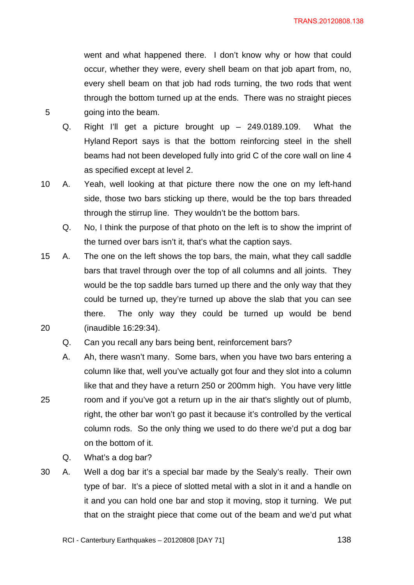went and what happened there. I don't know why or how that could occur, whether they were, every shell beam on that job apart from, no, every shell beam on that job had rods turning, the two rods that went through the bottom turned up at the ends. There was no straight pieces 5 going into the beam.

- Q. Right I'll get a picture brought up 249.0189.109. What the Hyland Report says is that the bottom reinforcing steel in the shell beams had not been developed fully into grid C of the core wall on line 4 as specified except at level 2.
- 10 A. Yeah, well looking at that picture there now the one on my left-hand side, those two bars sticking up there, would be the top bars threaded through the stirrup line. They wouldn't be the bottom bars.
	- Q. No, I think the purpose of that photo on the left is to show the imprint of the turned over bars isn't it, that's what the caption says.
- 15 A. The one on the left shows the top bars, the main, what they call saddle bars that travel through over the top of all columns and all joints. They would be the top saddle bars turned up there and the only way that they could be turned up, they're turned up above the slab that you can see there. The only way they could be turned up would be bend 20 (inaudible 16:29:34).
	- Q. Can you recall any bars being bent, reinforcement bars?
- A. Ah, there wasn't many. Some bars, when you have two bars entering a column like that, well you've actually got four and they slot into a column like that and they have a return 250 or 200mm high. You have very little 25 room and if you've got a return up in the air that's slightly out of plumb, right, the other bar won't go past it because it's controlled by the vertical column rods. So the only thing we used to do there we'd put a dog bar on the bottom of it.
	- Q. What's a dog bar?
- 30 A. Well a dog bar it's a special bar made by the Sealy's really. Their own type of bar. It's a piece of slotted metal with a slot in it and a handle on it and you can hold one bar and stop it moving, stop it turning. We put that on the straight piece that come out of the beam and we'd put what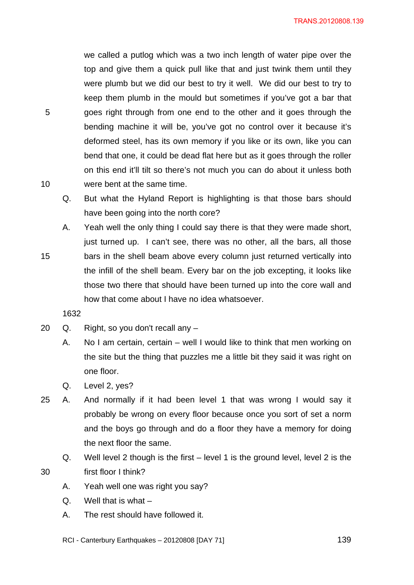we called a putlog which was a two inch length of water pipe over the top and give them a quick pull like that and just twink them until they were plumb but we did our best to try it well. We did our best to try to keep them plumb in the mould but sometimes if you've got a bar that 5 goes right through from one end to the other and it goes through the bending machine it will be, you've got no control over it because it's deformed steel, has its own memory if you like or its own, like you can bend that one, it could be dead flat here but as it goes through the roller on this end it'll tilt so there's not much you can do about it unless both 10 were bent at the same time.

Q. But what the Hyland Report is highlighting is that those bars should have been going into the north core?

A. Yeah well the only thing I could say there is that they were made short, just turned up. I can't see, there was no other, all the bars, all those 15 bars in the shell beam above every column just returned vertically into the infill of the shell beam. Every bar on the job excepting, it looks like those two there that should have been turned up into the core wall and how that come about I have no idea whatsoever.

1632

- 20 Q. Right, so you don't recall any
	- A. No I am certain, certain well I would like to think that men working on the site but the thing that puzzles me a little bit they said it was right on one floor.
	- Q. Level 2, yes?
- 25 A. And normally if it had been level 1 that was wrong I would say it probably be wrong on every floor because once you sort of set a norm and the boys go through and do a floor they have a memory for doing the next floor the same.
- Q. Well level 2 though is the first level 1 is the ground level, level 2 is the 30 first floor I think?
	- A. Yeah well one was right you say?
	- Q. Well that is what –
	- A. The rest should have followed it.

RCI - Canterbury Earthquakes – 20120808 [DAY 71] 139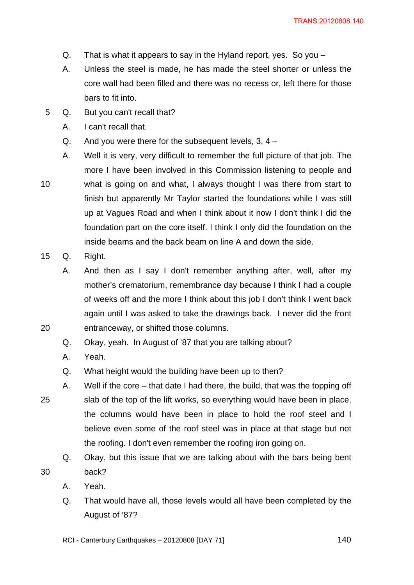- $Q.$  That is what it appears to say in the Hyland report, yes. So you  $-$
- A. Unless the steel is made, he has made the steel shorter or unless the core wall had been filled and there was no recess or, left there for those bars to fit into.
- 5 Q. But you can't recall that?
	- A. I can't recall that.
	- Q. And you were there for the subsequent levels, 3, 4 –
- A. Well it is very, very difficult to remember the full picture of that job. The more I have been involved in this Commission listening to people and 10 what is going on and what, I always thought I was there from start to finish but apparently Mr Taylor started the foundations while I was still up at Vagues Road and when I think about it now I don't think I did the foundation part on the core itself. I think I only did the foundation on the inside beams and the back beam on line A and down the side.
- 15 Q. Right.

A. And then as I say I don't remember anything after, well, after my mother's crematorium, remembrance day because I think I had a couple of weeks off and the more I think about this job I don't think I went back again until I was asked to take the drawings back. I never did the front 20 entranceway, or shifted those columns.

Q. Okay, yeah. In August of '87 that you are talking about?

- A. Yeah.
- Q. What height would the building have been up to then?
- A. Well if the core that date I had there, the build, that was the topping off 25 slab of the top of the lift works, so everything would have been in place, the columns would have been in place to hold the roof steel and I believe even some of the roof steel was in place at that stage but not the roofing. I don't even remember the roofing iron going on.
- Q. Okay, but this issue that we are talking about with the bars being bent 30 back?
	- A. Yeah.
	- Q. That would have all, those levels would all have been completed by the August of '87?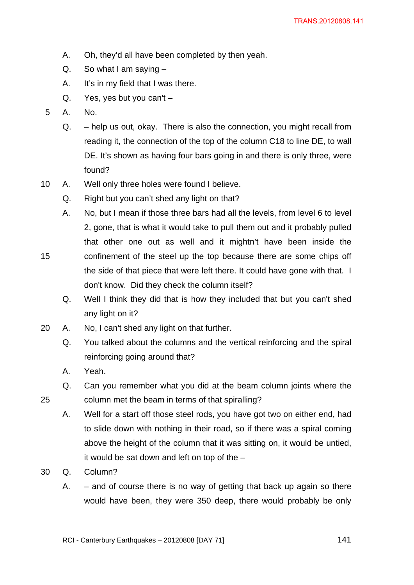- A. Oh, they'd all have been completed by then yeah.
- Q. So what  $I$  am saying  $-$
- A. It's in my field that I was there.
- Q. Yes, yes but you can't –
- 5 A. No.
	- Q. help us out, okay. There is also the connection, you might recall from reading it, the connection of the top of the column C18 to line DE, to wall DE. It's shown as having four bars going in and there is only three, were found?
- 10 A. Well only three holes were found I believe.
	- Q. Right but you can't shed any light on that?
- A. No, but I mean if those three bars had all the levels, from level 6 to level 2, gone, that is what it would take to pull them out and it probably pulled that other one out as well and it mightn't have been inside the 15 confinement of the steel up the top because there are some chips off the side of that piece that were left there. It could have gone with that. I don't know. Did they check the column itself?
	- Q. Well I think they did that is how they included that but you can't shed any light on it?
- 20 A. No, I can't shed any light on that further.
	- Q. You talked about the columns and the vertical reinforcing and the spiral reinforcing going around that?
	- A. Yeah.
- Q. Can you remember what you did at the beam column joints where the 25 column met the beam in terms of that spiralling?
	- A. Well for a start off those steel rods, you have got two on either end, had to slide down with nothing in their road, so if there was a spiral coming above the height of the column that it was sitting on, it would be untied, it would be sat down and left on top of the –
- 30 Q. Column?
	- A.  $-$  and of course there is no way of getting that back up again so there would have been, they were 350 deep, there would probably be only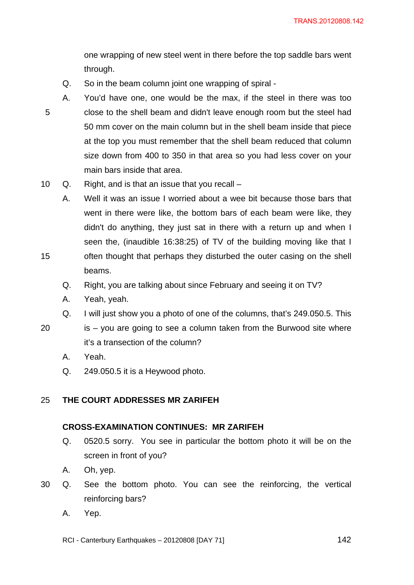one wrapping of new steel went in there before the top saddle bars went through.

- Q. So in the beam column joint one wrapping of spiral -
- A. You'd have one, one would be the max, if the steel in there was too 5 close to the shell beam and didn't leave enough room but the steel had 50 mm cover on the main column but in the shell beam inside that piece at the top you must remember that the shell beam reduced that column size down from 400 to 350 in that area so you had less cover on your main bars inside that area.
- 10 Q. Right, and is that an issue that you recall –
- A. Well it was an issue I worried about a wee bit because those bars that went in there were like, the bottom bars of each beam were like, they didn't do anything, they just sat in there with a return up and when I seen the, (inaudible 16:38:25) of TV of the building moving like that I 15 often thought that perhaps they disturbed the outer casing on the shell beams.
	- Q. Right, you are talking about since February and seeing it on TV?
	- A. Yeah, yeah.
	- Q. I will just show you a photo of one of the columns, that's 249.050.5. This
- 20 is you are going to see a column taken from the Burwood site where
	- it's a transection of the column?
	- A. Yeah.
	- Q. 249.050.5 it is a Heywood photo.

## 25 **THE COURT ADDRESSES MR ZARIFEH**

### **CROSS-EXAMINATION CONTINUES: MR ZARIFEH**

- Q. 0520.5 sorry. You see in particular the bottom photo it will be on the screen in front of you?
- A. Oh, yep.
- 30 Q. See the bottom photo. You can see the reinforcing, the vertical reinforcing bars?
	- A. Yep.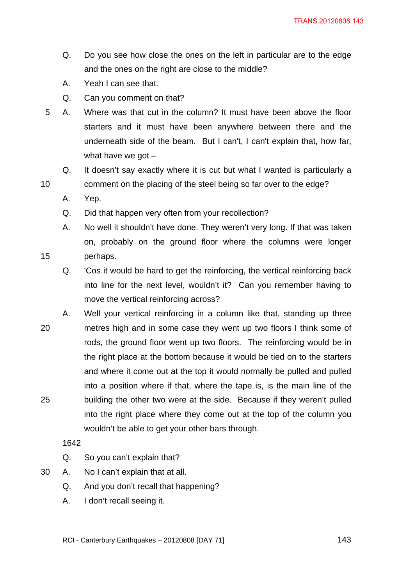- Q. Do you see how close the ones on the left in particular are to the edge and the ones on the right are close to the middle?
- A. Yeah I can see that.
- Q. Can you comment on that?
- 5 A. Where was that cut in the column? It must have been above the floor starters and it must have been anywhere between there and the underneath side of the beam. But I can't, I can't explain that, how far, what have we got  $-$
- Q. It doesn't say exactly where it is cut but what I wanted is particularly a 10 comment on the placing of the steel being so far over to the edge?
	- A. Yep.
	- Q. Did that happen very often from your recollection?
- A. No well it shouldn't have done. They weren't very long. If that was taken on, probably on the ground floor where the columns were longer 15 perhaps.
	- Q. 'Cos it would be hard to get the reinforcing, the vertical reinforcing back into line for the next level, wouldn't it? Can you remember having to move the vertical reinforcing across?
- A. Well your vertical reinforcing in a column like that, standing up three 20 metres high and in some case they went up two floors I think some of rods, the ground floor went up two floors. The reinforcing would be in the right place at the bottom because it would be tied on to the starters and where it come out at the top it would normally be pulled and pulled into a position where if that, where the tape is, is the main line of the 25 building the other two were at the side. Because if they weren't pulled into the right place where they come out at the top of the column you wouldn't be able to get your other bars through.

1642

- Q. So you can't explain that?
- 30 A. No I can't explain that at all.
	- Q. And you don't recall that happening?
	- A. I don't recall seeing it.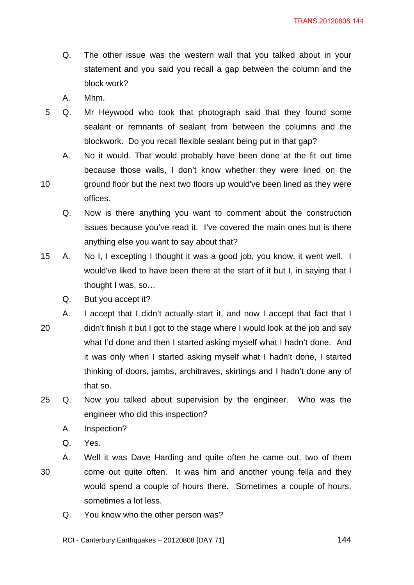- Q. The other issue was the western wall that you talked about in your statement and you said you recall a gap between the column and the block work?
- A. Mhm.
- 5 Q. Mr Heywood who took that photograph said that they found some sealant or remnants of sealant from between the columns and the blockwork. Do you recall flexible sealant being put in that gap?
- A. No it would. That would probably have been done at the fit out time because those walls, I don't know whether they were lined on the 10 ground floor but the next two floors up would've been lined as they were offices.
	- Q. Now is there anything you want to comment about the construction issues because you've read it. I've covered the main ones but is there anything else you want to say about that?
- 15 A. No I, I excepting I thought it was a good job, you know, it went well. I would've liked to have been there at the start of it but I, in saying that I thought I was, so…
	- Q. But you accept it?
- A. I accept that I didn't actually start it, and now I accept that fact that I 20 didn't finish it but I got to the stage where I would look at the job and say what I'd done and then I started asking myself what I hadn't done. And it was only when I started asking myself what I hadn't done, I started thinking of doors, jambs, architraves, skirtings and I hadn't done any of that so.
- 25 Q. Now you talked about supervision by the engineer. Who was the engineer who did this inspection?
	- A. Inspection?
	- Q. Yes.
	- A. Well it was Dave Harding and quite often he came out, two of them
- 

30 come out quite often. It was him and another young fella and they would spend a couple of hours there. Sometimes a couple of hours, sometimes a lot less.

Q. You know who the other person was?

RCI - Canterbury Earthquakes  $-20120808$  [DAY 71]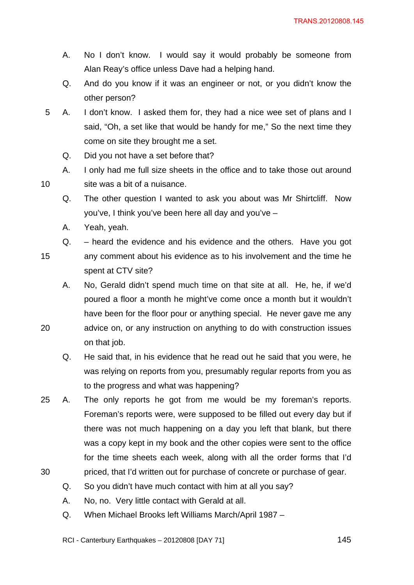- A. No I don't know. I would say it would probably be someone from Alan Reay's office unless Dave had a helping hand.
- Q. And do you know if it was an engineer or not, or you didn't know the other person?
- 5 A. I don't know. I asked them for, they had a nice wee set of plans and I said, "Oh, a set like that would be handy for me," So the next time they come on site they brought me a set.
	- Q. Did you not have a set before that?
- A. I only had me full size sheets in the office and to take those out around 10 site was a bit of a nuisance.
	- Q. The other question I wanted to ask you about was Mr Shirtcliff. Now you've, I think you've been here all day and you've –
	- A. Yeah, yeah.
	- Q. heard the evidence and his evidence and the others. Have you got

- 15 any comment about his evidence as to his involvement and the time he spent at CTV site?
- A. No, Gerald didn't spend much time on that site at all. He, he, if we'd poured a floor a month he might've come once a month but it wouldn't have been for the floor pour or anything special. He never gave me any 20 advice on, or any instruction on anything to do with construction issues
	- on that job.
	- Q. He said that, in his evidence that he read out he said that you were, he was relying on reports from you, presumably regular reports from you as to the progress and what was happening?
- 25 A. The only reports he got from me would be my foreman's reports. Foreman's reports were, were supposed to be filled out every day but if there was not much happening on a day you left that blank, but there was a copy kept in my book and the other copies were sent to the office for the time sheets each week, along with all the order forms that I'd
- 30 priced, that I'd written out for purchase of concrete or purchase of gear.
	- Q. So you didn't have much contact with him at all you say?
	- A. No, no. Very little contact with Gerald at all.
	- Q. When Michael Brooks left Williams March/April 1987 –
	- RCI Canterbury Earthquakes  $-20120808$  [DAY 71]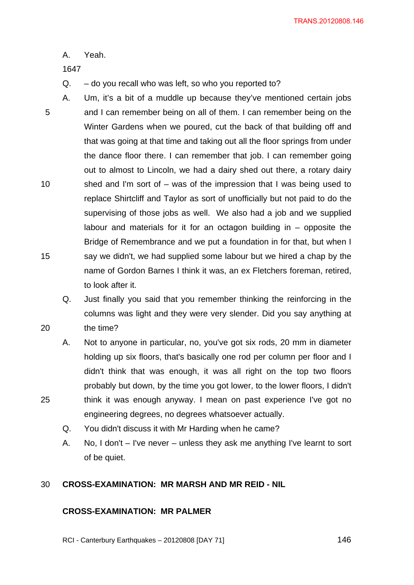A. Yeah.

1647

 $Q. -$  do you recall who was left, so who you reported to?

- A. Um, it's a bit of a muddle up because they've mentioned certain jobs 5 and I can remember being on all of them. I can remember being on the Winter Gardens when we poured, cut the back of that building off and that was going at that time and taking out all the floor springs from under the dance floor there. I can remember that job. I can remember going out to almost to Lincoln, we had a dairy shed out there, a rotary dairy 10 shed and I'm sort of – was of the impression that I was being used to replace Shirtcliff and Taylor as sort of unofficially but not paid to do the supervising of those jobs as well. We also had a job and we supplied labour and materials for it for an octagon building in  $-$  opposite the Bridge of Remembrance and we put a foundation in for that, but when I 15 say we didn't, we had supplied some labour but we hired a chap by the name of Gordon Barnes I think it was, an ex Fletchers foreman, retired, to look after it.
- Q. Just finally you said that you remember thinking the reinforcing in the columns was light and they were very slender. Did you say anything at 20 the time?
- A. Not to anyone in particular, no, you've got six rods, 20 mm in diameter holding up six floors, that's basically one rod per column per floor and I didn't think that was enough, it was all right on the top two floors probably but down, by the time you got lower, to the lower floors, I didn't 25 think it was enough anyway. I mean on past experience I've got no engineering degrees, no degrees whatsoever actually.
	- Q. You didn't discuss it with Mr Harding when he came?
	- A. No, I don't I've never unless they ask me anything I've learnt to sort of be quiet.

#### 30 **CROSS-EXAMINATION: MR MARSH AND MR REID - NIL**

#### **CROSS-EXAMINATION: MR PALMER**

RCI - Canterbury Earthquakes  $-$  20120808 [DAY 71]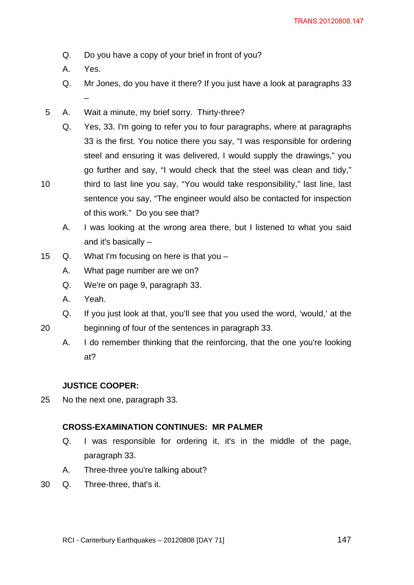- Q. Do you have a copy of your brief in front of you?
- A. Yes.
- Q. Mr Jones, do you have it there? If you just have a look at paragraphs 33 –
- 5 A. Wait a minute, my brief sorry. Thirty-three?
	- Q. Yes, 33. I'm going to refer you to four paragraphs, where at paragraphs 33 is the first. You notice there you say, "I was responsible for ordering steel and ensuring it was delivered, I would supply the drawings," you go further and say, "I would check that the steel was clean and tidy,"
- 10 third to last line you say, "You would take responsibility," last line, last sentence you say, "The engineer would also be contacted for inspection of this work." Do you see that?
	- A. I was looking at the wrong area there, but I listened to what you said and it's basically –
- 15 Q. What I'm focusing on here is that you
	- A. What page number are we on?
	- Q. We're on page 9, paragraph 33.
	- A. Yeah.
	- Q. If you just look at that, you'll see that you used the word, 'would,' at the

20 beginning of four of the sentences in paragraph 33.

A. I do remember thinking that the reinforcing, that the one you're looking at?

# **JUSTICE COOPER:**

25 No the next one, paragraph 33.

# **CROSS-EXAMINATION CONTINUES: MR PALMER**

- Q. I was responsible for ordering it, it's in the middle of the page, paragraph 33.
- A. Three-three you're talking about?
- 30 Q. Three-three, that's it.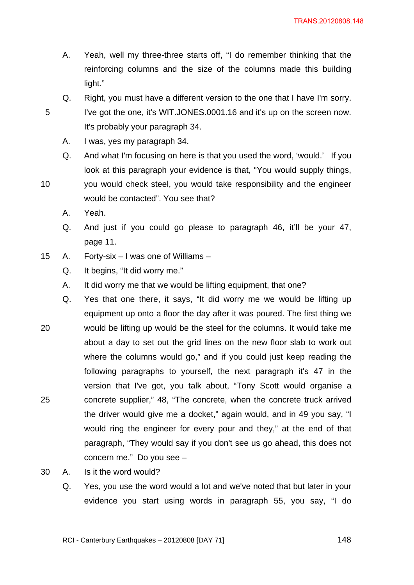- A. Yeah, well my three-three starts off, "I do remember thinking that the reinforcing columns and the size of the columns made this building light."
- Q. Right, you must have a different version to the one that I have I'm sorry. 5 I've got the one, it's WIT.JONES.0001.16 and it's up on the screen now. It's probably your paragraph 34.
	- A. I was, yes my paragraph 34.
	- Q. And what I'm focusing on here is that you used the word, 'would.' If you look at this paragraph your evidence is that, "You would supply things,
- 10 you would check steel, you would take responsibility and the engineer would be contacted". You see that?
	- A. Yeah.
	- Q. And just if you could go please to paragraph 46, it'll be your 47, page 11.
- 15 A. Forty-six I was one of Williams
	- Q. It begins, "It did worry me."
	- A. It did worry me that we would be lifting equipment, that one?
- Q. Yes that one there, it says, "It did worry me we would be lifting up equipment up onto a floor the day after it was poured. The first thing we 20 would be lifting up would be the steel for the columns. It would take me about a day to set out the grid lines on the new floor slab to work out where the columns would go," and if you could just keep reading the following paragraphs to yourself, the next paragraph it's 47 in the version that I've got, you talk about, "Tony Scott would organise a 25 concrete supplier," 48, "The concrete, when the concrete truck arrived the driver would give me a docket," again would, and in 49 you say, "I would ring the engineer for every pour and they," at the end of that paragraph, "They would say if you don't see us go ahead, this does not concern me." Do you see –
- 30 A. Is it the word would?
	- Q. Yes, you use the word would a lot and we've noted that but later in your evidence you start using words in paragraph 55, you say, "I do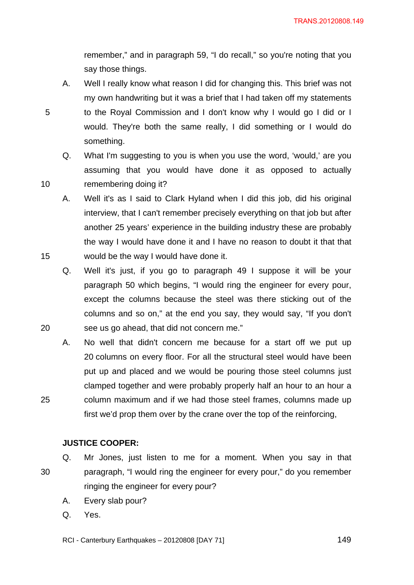remember," and in paragraph 59, "I do recall," so you're noting that you say those things.

- A. Well I really know what reason I did for changing this. This brief was not my own handwriting but it was a brief that I had taken off my statements 5 to the Royal Commission and I don't know why I would go I did or I would. They're both the same really, I did something or I would do something.
- Q. What I'm suggesting to you is when you use the word, 'would,' are you assuming that you would have done it as opposed to actually 10 remembering doing it?
- A. Well it's as I said to Clark Hyland when I did this job, did his original interview, that I can't remember precisely everything on that job but after another 25 years' experience in the building industry these are probably the way I would have done it and I have no reason to doubt it that that 15 would be the way I would have done it.
- Q. Well it's just, if you go to paragraph 49 I suppose it will be your paragraph 50 which begins, "I would ring the engineer for every pour, except the columns because the steel was there sticking out of the columns and so on," at the end you say, they would say, "If you don't 20 see us go ahead, that did not concern me."
- A. No well that didn't concern me because for a start off we put up 20 columns on every floor. For all the structural steel would have been put up and placed and we would be pouring those steel columns just clamped together and were probably properly half an hour to an hour a 25 column maximum and if we had those steel frames, columns made up first we'd prop them over by the crane over the top of the reinforcing,

# **JUSTICE COOPER:**

- Q. Mr Jones, just listen to me for a moment. When you say in that 30 paragraph, "I would ring the engineer for every pour," do you remember ringing the engineer for every pour?
	- A. Every slab pour?
	- Q. Yes.

RCI - Canterbury Earthquakes -  $20120808$  [DAY 71]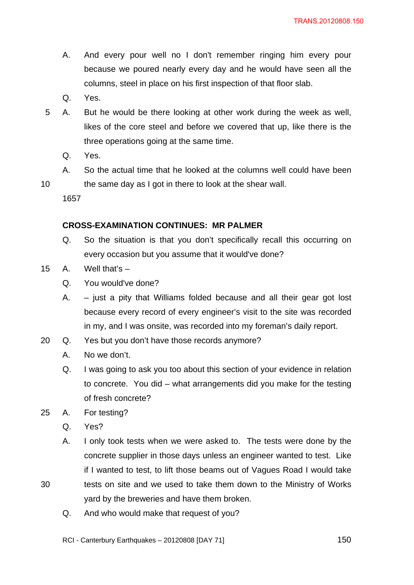- A. And every pour well no I don't remember ringing him every pour because we poured nearly every day and he would have seen all the columns, steel in place on his first inspection of that floor slab.
- Q. Yes.
- 5 A. But he would be there looking at other work during the week as well, likes of the core steel and before we covered that up, like there is the three operations going at the same time.
	- Q. Yes.
- A. So the actual time that he looked at the columns well could have been 10 the same day as I got in there to look at the shear wall.

1657

#### **CROSS-EXAMINATION CONTINUES: MR PALMER**

- Q. So the situation is that you don't specifically recall this occurring on every occasion but you assume that it would've done?
- 15 A. Well that's
	- Q. You would've done?
	- A. just a pity that Williams folded because and all their gear got lost because every record of every engineer's visit to the site was recorded in my, and I was onsite, was recorded into my foreman's daily report.
- 20 Q. Yes but you don't have those records anymore?
	- A. No we don't.
	- Q. I was going to ask you too about this section of your evidence in relation to concrete. You did – what arrangements did you make for the testing of fresh concrete?
- 25 A. For testing?
	- Q. Yes?
- A. I only took tests when we were asked to. The tests were done by the concrete supplier in those days unless an engineer wanted to test. Like if I wanted to test, to lift those beams out of Vagues Road I would take 30 tests on site and we used to take them down to the Ministry of Works
- 
- 
- Q. And who would make that request of you?

yard by the breweries and have them broken.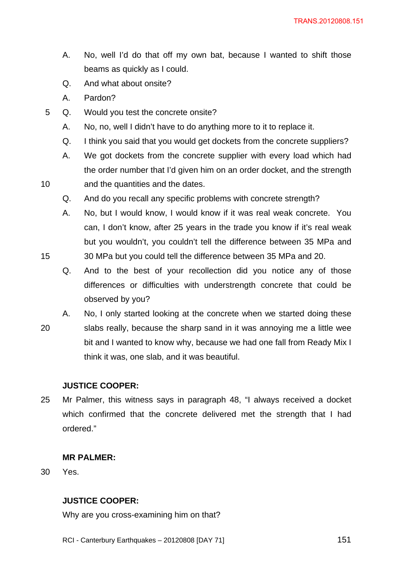- A. No, well I'd do that off my own bat, because I wanted to shift those beams as quickly as I could.
- Q. And what about onsite?
- A. Pardon?
- 5 Q. Would you test the concrete onsite?
	- A. No, no, well I didn't have to do anything more to it to replace it.
	- Q. I think you said that you would get dockets from the concrete suppliers?
- A. We got dockets from the concrete supplier with every load which had the order number that I'd given him on an order docket, and the strength 10 and the quantities and the dates.
- - Q. And do you recall any specific problems with concrete strength?
	- A. No, but I would know, I would know if it was real weak concrete. You can, I don't know, after 25 years in the trade you know if it's real weak but you wouldn't, you couldn't tell the difference between 35 MPa and
- 15 30 MPa but you could tell the difference between 35 MPa and 20.
	- Q. And to the best of your recollection did you notice any of those differences or difficulties with understrength concrete that could be observed by you?
- A. No, I only started looking at the concrete when we started doing these 20 slabs really, because the sharp sand in it was annoying me a little wee bit and I wanted to know why, because we had one fall from Ready Mix I think it was, one slab, and it was beautiful.

### **JUSTICE COOPER:**

25 Mr Palmer, this witness says in paragraph 48, "I always received a docket which confirmed that the concrete delivered met the strength that I had ordered."

### **MR PALMER:**

30 Yes.

### **JUSTICE COOPER:**

Why are you cross-examining him on that?

RCI - Canterbury Earthquakes –  $20120808$  [DAY 71]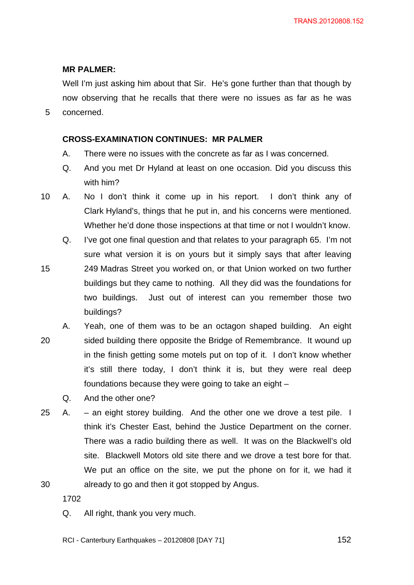#### **MR PALMER:**

Well I'm just asking him about that Sir. He's gone further than that though by now observing that he recalls that there were no issues as far as he was 5 concerned.

#### **CROSS-EXAMINATION CONTINUES: MR PALMER**

- A. There were no issues with the concrete as far as I was concerned.
- Q. And you met Dr Hyland at least on one occasion. Did you discuss this with him?
- 10 A. No I don't think it come up in his report. I don't think any of Clark Hyland's, things that he put in, and his concerns were mentioned. Whether he'd done those inspections at that time or not I wouldn't know.
- Q. I've got one final question and that relates to your paragraph 65. I'm not sure what version it is on yours but it simply says that after leaving 15 249 Madras Street you worked on, or that Union worked on two further buildings but they came to nothing. All they did was the foundations for two buildings. Just out of interest can you remember those two buildings?
- A. Yeah, one of them was to be an octagon shaped building. An eight 20 sided building there opposite the Bridge of Remembrance. It wound up in the finish getting some motels put on top of it. I don't know whether it's still there today, I don't think it is, but they were real deep foundations because they were going to take an eight –
	- Q. And the other one?
- 25 A. an eight storey building. And the other one we drove a test pile. I think it's Chester East, behind the Justice Department on the corner. There was a radio building there as well. It was on the Blackwell's old site. Blackwell Motors old site there and we drove a test bore for that. We put an office on the site, we put the phone on for it, we had it 30 already to go and then it got stopped by Angus.

1702

- Q. All right, thank you very much.
- RCI Canterbury Earthquakes  $-$  20120808 [DAY 71] 152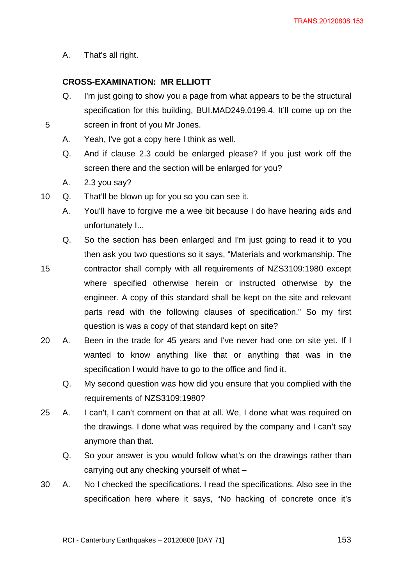A. That's all right.

## **CROSS-EXAMINATION: MR ELLIOTT**

- Q. I'm just going to show you a page from what appears to be the structural specification for this building, BUI.MAD249.0199.4. It'll come up on the 5 screen in front of you Mr Jones.
	- A. Yeah, I've got a copy here I think as well.
	- Q. And if clause 2.3 could be enlarged please? If you just work off the screen there and the section will be enlarged for you?
	- A. 2.3 you say?
- 10 Q. That'll be blown up for you so you can see it.
	- A. You'll have to forgive me a wee bit because I do have hearing aids and unfortunately I...
	- Q. So the section has been enlarged and I'm just going to read it to you then ask you two questions so it says, "Materials and workmanship. The
- 15 contractor shall comply with all requirements of NZS3109:1980 except where specified otherwise herein or instructed otherwise by the engineer. A copy of this standard shall be kept on the site and relevant parts read with the following clauses of specification." So my first question is was a copy of that standard kept on site?
- 20 A. Been in the trade for 45 years and I've never had one on site yet. If I wanted to know anything like that or anything that was in the specification I would have to go to the office and find it.
	- Q. My second question was how did you ensure that you complied with the requirements of NZS3109:1980?
- 25 A. I can't, I can't comment on that at all. We, I done what was required on the drawings. I done what was required by the company and I can't say anymore than that.
	- Q. So your answer is you would follow what's on the drawings rather than carrying out any checking yourself of what –
- 30 A. No I checked the specifications. I read the specifications. Also see in the specification here where it says, "No hacking of concrete once it's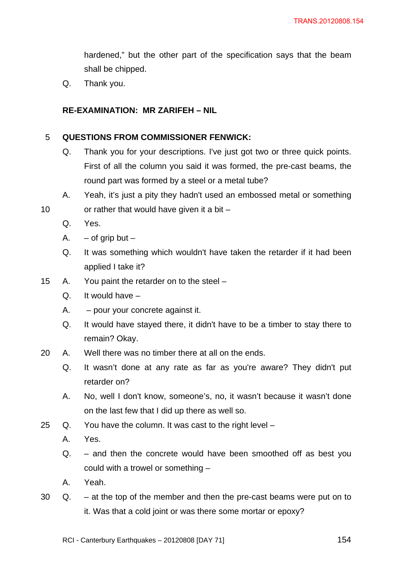hardened," but the other part of the specification says that the beam shall be chipped.

Q. Thank you.

#### **RE-EXAMINATION: MR ZARIFEH – NIL**

#### 5 **QUESTIONS FROM COMMISSIONER FENWICK:**

- Q. Thank you for your descriptions. I've just got two or three quick points. First of all the column you said it was formed, the pre-cast beams, the round part was formed by a steel or a metal tube?
- A. Yeah, it's just a pity they hadn't used an embossed metal or something
- 10 or rather that would have given it a bit
	- Q. Yes.
	- A.  $-$  of grip but  $-$
	- Q. It was something which wouldn't have taken the retarder if it had been applied I take it?
- 15 A. You paint the retarder on to the steel
	- Q. It would have –
	- A. pour your concrete against it.
	- Q. It would have stayed there, it didn't have to be a timber to stay there to remain? Okay.
- 20 A. Well there was no timber there at all on the ends.
	- Q. It wasn't done at any rate as far as you're aware? They didn't put retarder on?
	- A. No, well I don't know, someone's, no, it wasn't because it wasn't done on the last few that I did up there as well so.
- 25 Q. You have the column. It was cast to the right level
	- A. Yes.
	- Q. and then the concrete would have been smoothed off as best you could with a trowel or something –
	- A. Yeah.
- $30$  Q. at the top of the member and then the pre-cast beams were put on to it. Was that a cold joint or was there some mortar or epoxy?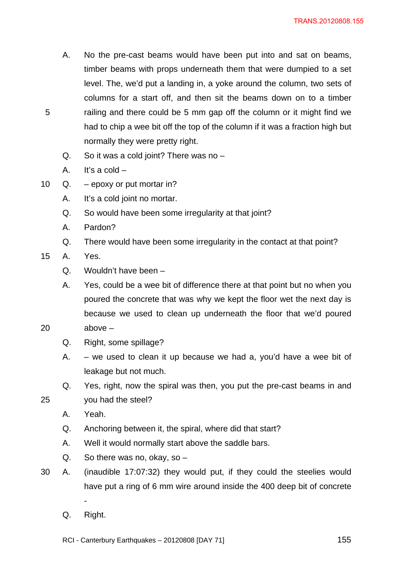- A. No the pre-cast beams would have been put into and sat on beams, timber beams with props underneath them that were dumpied to a set level. The, we'd put a landing in, a yoke around the column, two sets of columns for a start off, and then sit the beams down on to a timber 5 railing and there could be 5 mm gap off the column or it might find we had to chip a wee bit off the top of the column if it was a fraction high but normally they were pretty right.
	- Q. So it was a cold joint? There was no  $-$
	- A. It's a cold –
- 10 Q. epoxy or put mortar in?
	- A. It's a cold joint no mortar.
	- Q. So would have been some irregularity at that joint?
	- A. Pardon?
	- Q. There would have been some irregularity in the contact at that point?
- 15 A. Yes.
	- Q. Wouldn't have been –
	- A. Yes, could be a wee bit of difference there at that point but no when you poured the concrete that was why we kept the floor wet the next day is because we used to clean up underneath the floor that we'd poured
- 20 above
	- Q. Right, some spillage?
	- A.  $-$  we used to clean it up because we had a, you'd have a wee bit of leakage but not much.
- Q. Yes, right, now the spiral was then, you put the pre-cast beams in and 25 you had the steel?
	- A. Yeah.
	- Q. Anchoring between it, the spiral, where did that start?
	- A. Well it would normally start above the saddle bars.
	- Q. So there was no, okay, so  $-$
- 30 A. (inaudible 17:07:32) they would put, if they could the steelies would have put a ring of 6 mm wire around inside the 400 deep bit of concrete
	- Q. Right.

-

RCI - Canterbury Earthquakes  $-20120808$  [DAY 71]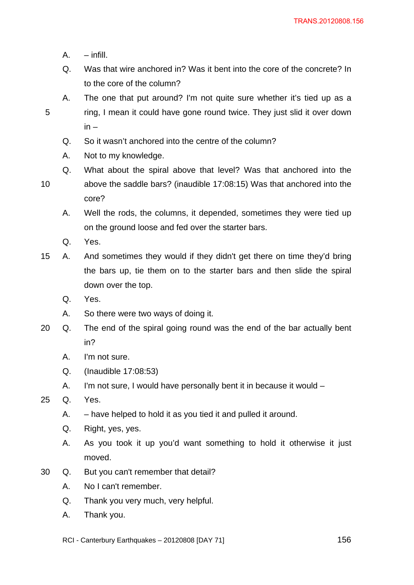- $A. infill.$
- Q. Was that wire anchored in? Was it bent into the core of the concrete? In to the core of the column?
- A. The one that put around? I'm not quite sure whether it's tied up as a 5 ring, I mean it could have gone round twice. They just slid it over down in –
	- Q. So it wasn't anchored into the centre of the column?
	- A. Not to my knowledge.
	- Q. What about the spiral above that level? Was that anchored into the
- 10 above the saddle bars? (inaudible 17:08:15) Was that anchored into the core?
	- A. Well the rods, the columns, it depended, sometimes they were tied up on the ground loose and fed over the starter bars.
	- Q. Yes.
- 15 A. And sometimes they would if they didn't get there on time they'd bring the bars up, tie them on to the starter bars and then slide the spiral down over the top.
	- Q. Yes.
	- A. So there were two ways of doing it.
- 20 Q. The end of the spiral going round was the end of the bar actually bent in?
	- A. I'm not sure.
	- Q. (Inaudible 17:08:53)
	- A. I'm not sure, I would have personally bent it in because it would –
- 25 Q. Yes.
	- A. have helped to hold it as you tied it and pulled it around.
	- Q. Right, yes, yes.
	- A. As you took it up you'd want something to hold it otherwise it just moved.
- 30 Q. But you can't remember that detail?
	- A. No I can't remember.
	- Q. Thank you very much, very helpful.
	- A. Thank you.
	- RCI Canterbury Earthquakes  $-20120808$  [DAY 71]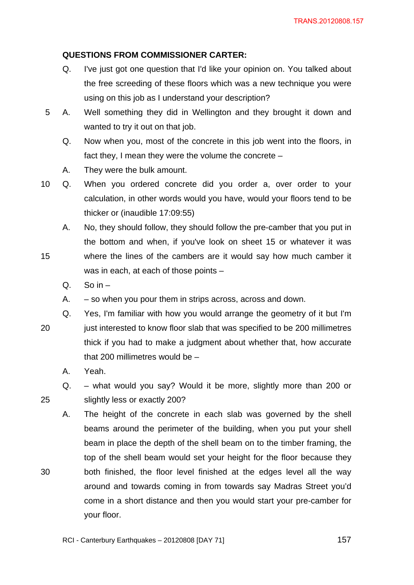## **QUESTIONS FROM COMMISSIONER CARTER:**

- Q. I've just got one question that I'd like your opinion on. You talked about the free screeding of these floors which was a new technique you were using on this job as I understand your description?
- 5 A. Well something they did in Wellington and they brought it down and wanted to try it out on that job.
	- Q. Now when you, most of the concrete in this job went into the floors, in fact they, I mean they were the volume the concrete –
	- A. They were the bulk amount.
- 10 Q. When you ordered concrete did you order a, over order to your calculation, in other words would you have, would your floors tend to be thicker or (inaudible 17:09:55)
- A. No, they should follow, they should follow the pre-camber that you put in the bottom and when, if you've look on sheet 15 or whatever it was 15 where the lines of the cambers are it would say how much camber it was in each, at each of those points –
	- $Q.$  So in  $-$
	- A. so when you pour them in strips across, across and down.

Q. Yes, I'm familiar with how you would arrange the geometry of it but I'm

- 20 just interested to know floor slab that was specified to be 200 millimetres thick if you had to make a judgment about whether that, how accurate that 200 millimetres would be –
	- A. Yeah.
- Q. what would you say? Would it be more, slightly more than 200 or 25 slightly less or exactly 200?
- A. The height of the concrete in each slab was governed by the shell beams around the perimeter of the building, when you put your shell beam in place the depth of the shell beam on to the timber framing, the top of the shell beam would set your height for the floor because they 30 both finished, the floor level finished at the edges level all the way around and towards coming in from towards say Madras Street you'd come in a short distance and then you would start your pre-camber for your floor.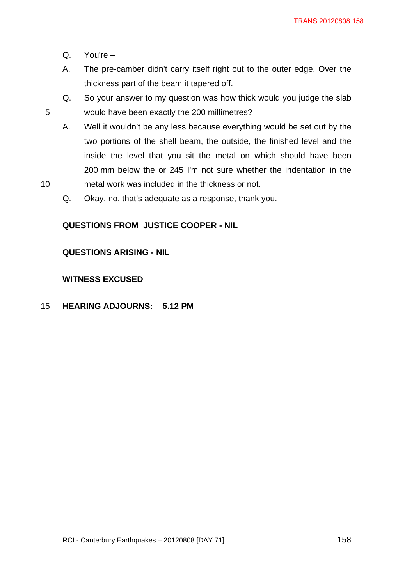- Q. You're –
- A. The pre-camber didn't carry itself right out to the outer edge. Over the thickness part of the beam it tapered off.
- Q. So your answer to my question was how thick would you judge the slab 5 would have been exactly the 200 millimetres?
- A. Well it wouldn't be any less because everything would be set out by the two portions of the shell beam, the outside, the finished level and the inside the level that you sit the metal on which should have been 200 mm below the or 245 I'm not sure whether the indentation in the 10 metal work was included in the thickness or not.
	- Q. Okay, no, that's adequate as a response, thank you.

#### **QUESTIONS FROM JUSTICE COOPER - NIL**

#### **QUESTIONS ARISING - NIL**

#### **WITNESS EXCUSED**

15 **HEARING ADJOURNS: 5.12 PM**